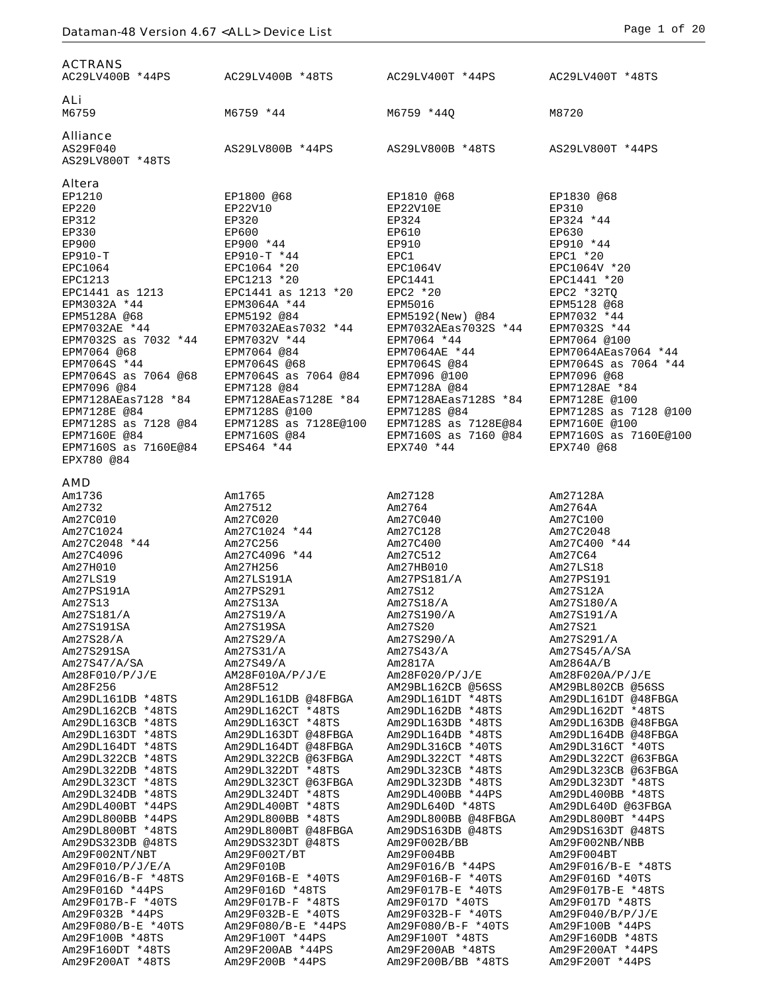| <b>ACTRANS</b><br>AC29LV400B *44PS              | AC29LV400B *48TS                           | AC29LV400T *44PS                             | AC29LV400T *48TS                         |
|-------------------------------------------------|--------------------------------------------|----------------------------------------------|------------------------------------------|
| ALi<br>M6759                                    | M6759 *44                                  | M6759 *440                                   | M8720                                    |
| <b>Alliance</b><br>AS29F040<br>AS29LV800T *48TS | AS29LV800B *44PS                           | AS29LV800B *48TS                             | AS29LV800T *44PS                         |
| Altera                                          |                                            |                                              |                                          |
| EP1210<br>EP220                                 | EP1800 @68<br>EP22V10                      | EP1810 @68<br>EP22V10E                       | EP1830 @68<br>EP310                      |
| EP312                                           | EP320                                      | EP324                                        | EP324 *44                                |
| EP330                                           | EP600                                      | EP610                                        | EP630                                    |
| EP900                                           | EP900 *44                                  | EP910                                        | EP910 *44                                |
| $EP910-T$<br>EPC1064                            | EP910-T *44<br>EPC1064 *20                 | EPC1<br>EPC1064V                             | $EPC1 * 20$<br>EPC1064V *20              |
| <b>EPC1213</b>                                  | EPC1213 *20                                | EPC1441                                      | EPC1441 *20                              |
| EPC1441 as 1213                                 | EPC1441 as 1213 *20                        | EPC2 *20                                     | $EPC2 * 32TQ$                            |
| EPM3032A *44<br>EPM5128A @68                    | EPM3064A *44<br>EPM5192 @84                | EPM5016<br>EPM5192(New) @84                  | EPM5128 @68<br>EPM7032 *44               |
| EPM7032AE *44                                   | EPM7032AEas7032 *44                        | EPM7032AEas7032S *44                         | EPM7032S *44                             |
| EPM7032S as 7032 *44                            | EPM7032V *44                               | EPM7064 *44                                  | EPM7064 @100                             |
| EPM7064 @68                                     | EPM7064 @84                                | EPM7064AE *44                                | EPM7064AEas7064 *44                      |
| EPM7064S *44<br>EPM7064S as 7064 @68            | EPM7064S @68<br>EPM7064S as 7064 @84       | EPM7064S @84<br>EPM7096 @100                 | EPM7064S as 7064 *44<br>EPM7096 @68      |
| EPM7096 @84                                     | EPM7128 @84                                | EPM7128A @84                                 | EPM7128AE *84                            |
| EPM7128AEas7128 *84                             | EPM7128AEas7128E *84                       | EPM7128AEas7128S *84                         | EPM7128E @100                            |
| EPM7128E @84                                    | EPM7128S @100                              | EPM7128S @84                                 | EPM7128S as 7128 @100                    |
| EPM7128S as 7128 @84<br>EPM7160E @84            | EPM7128S as 7128E@100<br>EPM7160S @84      | EPM7128S as 7128E@84<br>EPM7160S as 7160 @84 | EPM7160E @100<br>EPM7160S as 7160E@100   |
| EPM7160S as 7160E@84                            | EPS464 *44                                 | EPX740 *44                                   | EPX740 @68                               |
| EPX780 @84                                      |                                            |                                              |                                          |
| <b>AMD</b>                                      |                                            |                                              |                                          |
| Am1736                                          | Am1765                                     | Am27128                                      | Am27128A                                 |
| Am2732<br>Am27C010                              | Am27512<br>Am27C020                        | Am2764<br>Am27C040                           | Am2764A<br>Am27C100                      |
| Am27C1024                                       | Am27C1024 *44                              | Am27C128                                     | Am27C2048                                |
| Am27C2048 *44                                   | Am27C256                                   | Am27C400                                     | Am27C400 *44                             |
| Am27C4096                                       | Am27C4096 *44                              | Am27C512                                     | Am27C64                                  |
| Am27H010<br>Am27LS19                            | Am27H256<br>Am27LS191A                     | Am27HB010<br>Am27PS181/A                     | Am27LS18<br>Am27PS191                    |
| Am27PS191A                                      | Am27PS291                                  | Am27S12                                      | Am27S12A                                 |
| Am27S13                                         | Am27S13A                                   | Am27S18/A                                    | Am27S180/A                               |
| Am27S181/A                                      | Am27S19/A                                  | Am27S190/A                                   | Am27S191/A                               |
| Am27S191SA<br>Am27S28/A                         | Am27S19SA<br>Am27S29/A                     | Am27S20<br>Am27S290/A                        | Am27S21<br>Am27S291/A                    |
| Am27S291SA                                      | Am27S31/A                                  | Am27S43/A                                    | Am27S45/A/SA                             |
| Am27S47/A/SA                                    | Am27S49/A                                  | Am2817A                                      | Am2864A/B                                |
| Am28F010/P/J/E<br>Am28F256                      | AM28F010A/P/J/E<br>Am28F512                | Am28F020/P/J/E<br>AM29BL162CB @56SS          | Am28F020A/P/J/E<br>AM29BL802CB @56SS     |
| Am29DL161DB *48TS                               | Am29DL161DB @48FBGA                        | Am29DL161DT *48TS                            | Am29DL161DT @48FBGA                      |
| Am29DL162CB *48TS                               | Am29DL162CT *48TS                          | Am29DL162DB *48TS                            | Am29DL162DT *48TS                        |
| Am29DL163CB *48TS                               | Am29DL163CT *48TS                          | Am29DL163DB *48TS                            | Am29DL163DB @48FBGA                      |
| Am29DL163DT *48TS<br>Am29DL164DT *48TS          | Am29DL163DT @48FBGA<br>Am29DL164DT @48FBGA | Am29DL164DB *48TS<br>Am29DL316CB *40TS       | Am29DL164DB @48FBGA<br>Am29DL316CT *40TS |
| Am29DL322CB *48TS                               | Am29DL322CB @63FBGA                        | Am29DL322CT *48TS                            | Am29DL322CT @63FBGA                      |
| Am29DL322DB *48TS                               | Am29DL322DT *48TS                          | Am29DL323CB *48TS                            | Am29DL323CB @63FBGA                      |
| Am29DL323CT *48TS<br>Am29DL324DB *48TS          | Am29DL323CT @63FBGA<br>Am29DL324DT *48TS   | Am29DL323DB *48TS<br>Am29DL400BB *44PS       | Am29DL323DT *48TS<br>Am29DL400BB *48TS   |
| Am29DL400BT *44PS                               | Am29DL400BT *48TS                          | Am29DL640D *48TS                             | Am29DL640D @63FBGA                       |
| Am29DL800BB *44PS                               | Am29DL800BB *48TS                          | Am29DL800BB @48FBGA                          | Am29DL800BT *44PS                        |
| Am29DL800BT *48TS                               | Am29DL800BT @48FBGA                        | Am29DS163DB @48TS                            | Am29DS163DT @48TS                        |
| Am29DS323DB @48TS<br>Am29F002NT/NBT             | Am29DS323DT @48TS<br>Am29F002T/BT          | Am29F002B/BB<br>Am29F004BB                   | Am29F002NB/NBB<br>Am29F004BT             |
| Am29F010/P/J/E/A                                | Am29F010B                                  | Am29F016/B *44PS                             | Am29F016/B-E *48TS                       |
| Am29F016/B-F *48TS                              | Am29F016B-E *40TS                          | Am29F016B-F *40TS                            | Am29F016D *40TS                          |
| Am29F016D *44PS                                 | Am29F016D *48TS                            | Am29F017B-E *40TS                            | Am29F017B-E *48TS                        |
| Am29F017B-F *40TS<br>Am29F032B *44PS            | Am29F017B-F *48TS<br>Am29F032B-E *40TS     | Am29F017D *40TS<br>Am29F032B-F *40TS         | Am29F017D *48TS<br>Am29F040/B/P/J/E      |
| Am29F080/B-E *40TS                              | Am29F080/B-E *44PS                         | Am29F080/B-F *40TS                           | Am29F100B *44PS                          |
| Am29F100B *48TS                                 | Am29F100T *44PS                            | Am29F100T *48TS                              | Am29F160DB *48TS                         |
| Am29F160DT *48TS                                | Am29F200AB *44PS                           | Am29F200AB *48TS                             | Am29F200AT *44PS                         |
| Am29F200AT *48TS                                | Am29F200B *44PS                            | Am29F200B/BB *48TS                           | Am29F200T *44PS                          |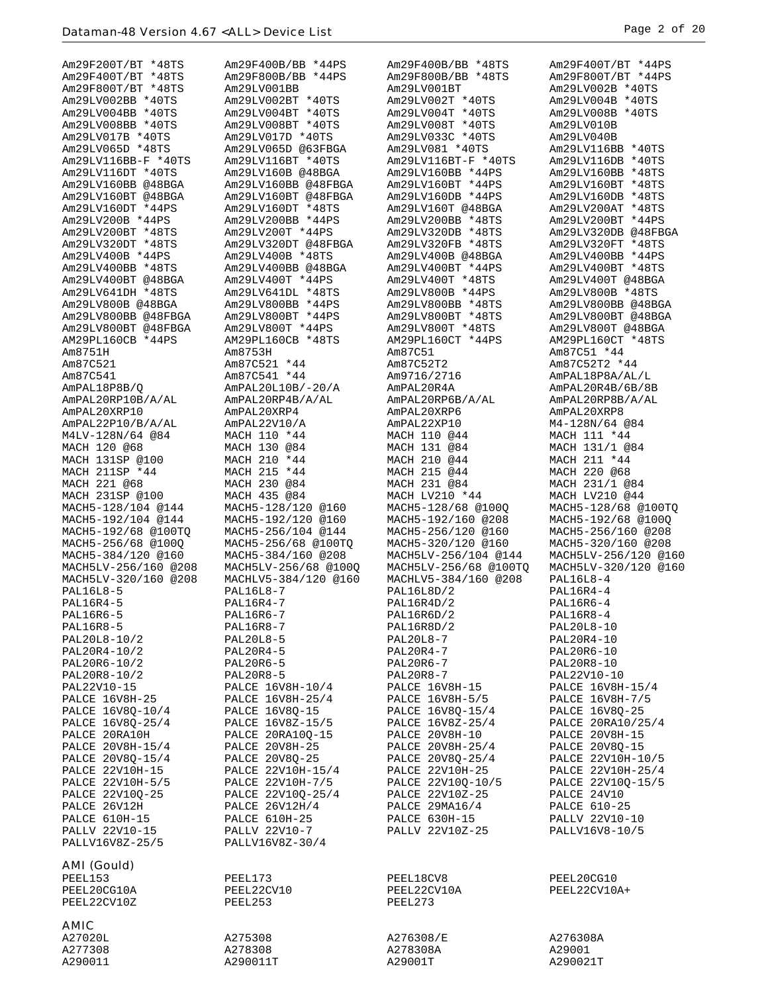| Am29F200T/BT *48TS   | Am29F400B/BB *44PS    | Am29F400B/BB *48TS    | Am29F400T/BT *44PS   |
|----------------------|-----------------------|-----------------------|----------------------|
| Am29F400T/BT *48TS   | Am29F800B/BB *44PS    | Am29F800B/BB *48TS    | Am29F800T/BT *44PS   |
| Am29F800T/BT *48TS   | Am29LV001BB           | Am29LV001BT           | Am29LV002B *40TS     |
| Am29LV002BB *40TS    | Am29LV002BT *40TS     | Am29LV002T *40TS      | Am29LV004B *40TS     |
| Am29LV004BB *40TS    | Am29LV004BT *40TS     | Am29LV004T *40TS      | Am29LV008B *40TS     |
| Am29LV008BB *40TS    | Am29LV008BT *40TS     | Am29LV008T *40TS      | Am29LV010B           |
| Am29LV017B *40TS     | Am29LV017D *40TS      | Am29LV033C *40TS      | Am29LV040B           |
|                      |                       |                       |                      |
| Am29LV065D *48TS     | Am29LV065D @63FBGA    | Am29LV081 *40TS       | Am29LV116BB *40TS    |
| Am29LV116BB-F *40TS  | Am29LV116BT *40TS     | Am29LV116BT-F *40TS   | Am29LV116DB *40TS    |
| Am29LV116DT *40TS    | Am29LV160B @48BGA     | Am29LV160BB *44PS     | Am29LV160BB *48TS    |
| Am29LV160BB @48BGA   | Am29LV160BB @48FBGA   | Am29LV160BT *44PS     | Am29LV160BT *48TS    |
| Am29LV160BT @48BGA   | Am29LV160BT @48FBGA   | Am29LV160DB *44PS     | Am29LV160DB *48TS    |
| Am29LV160DT *44PS    | Am29LV160DT *48TS     | Am29LV160T @48BGA     | Am29LV200AT *48TS    |
| Am29LV200B *44PS     | Am29LV200BB *44PS     | Am29LV200BB *48TS     | Am29LV200BT *44PS    |
| Am29LV200BT *48TS    | Am29LV200T *44PS      | Am29LV320DB *48TS     | Am29LV320DB @48FBGA  |
| Am29LV320DT *48TS    | Am29LV320DT @48FBGA   | Am29LV320FB *48TS     | Am29LV320FT *48TS    |
| Am29LV400B *44PS     | Am29LV400B *48TS      | Am29LV400B @48BGA     | Am29LV400BB *44PS    |
| Am29LV400BB *48TS    | Am29LV400BB @48BGA    | Am29LV400BT *44PS     | Am29LV400BT *48TS    |
| Am29LV400BT @48BGA   | Am29LV400T *44PS      | Am29LV400T *48TS      | Am29LV400T @48BGA    |
| Am29LV641DH *48TS    | Am29LV641DL *48TS     | Am29LV800B *44PS      | Am29LV800B *48TS     |
| Am29LV800B @48BGA    | Am29LV800BB *44PS     | Am29LV800BB *48TS     | Am29LV800BB @48BGA   |
| Am29LV800BB @48FBGA  | Am29LV800BT *44PS     | Am29LV800BT *48TS     | Am29LV800BT @48BGA   |
| Am29LV800BT @48FBGA  | Am29LV800T *44PS      | Am29LV800T *48TS      | Am29LV800T @48BGA    |
| AM29PL160CB *44PS    | AM29PL160CB *48TS     | AM29PL160CT *44PS     | AM29PL160CT *48TS    |
| Am8751H              | Am8753H               | Am87C51               | Am87C51 *44          |
| Am87C521             | Am87C521 *44          | Am87C52T2             | Am87C52T2 *44        |
| Am87C541             | Am87C541 *44          | Am9716/2716           | AmPAL18P8A/AL/L      |
| AmPAL18P8B/O         | AmPAL20L10B/-20/A     | AmPAL20R4A            | AmPAL20R4B/6B/8B     |
| AmPAL20RP10B/A/AL    | AmPAL20RP4B/A/AL      | AmPAL20RP6B/A/AL      | AmPAL20RP8B/A/AL     |
| AmPAL20XRP10         | AmPAL20XRP4           | AmPAL20XRP6           | AmPAL20XRP8          |
| AmPAL22P10/B/A/AL    | AmPAL22V10/A          | AmPAL22XP10           | M4-128N/64 @84       |
| M4LV-128N/64 @84     | MACH 110 *44          | MACH 110 @44          | MACH 111 *44         |
|                      | MACH 130 @84          | MACH 131 @84          | MACH 131/1 @84       |
| MACH 120 @68         |                       |                       | MACH 211 *44         |
| MACH 131SP @100      | MACH 210 *44          | MACH 210 @44          |                      |
| MACH 211SP *44       | MACH 215 *44          | MACH 215 @44          | MACH 220 @68         |
| MACH 221 @68         | MACH 230 @84          | MACH 231 @84          | MACH 231/1 @84       |
| MACH 231SP @100      | MACH 435 @84          | MACH LV210 *44        | MACH LV210 @44       |
| MACH5-128/104 @144   | MACH5-128/120 @160    | MACH5-128/68 @100Q    | MACH5-128/68 @100TQ  |
| MACH5-192/104 @144   | MACH5-192/120 @160    | MACH5-192/160 @208    | MACH5-192/68 @100Q   |
| MACH5-192/68 @100TQ  | MACH5-256/104 @144    | MACH5-256/120 @160    | MACH5-256/160 @208   |
| MACH5-256/68 @100Q   | MACH5-256/68 @100TQ   | MACH5-320/120 @160    | MACH5-320/160 @208   |
| MACH5-384/120 @160   | MACH5-384/160 @208    | MACH5LV-256/104 @144  | MACH5LV-256/120 @160 |
| MACH5LV-256/160 @208 | MACH5LV-256/68 @100Q  | MACH5LV-256/68 @100TQ | MACH5LV-320/120 @160 |
| MACH5LV-320/160 @208 | MACHLV5-384/120 @160  | MACHLV5-384/160 @208  | $PAL16L8-4$          |
| PAL16L8-5            | PAL16L8-7             | PAL16L8D/2            | PAL16R4-4            |
| <b>PAL16R4-5</b>     | PAL16R4-7             | PAL16R4D/2            | <b>PAL16R6-4</b>     |
| <b>PAL16R6-5</b>     | PAL16R6-7             | PAL16R6D/2            | <b>PAL16R8-4</b>     |
| PAL16R8-5            | PAL16R8-7             | PAL16R8D/2            | PAL20L8-10           |
| PAL20L8-10/2         | $PAL20L8-5$           | PAL20L8-7             | PAL20R4-10           |
| PAL20R4-10/2         | PAL20R4-5             | PAL20R4-7             | PAL20R6-10           |
| PAL20R6-10/2         | PAL20R6-5             | PAL20R6-7             | PAL20R8-10           |
| PAL20R8-10/2         | <b>PAL20R8-5</b>      | <b>PAL20R8-7</b>      | PAL22V10-10          |
| PAL22V10-15          | PALCE 16V8H-10/4      | <b>PALCE 16V8H-15</b> | PALCE 16V8H-15/4     |
| PALCE 16V8H-25       | PALCE 16V8H-25/4      | PALCE 16V8H-5/5       | PALCE 16V8H-7/5      |
| PALCE 16V80-10/4     | PALCE 16V8Q-15        | PALCE 16V8Q-15/4      | PALCE 16V80-25       |
| PALCE 16V8Q-25/4     | PALCE 16V8Z-15/5      | PALCE 16V8Z-25/4      | PALCE 20RA10/25/4    |
| PALCE 20RA10H        | PALCE 20RA10Q-15      | PALCE 20V8H-10        | PALCE 20V8H-15       |
| PALCE 20V8H-15/4     | <b>PALCE 20V8H-25</b> | PALCE 20V8H-25/4      | PALCE 20V8Q-15       |
| PALCE 20V8Q-15/4     | PALCE 20V8Q-25        | PALCE 20V8Q-25/4      | PALCE 22V10H-10/5    |
| PALCE 22V10H-15      | PALCE 22V10H-15/4     | PALCE 22V10H-25       | PALCE 22V10H-25/4    |
| PALCE 22V10H-5/5     | PALCE 22V10H-7/5      | PALCE 22V10Q-10/5     | PALCE 22V10Q-15/5    |
| PALCE 22V10Q-25      | PALCE 22V10Q-25/4     | PALCE 22V10Z-25       | PALCE 24V10          |
| PALCE 26V12H         | PALCE 26V12H/4        | PALCE 29MA16/4        | PALCE 610-25         |
|                      |                       |                       |                      |
| <b>PALCE 610H-15</b> | PALCE 610H-25         | PALCE 630H-15         | PALLV 22V10-10       |
| PALLV 22V10-15       | PALLV 22V10-7         | PALLV 22V10Z-25       | PALLV16V8-10/5       |
| PALLV16V8Z-25/5      | PALLV16V8Z-30/4       |                       |                      |
| <b>AMI (Gould)</b>   |                       |                       |                      |
| PEEL153              |                       |                       |                      |
|                      | PEEL173               | PEEL18CV8             | PEEL20CG10           |
| PEEL20CG10A          | PEEL22CV10<br>PEEL253 | PEEL22CV10A           | PEEL22CV10A+         |
| PEEL22CV10Z          |                       | PEEL273               |                      |
|                      |                       |                       |                      |
| <b>AMIC</b>          |                       |                       |                      |
|                      | A275308               | A276308/E             | A276308A             |
| A27020L<br>A277308   | A278308               | A278308A              | A29001               |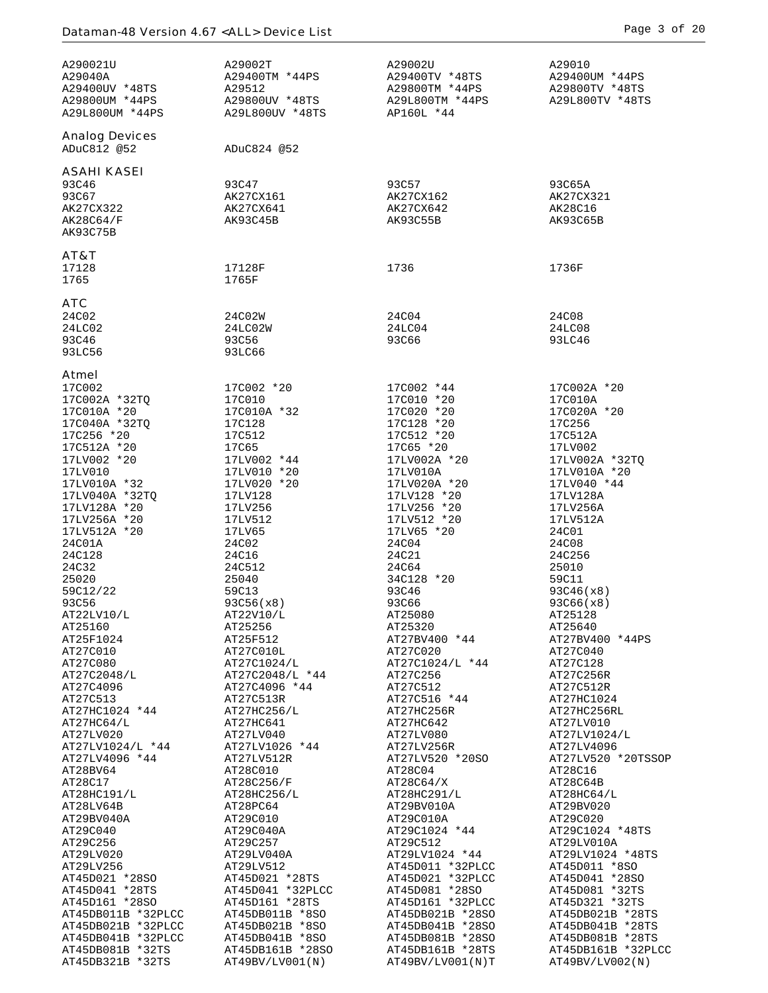| <b>Analog Devices</b><br>ADuC812 @52<br>ADuC824 @52<br><b>ASAHI KASEI</b><br>93C46<br>93C57<br>93C47<br>93C65A<br>93C67<br>AK27CX161<br>AK27CX162<br>AK27CX321<br>AK27CX322<br>AK27CX641<br>AK27CX642<br>AK28C16<br>AK28C64/F<br>AK93C45B<br>AK93C55B<br>AK93C65B<br>AK93C75B<br>AT&T<br>17128<br>17128F<br>1736<br>1736F<br>1765<br>1765F<br><b>ATC</b><br>24C02<br>24C04<br>24C08<br>24C02W<br>24LC02<br>24LC02W<br>24LC04<br>24LC08<br>93C46<br>93C56<br>93C66<br>93LC46<br>93LC56<br>93LC66<br>Atmel<br>17C002<br>17C002 *20<br>17C002 *44<br>17C002A *20<br>17C002A *32TQ<br>17C010<br>17C010 *20<br>17C010A<br>17C010A *20<br>17C010A *32<br>17C020 *20<br>17C020A *20<br>17C040A *32TQ<br>17C128<br>17C128 *20<br>17C256<br>17C256 *20<br>17C512<br>17C512 *20<br>17C512A<br>17C512A *20<br>17C65 *20<br>17LV002<br>17C65<br>17LV002 *20<br>17LV002 *44<br>17LV002A *20<br>17LV002A *32TQ<br>17LV010<br>17LV010 *20<br>17LV010A<br>17LV010A *20<br>17LV010A *32<br>17LV020A *20<br>17LV020 *20<br>17LV040 *44<br>17LV040A *32TQ<br>17LV128<br>17LV128 *20<br>17LV128A<br>17LV256<br>17LV256 *20<br>17LV256A<br>17LV128A *20<br>17LV512<br>17LV512 *20<br>17LV512A<br>17LV256A *20<br>17LV512A *20<br>17LV65 *20<br>17LV65<br>24C01<br>24C01A<br>24C02<br>24C04<br>24C08<br>24C128<br>24C16<br>24C21<br>24C256<br>24C32<br>24C64<br>24C512<br>25010<br>25020<br>34C128 *20<br>59C11<br>25040<br>59C12/22<br>59C13<br>93C46<br>93C46(x8)<br>93C56<br>93C66<br>93C56(x8)<br>93C66(x8)<br>AT22LV10/L<br>AT22V10/L<br>AT25080<br>AT25128<br>AT25160<br>AT25256<br>AT25320<br>AT25640<br>AT25F1024<br>AT25F512<br>AT27BV400 *44<br>AT27C010<br>AT27C020<br>AT27C040<br>AT27C010L<br>AT27C1024/L *44<br>AT27C080<br>AT27C1024/L<br>AT27C128<br>AT27C2048/L<br>AT27C2048/L *44<br>AT27C256R<br>AT27C256<br>AT27C4096<br>AT27C512<br>AT27C512R<br>AT27C4096 *44<br>AT27C516 *44<br>AT27C513<br>AT27C513R<br>AT27HC1024<br>AT27HC256RL<br>AT27HC1024 *44<br>AT27HC256/L<br>AT27HC256R<br>AT27LV010<br>AT27HC64/L<br>AT27HC641<br>AT27HC642<br>AT27LV1024/L<br>AT27LV020<br>AT27LV040<br>AT27LV080<br>AT27LV1024/L *44<br>AT27LV1026 *44<br>AT27LV256R<br>AT27LV4096<br>AT27LV4096 *44<br>AT27LV512R<br>AT27LV520 *20SO<br>AT28BV64<br>AT28C010<br>AT28C04<br>AT28C16<br>AT28C17<br>AT28C256/F<br>AT28C64/X<br>AT28C64B<br>AT28HC191/L<br>AT28HC256/L<br>AT28HC291/L<br>AT28HC64/L<br>AT28LV64B<br>AT28PC64<br>AT29BV010A<br>AT29BV020<br>AT29BV040A<br>AT29C010<br>AT29C010A<br>AT29C020<br>AT29C1024 *44<br>AT29C040<br>AT29C040A<br>AT29C257<br>AT29C256<br>AT29C512<br>AT29LV010A<br>AT29LV020<br>AT29LV040A<br>AT29LV1024 *44<br>AT29LV256<br>AT45D011 *32PLCC<br>AT45D011 *8SO<br>AT29LV512<br>AT45D021 *32PLCC<br>AT45D021 *28SO<br>AT45D021 *28TS<br>AT45D041 *28SO<br>AT45D041 *28TS<br>AT45D041 *32PLCC<br>AT45D081 *28SO<br>AT45D081 *32TS<br>AT45D161 *32PLCC<br>AT45D321 *32TS<br>AT45D161 *28SO<br>AT45D161 *28TS<br>AT45DB011B *32PLCC<br>AT45DB011B *8SO<br>AT45DB021B *28SO<br>AT45DB021B *32PLCC<br>AT45DB021B *8SO<br>AT45DB041B *28SO | A290021U<br>A29040A<br>A29400UV *48TS<br>A29800UM *44PS<br>A29L800UM *44PS | A29002T<br>A29400TM *44PS<br>A29512<br>A29800UV *48TS<br>A29L800UV *48TS | A29002U<br>A29400TV *48TS<br>A29800TM *44PS<br>A29L800TM *44PS<br>AP160L *44 | A29010<br>A29400UM *44PS<br>A29800TV *48TS<br>A29L800TV *48TS                                                         |
|-------------------------------------------------------------------------------------------------------------------------------------------------------------------------------------------------------------------------------------------------------------------------------------------------------------------------------------------------------------------------------------------------------------------------------------------------------------------------------------------------------------------------------------------------------------------------------------------------------------------------------------------------------------------------------------------------------------------------------------------------------------------------------------------------------------------------------------------------------------------------------------------------------------------------------------------------------------------------------------------------------------------------------------------------------------------------------------------------------------------------------------------------------------------------------------------------------------------------------------------------------------------------------------------------------------------------------------------------------------------------------------------------------------------------------------------------------------------------------------------------------------------------------------------------------------------------------------------------------------------------------------------------------------------------------------------------------------------------------------------------------------------------------------------------------------------------------------------------------------------------------------------------------------------------------------------------------------------------------------------------------------------------------------------------------------------------------------------------------------------------------------------------------------------------------------------------------------------------------------------------------------------------------------------------------------------------------------------------------------------------------------------------------------------------------------------------------------------------------------------------------------------------------------------------------------------------------------------------------------------------------------------------------------------------------------------------------------------------------------------------------------------------------------------------------------------------------------------------------------------------------------------------------------------------------------------------------------------------------------------------------------------------------------------------------|----------------------------------------------------------------------------|--------------------------------------------------------------------------|------------------------------------------------------------------------------|-----------------------------------------------------------------------------------------------------------------------|
|                                                                                                                                                                                                                                                                                                                                                                                                                                                                                                                                                                                                                                                                                                                                                                                                                                                                                                                                                                                                                                                                                                                                                                                                                                                                                                                                                                                                                                                                                                                                                                                                                                                                                                                                                                                                                                                                                                                                                                                                                                                                                                                                                                                                                                                                                                                                                                                                                                                                                                                                                                                                                                                                                                                                                                                                                                                                                                                                                                                                                                                       |                                                                            |                                                                          |                                                                              |                                                                                                                       |
|                                                                                                                                                                                                                                                                                                                                                                                                                                                                                                                                                                                                                                                                                                                                                                                                                                                                                                                                                                                                                                                                                                                                                                                                                                                                                                                                                                                                                                                                                                                                                                                                                                                                                                                                                                                                                                                                                                                                                                                                                                                                                                                                                                                                                                                                                                                                                                                                                                                                                                                                                                                                                                                                                                                                                                                                                                                                                                                                                                                                                                                       |                                                                            |                                                                          |                                                                              |                                                                                                                       |
|                                                                                                                                                                                                                                                                                                                                                                                                                                                                                                                                                                                                                                                                                                                                                                                                                                                                                                                                                                                                                                                                                                                                                                                                                                                                                                                                                                                                                                                                                                                                                                                                                                                                                                                                                                                                                                                                                                                                                                                                                                                                                                                                                                                                                                                                                                                                                                                                                                                                                                                                                                                                                                                                                                                                                                                                                                                                                                                                                                                                                                                       |                                                                            |                                                                          |                                                                              |                                                                                                                       |
|                                                                                                                                                                                                                                                                                                                                                                                                                                                                                                                                                                                                                                                                                                                                                                                                                                                                                                                                                                                                                                                                                                                                                                                                                                                                                                                                                                                                                                                                                                                                                                                                                                                                                                                                                                                                                                                                                                                                                                                                                                                                                                                                                                                                                                                                                                                                                                                                                                                                                                                                                                                                                                                                                                                                                                                                                                                                                                                                                                                                                                                       |                                                                            |                                                                          |                                                                              |                                                                                                                       |
|                                                                                                                                                                                                                                                                                                                                                                                                                                                                                                                                                                                                                                                                                                                                                                                                                                                                                                                                                                                                                                                                                                                                                                                                                                                                                                                                                                                                                                                                                                                                                                                                                                                                                                                                                                                                                                                                                                                                                                                                                                                                                                                                                                                                                                                                                                                                                                                                                                                                                                                                                                                                                                                                                                                                                                                                                                                                                                                                                                                                                                                       |                                                                            |                                                                          |                                                                              | AT27BV400 *44PS                                                                                                       |
|                                                                                                                                                                                                                                                                                                                                                                                                                                                                                                                                                                                                                                                                                                                                                                                                                                                                                                                                                                                                                                                                                                                                                                                                                                                                                                                                                                                                                                                                                                                                                                                                                                                                                                                                                                                                                                                                                                                                                                                                                                                                                                                                                                                                                                                                                                                                                                                                                                                                                                                                                                                                                                                                                                                                                                                                                                                                                                                                                                                                                                                       |                                                                            |                                                                          |                                                                              | AT27LV520 *20TSSOP                                                                                                    |
| AT45DB081B *32TS<br>AT45DB161B *28SO<br>AT45DB161B *28TS<br>AT45DB321B *32TS<br>AT49BV/LV001(N)<br>AT49BV/LVO01(N)T<br>AT49BV/LV002(N)                                                                                                                                                                                                                                                                                                                                                                                                                                                                                                                                                                                                                                                                                                                                                                                                                                                                                                                                                                                                                                                                                                                                                                                                                                                                                                                                                                                                                                                                                                                                                                                                                                                                                                                                                                                                                                                                                                                                                                                                                                                                                                                                                                                                                                                                                                                                                                                                                                                                                                                                                                                                                                                                                                                                                                                                                                                                                                                | AT45DB041B *32PLCC                                                         | AT45DB041B *8SO                                                          | AT45DB081B *28SO                                                             | AT29C1024 *48TS<br>AT29LV1024 *48TS<br>AT45DB021B *28TS<br>AT45DB041B *28TS<br>AT45DB081B *28TS<br>AT45DB161B *32PLCC |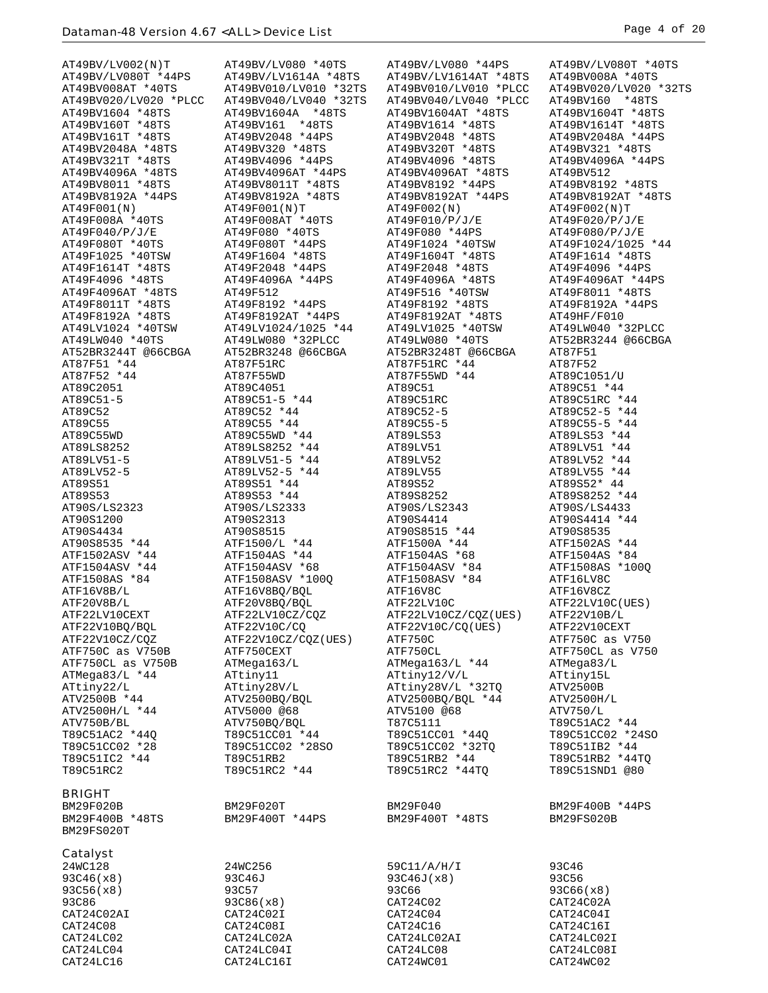$AT49BV/LVO02(N)T \quad\hbox{AT49BV/LVO80 *40TS} \quad\hbox{AT49BV/LVO80 *40TS} \quad\hbox{AT49BV/LVO80 *44PS} \quad\hbox{AT49BV/O080 *40TS} \quad\hbox{AT49BV/O080 *40TS} \quad\hbox{AT49BV008A *40TS} \quad\hbox{AT49BV008A *40TS} \quad\hbox{AT49BV008A *40TS} \quad\hbox{AT49BV008A *40TS} \quad\hbox{AT49BV008A *40TS} \quad\hbox{AT49BV008A *40TS$ AT49BV020/LV020 \*PLCC AT49BV040/LV040 \*32TS AT49BV040/LV040 \*PLCC AT49BV160 \*48TS<br>AT49BV1604 \*48TS AT49BV1604A \*48TS AT49BV1604AT \*48TS AT49BV1604T \*48TS AT49BV1614T \*48TS AT49BV1604 \*48TS AT49BV1604A \*48TS AT49BV1604AT \*48TS AT49BV1604T \*48TS AT49BV160T \*48TS AT49BV161 \*48TS AT49BV1614 \*48TS AT49BV1614T \*48TS AT49BV161T \*48TS AT49BV2048 \*44PS AT49BV2048 \*48TS AT49BV2048A \*44PS AT49BV2048A \*48TS AT49BV320 \*48TS AT49BV320T \*48TS AT49BV321 \*48TS AT49BV321T \*48TS AT49BV4096 \*44PS AT49BV4096 \*48TS AT49BV4096A \*44PS AT49BV4096A \*48TS AT49BV4096AT \*44PS AT49BV4096AT \*48TS AT49BV512 AT49BV8011 \*48TS AT49BV8011T \*48TS AT49BV8192 \*44PS AT49BV8192 \*48TS AT49BV8192A \*44PS AT49BV8192A \*48TS AT49BV8192AT \*44PS AT49BV8192AT \*48TS AT49F001(N) AT49F001(N)T AT49F002(N) AT49F002(N)T  $\begin{array}{cccccccccc} \texttt{AT49F008A} & *40\texttt{TS} & & & \texttt{AT49F010} & *40\texttt{TS} & & & \texttt{AT49F020} & *90\texttt{TS} & & & \texttt{AT49F080} & *40\texttt{TS} & & & \texttt{AT49F080} & *70\texttt{TS} & & & \texttt{AT49F080} & *10\texttt{TS} & & & \texttt{AT49F080} & *10\texttt{TS} & & & \texttt{AT49F080} & *10\texttt{TS} & & & \texttt{AT49F08$ AT49F040/P/J/E AT49F080 \*40TS AT49F080 \*44PS AT49F080/P/J/E AT49F080T \*40TS AT49F080T \*44PS AT49F1024 \*40TSW AT49F1024/1025 \*44 AT49F1025 \*40TSW AT49F1604 \*48TS AT49F1604T \*48TS AT49F1614 \*48TS AT49F1614T \*48TS AT49F2048 \*44PS AT49F2048 \*48TS AT49F4096 \*44PS AT49F4096 \*48TS AT49F4096A \*44PS AT49F4096A \*48TS AT49F4096AT \*44PS AT49F4096AT \*48TS AT49F512 AT49F516 \*40TSW AT49F8011 \*48TS AT49F8011T \*48TS AT49F8192 \*44PS AT49F8192 \*48TS AT49F8192A \*44PS AT49F8192A \*48TS AT49F8192AT \*44PS AT49F8192AT \*48TS AT49HF/F010 AT49LV1024 \*40TSW AT49LV1024/1025 \*44 AT49LV1025 \*40TSW AT49LW040 \*32PLCC AT49LW040 \*40TS AT49LW080 \*32PLCC AT49LW080 \*40TS AT52BR3244 @66CBGA AT52BR3244T @66CBGA AT52BR3248 @66CBGA AT52BR3248T @66CBGA AT87F51 AT87F51 \*44 AT87F51RC AT87F51RC \*44 AT87F52 AT87F51 \*44 <br>AT87F52 \*44 AT87F55WD AT87F55WD AT87F55WD \*44 AT89C1051/U<br>AT89C2051 AT89C4051 AT89C51 AT89C51 AT89C51 \*44 AT87F52 \*44<br>AT89C2051 AT89C4051 AT89C51 AT89C51 AT89C51 \*44<br>AT89C51-5 AT89C51-5 \*44 AT89C51RC AT89C51RC AT89C51RC \*44 AT89C51-5 AT89C51-5 \*44 AT89C51RC AT89C51RC \*44 AT89C52 AT89C52 \*44 AT89C52-5 AT89C52-5 \*44 AT89C55 AT89C55 \*44 AT89C55-5 AT89C55-5 \*44 AT89C55WD AT89C55WD \*44 AT89LS53 AT89LS53 \*44 AT89LS8252 AT89LS8252 \*44 AT89LV51 AT89LV51 \*44 AT89LV51-5 <br>AT89LV52-5 AT89LV52-5 \*44 AT89LV52 AT89LV52-5 AT89LV52-5 AT89LV52-5  $\frac{1}{2}$ <br>AT89S51  $\frac{1}{2}$ <br>AT89S51  $\frac{1}{2}$ AT89LV52-5 AT89LV52-5 \*44 AT89LV55 AT89LV55 \*44 AT89S51 AT89S51 \*44 AT89S52 AT89S52\* 44 AT89S53 AT89S53 \*44 AT89S53 \*44 AT89S8252 AT89S8252 AT89S8252 AT89S8252 AT90S/LS4433 AT90S/LS2323 AT90S/LS2333 AT90S/LS2343<br>AT90S1200 AT90S2313 AT90S4414 AT90S4434 AT90S8515 AT90S8515 AT90S8515 AT90S8515 AT90S8515 AT90S8535<br>AT90S8535 \*44 ATF1500/L \*44 ATF1500A \*44 ATF1502AS \*44<br>ATF1502ASV \*44 ATF1504AS \*44 ATF1504AS \*68 ATF1504AS \*84 AT90S8535 \*44 ATF1500/L \*44 ATF1500A \*44 ATF1502AS \*44 ATF1502ASV \*44 ATF1504AS \*44 ATF1504AS \*68 ATF1504AS \*84 ATF1504ASV \*44 ATF1504ASV \*68 ATF1504ASV \*84 ATF1508AS \*100Q ATF1502ASV \*44 ATF1504AS \*44 ATF1504AS \*44 ATF1504ASV \*84 ATF1508ASV \*84 ATF1508ASV \*84 ATF1508ASV \*84 ATF1508ASV \*84 ATF1508ASV \*84 ATF1508ASV \*84 ATF1508ASV \*84 ATF1508ASV \*84 ATF1608ASV \*84 ATF1608ASV \*84 ATF16V8C2 ATF16V8B/L ATF16V8BQ/BQL ATF16V8C ATF16V8CZ ATF20V8B/L ATF20V8BQ/BQL ATF22LV10C ATF22LV10C(UES) ATF22LV10CEXT ATF22LV10CZ/CQZ ATF22LV10CZ/CQZ(UES) ATF22V10B/L ATF22V10BQ/BQL ATF22V10C/CQ ATF22V10C/CQ(UES) ATF22V10CEXT ATF22V10CZ/CQZ ATF22V10CZ/CQZ(UES) ATF750C ATF750C as V750 ATF750C as V750B ATF750CEXT ATF750CL ATF750CL as V750 ATF750CL as V750B ATMega163/L ATMega163/L \*44 ATMega83/L ATMega83/L \*44 ATtiny11 ATtiny12/V/L ATtiny15L ATtiny22/L ATtiny28V/L ATtiny28V/L \*32TQ ATV2500B ATV2500B \*44 ATV2500BQ/BQL ATV2500BQ/BQL \*44 ATV2500H/L ATV2500H/L \*44 ATV5000 @68 ATV5100 @68 ATV750/L ATV750B/BL ATV750BQ/BQL T87C5111 T89C51AC2 \*44 T89C51AC2 \*44Q T89C51CC01 \*44 T89C51CC01 \*44Q T89C51CC02 \*24SO  $T89C51CC02$  \*28  $T89C51CC02$  \*28SO  $T89C51CC02$  \*32TQ  $T89C511B2$  \*44<br> $T89C51TC2$  \*44  $T89C51RB2$   $T89C51RB2$  \*44TO T89C51RC2 T89C51RC2 \*44 T89C51RC2 \*44TQ T89C51SND1 @80 BRIGHT

BM29F400B \*48TS BM29FS020T

## Catalyst

93C56(x8) 93C57 93C56<br>93C86 93C86(x8) 93C86(x8) 93C86(x8) CAT24C02AI CAT24C02I CAT24C04<br>
CAT24C08 CAT24C08I CAT24C16 CAT24C08 CAT24C08I CAT24C16I CAT24C16I CAT24C16I CAT24LC021<br>CAT24LC021 CAT24LC02A CAT24LC02AI CAT24LC02I CAT24LC04 CAT24LC04I CAT24LC08 CAT24LC08I CAT24LC16 CAT24LC16I CAT24WC01 CAT24WC02

T89C51RB2<br>
T89C51RC2 \*44 T89C51RC2 \*44TQ

AT49BV/LV1614AT \*48TS AT49BV008A \*40TS AT49BV008AT \*40TS AT49BV010/LV010 \*32TS AT49BV010/LV010 \*PLCC AT49BV020/LV020 \*32TS AT90S1200 AT90S2313 AT90S4414 AT90S4414 \*44 BM29F020B BM29F020T BM29F040 BM29F400B \*44PS  $24$ WC128 24WC256 59C11/A/H/I 93C46<br>93C46(x8) 93C46J 93C46J 93C46J(x8) 93C56 93C46(x8) 93C46J 93C46J 93C46J(x8) 93C56<br>93C56(x8) 93C57 93C66 93C66(x8) 93C86 93C86(x8) CAT24C02 CAT24C02A

CAT24LC02 CAT24LC02A CAT24LC02AI CAT24LC02I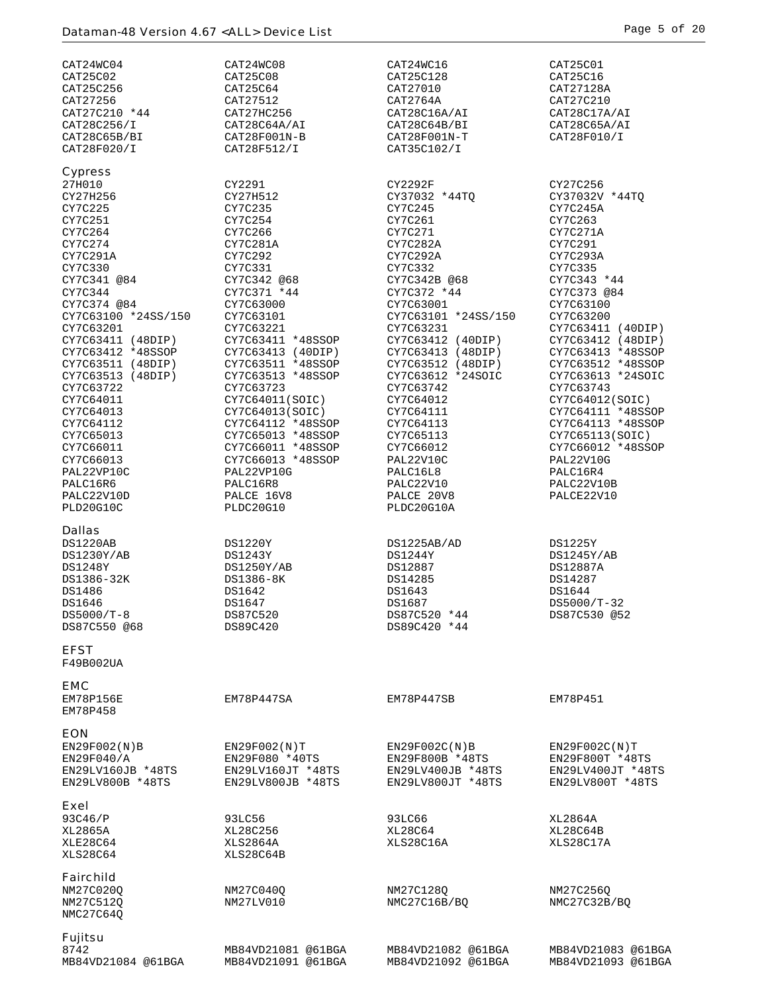| CAT24WC04              | CAT24WC08          | CAT24WC16           | CAT25C01           |
|------------------------|--------------------|---------------------|--------------------|
| CAT25C02               | CAT25C08           | CAT25C128           | CAT25C16           |
| CAT25C256              | CAT25C64           | CAT27010            | CAT27128A          |
| CAT27256               | CAT27512           | CAT2764A            | CAT27C210          |
| CAT27C210 *44          | CAT27HC256         | CAT28C16A/AI        | CAT28C17A/AI       |
| CAT28C256/I            | CAT28C64A/AI       | CAT28C64B/BI        | CAT28C65A/AI       |
| CAT28C65B/BI           | CAT28F001N-B       | CAT28F001N-T        | CAT28F010/I        |
| CAT28F020/I            | CAT28F512/I        | CAT35C102/I         |                    |
| <b>Cypress</b>         |                    |                     |                    |
| 27H010                 | CY2291             | CY2292F             | CY27C256           |
| CY27H256               | CY27H512           | CY37032 *44TO       | CY37032V *44TQ     |
| CY7C225                | CY7C235            | CY7C245             | CY7C245A           |
| CY7C251                | CY7C254            | CY7C261             | CY7C263            |
| CY7C264                | CY7C266            | CY7C271             | CY7C271A           |
| CY7C274                | CY7C281A           | CY7C282A            | CY7C291            |
| CY7C291A               | CY7C292            | CY7C292A            | CY7C293A           |
| CY7C330                | CY7C331            | CY7C332             | CY7C335            |
| CY7C341 @84            | CY7C342 @68        | CY7C342B @68        | CY7C343 *44        |
| CY7C344                | CY7C371 *44        | CY7C372 *44         | CY7C373 @84        |
| CY7C374 @84            | CY7C63000          | CY7C63001           | CY7C63100          |
| CY7C63100 *24SS/150    | CY7C63101          | CY7C63101 *24SS/150 | CY7C63200          |
| CY7C63201              | CY7C63221          | CY7C63231           | CY7C63411 (40DIP)  |
| CY7C63411 (48DIP)      | CY7C63411 *48SSOP  | CY7C63412 (40DIP)   | CY7C63412 (48DIP)  |
| CY7C63412 *48SSOP      | CY7C63413 (40DIP)  | CY7C63413 (48DIP)   | CY7C63413 *48SSOP  |
| CY7C63511 (48DIP)      | CY7C63511 *48SSOP  | CY7C63512 (48DIP)   | CY7C63512 *48SSOP  |
| CY7C63513 (48DIP)      | CY7C63513 *48SSOP  | CY7C63612 *24SOIC   | CY7C63613 *24SOIC  |
| CY7C63722              | CY7C63723          | CY7C63742           | CY7C63743          |
| CY7C64011              | CY7C64011(SOIC)    | CY7C64012           | CY7C64012(SOIC)    |
| CY7C64013              | CY7C64013(SOIC)    | CY7C64111           | CY7C64111 *48SSOP  |
| CY7C64112              | CY7C64112 *48SSOP  | CY7C64113           | CY7C64113 *48SSOP  |
| CY7C65013              | CY7C65013 *48SSOP  | CY7C65113           | CY7C65113(SOIC)    |
| CY7C66011              | CY7C66011 *48SSOP  | CY7C66012           | CY7C66012 *48SSOP  |
| CY7C66013              | CY7C66013 *48SSOP  | PAL22V10C           | PAL22V10G          |
| PAL22VP10C             | PAL22VP10G         | PALC16L8            | PALC16R4           |
| PALC16R6               | PALC16R8           | PALC22V10           | PALC22V10B         |
| PALC22V10D             | PALCE 16V8         | PALCE 20V8          | PALCE22V10         |
| PLD20G10C              | PLDC20G10          | PLDC20G10A          |                    |
|                        |                    |                     |                    |
| <b>Dallas</b>          |                    |                     |                    |
| DS1220AB               | DS1220Y            | DS1225AB/AD         | DS1225Y            |
| DS1230Y/AB             | DS1243Y            | DS1244Y             | DS1245Y/AB         |
| DS1248Y                | DS1250Y/AB         | DS12887             | DS12887A           |
| DS1386-32K             | DS1386-8K          | DS14285             | DS14287            |
| DS1486                 | DS1642             | DS1643              | DS1644             |
| DS1646                 | DS1647             | DS1687              | DS5000/T-32        |
| DS5000/T-8             | DS87C520           | DS87C520 *44        | DS87C530 @52       |
| DS87C550 @68           | DS89C420           | DS89C420 *44        |                    |
| <b>EFST</b>            |                    |                     |                    |
| F49B002UA              |                    |                     |                    |
|                        |                    |                     |                    |
| <b>EMC</b>             |                    |                     |                    |
| EM78P156E              | EM78P447SA         | EM78P447SB          | EM78P451           |
| EM78P458               |                    |                     |                    |
|                        |                    |                     |                    |
|                        |                    |                     |                    |
| <b>EON</b>             |                    |                     |                    |
| EN29F002(N)B           | EN29F002(N)T       | EN29F002C(N)B       | EN29F002C(N)T      |
| EN29F040/A             | EN29F080 *40TS     | EN29F800B *48TS     | EN29F800T *48TS    |
| EN29LV160JB *48TS      | EN29LV160JT *48TS  | EN29LV400JB *48TS   | EN29LV400JT *48TS  |
| EN29LV800B *48TS       | EN29LV800JB *48TS  | EN29LV800JT *48TS   | EN29LV800T *48TS   |
|                        |                    |                     |                    |
| Exel                   |                    |                     |                    |
| 93C46/P                | 93LC56             | 93LC66              | XL2864A            |
| XL2865A                | XL28C256           | XL28C64             | XL28C64B           |
| XLE28C64               | XLS2864A           | XLS28C16A           | XLS28C17A          |
| XLS28C64               | XLS28C64B          |                     |                    |
|                        |                    |                     |                    |
| <b>Fairchild</b>       |                    |                     |                    |
| NM27C020Q              | NM27C040Q          | NM27C128Q           | NM27C256Q          |
| NM27C512Q              | NM27LV010          | NMC27C16B/BQ        | NMC27C32B/BQ       |
| NMC27C64Q              |                    |                     |                    |
|                        |                    |                     |                    |
| <b>Fujitsu</b><br>8742 | MB84VD21081 @61BGA | MB84VD21082 @61BGA  | MB84VD21083 @61BGA |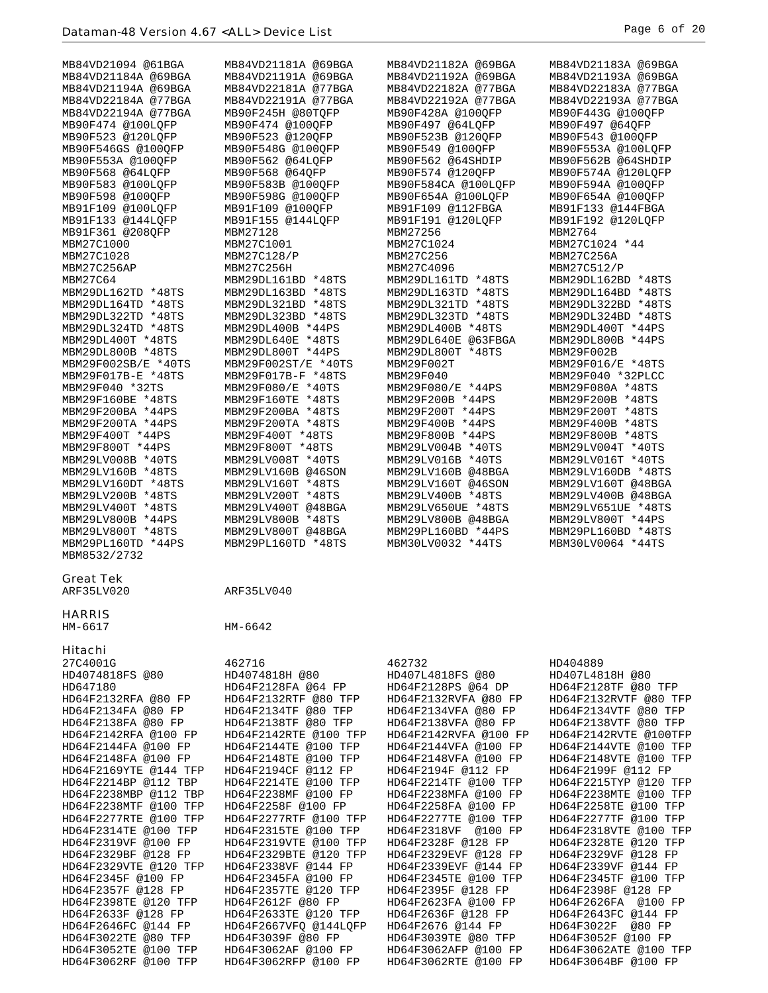| MB84VD21184A @69BGA<br>MB84VD21191A @69BGA<br>MB84VD21192A @69BGA<br>MB84VD21193A @69BGA<br>MB84VD21194A @69BGA<br>MB84VD22181A @77BGA<br>MB84VD22182A @77BGA<br>MB84VD22183A @77BGA<br>MB84VD22184A @77BGA<br>MB84VD22191A @77BGA<br>MB84VD22192A @77BGA<br>MB84VD22193A @77BGA<br>MB84VD22194A @77BGA<br>MB90F245H @80TQFP<br>MB90F428A @100QFP<br>MB90F443G @100QFP<br>MB90F474 @100OFP<br>MB90F497 @64LQFP<br>MB90F474 @100LQFP<br>MB90F497 @64QFP<br>MB90F523 @120LQFP<br>MB90F523 @120QFP<br>MB90F523B @120QFP<br>MB90F543 @100OFP<br>MB90F546GS @100QFP<br>MB90F548G @100QFP<br>MB90F549 @100QFP<br>MB90F553A @100LQFP<br>MB90F562 @64LOFP<br>MB90F562 @64SHDIP<br>MB90F562B @64SHDIP<br>MB90F568 @64LQFP<br>MB90F568 @64QFP<br>MB90F574 @120QFP<br>MB90F574A @120LQFP<br>MB90F583 @100LQFP<br>MB90F583B @100QFP<br>MB90F584CA @100LOFP<br>MB90F594A @100QFP<br>MB90F598 @100OFP<br>MB90F598G @100QFP<br>MB90F654A @100LQFP<br>MB90F654A @100OFP<br>MB91F109 @100LOFP<br>MB91F109 @100QFP<br>MB91F109 @112FBGA<br>MB91F133 @144FBGA<br>MB91F133 @144LQFP<br>MB91F155 @144LOFP<br>MB91F191 @120LOFP<br>MB91F192 @120LOFP<br>MB91F361 @208QFP<br>MBM27256<br>MBM2764<br>MBM27128<br>MBM27C1000<br>MBM27C1001<br>MBM27C1024<br>MBM27C1024 *44<br>MBM27C1028<br>MBM27C128/P<br>MBM27C256<br>MBM27C256A<br>MBM27C256AP<br>MBM27C256H<br>MBM27C4096<br>MBM27C512/P<br>MBM29DL161BD *48TS<br>MBM29DL162BD *48TS<br>MBM27C64<br>MBM29DL161TD *48TS<br>MBM29DL162TD *48TS<br>MBM29DL163BD *48TS<br>MBM29DL163TD *48TS<br>MBM29DL164BD *48TS<br>MBM29DL164TD *48TS<br>MBM29DL321BD *48TS<br>MBM29DL321TD *48TS<br>MBM29DL322BD *48TS<br>MBM29DL322TD *48TS<br>MBM29DL323BD *48TS<br>MBM29DL323TD *48TS<br>MBM29DL324BD *48TS<br>MBM29DL324TD *48TS<br>MBM29DL400B *44PS<br>MBM29DL400B *48TS<br>MBM29DL400T *44PS<br>MBM29DL400T *48TS<br>MBM29DL640E *48TS<br>MBM29DL640E @63FBGA<br>MBM29DL800B *44PS<br>MBM29DL800B *48TS<br>MBM29DL800T *44PS<br>MBM29DL800T *48TS<br>MBM29F002B<br>MBM29F002SB/E *40TS<br>MBM29F002ST/E *40TS<br>MBM29F002T<br>MBM29F016/E *48TS<br>MBM29F017B-E *48TS<br>MBM29F017B-F *48TS<br>MBM29F040 *32PLCC<br>MBM29F040<br>MBM29F040 *32TS<br>MBM29F080/E *40TS<br>MBM29F080/E *44PS<br>MBM29F080A *48TS<br>MBM29F160TE *48TS<br>MBM29F200B *44PS<br>MBM29F200B *48TS<br>MBM29F160BE *48TS<br>MBM29F200BA *44PS<br>MBM29F200BA *48TS<br>MBM29F200T *44PS<br>MBM29F200T *48TS<br>MBM29F200TA *48TS<br>MBM29F200TA *44PS<br>MBM29F400B *44PS<br>MBM29F400B *48TS<br>MBM29F400T *44PS<br>MBM29F400T *48TS<br>MBM29F800B *44PS<br>MBM29F800B *48TS<br>MBM29F800T *44PS<br>MBM29F800T *48TS<br>MBM29LV004B *40TS<br>MBM29LV004T *40TS<br>MBM29LV008B *40TS<br>MBM29LV008T *40TS<br>MBM29LV016B *40TS<br>MBM29LV016T *40TS<br>MBM29LV160B *48TS<br>MBM29LV160B @46SON<br>MBM29LV160B @48BGA<br>MBM29LV160DB *48TS<br>MBM29LV160T @48BGA<br>MBM29LV160DT *48TS<br>MBM29LV160T *48TS<br>MBM29LV160T @46SON<br>MBM29LV200B *48TS<br>MBM29LV200T *48TS<br>MBM29LV400B *48TS<br>MBM29LV400B @48BGA<br>MBM29LV400T *48TS<br>MBM29LV400T @48BGA<br>MBM29LV650UE *48TS<br>MBM29LV651UE *48TS<br>MBM29LV800B *48TS<br>MBM29LV800B @48BGA<br>MBM29LV800T *44PS<br>MBM29LV800B *44PS<br>MBM29LV800T @48BGA<br>MBM29LV800T *48TS<br>MBM29PL160BD *44PS<br>MBM29PL160BD *48TS<br>MBM29PL160TD *44PS<br>MBM29PL160TD *48TS<br>MBM30LV0064 *44TS<br>MBM30LV0032 *44TS<br>MBM8532/2732<br><b>Great Tek</b><br>ARF35LV020<br>ARF35LV040<br><b>HARRIS</b><br>HM-6617<br>HM-6642<br>Hitachi<br>27C4001G<br>462716<br>462732<br>HD404889<br>HD4074818FS @80<br>HD4074818H @80<br>HD407L4818FS @80<br>HD407L4818H @80<br>HD647180<br>HD64F2128FA @64 FP<br>HD64F2128PS @64 DP<br>HD64F2128TF @80 TFP<br>HD64F2132RFA @80 FP<br>HD64F2132RTF @80 TFP<br>HD64F2132RVFA @80 FP<br>HD64F2132RVTF @80 TFP<br>HD64F2134VFA @80 FP<br>HD64F2134VTF @80 TFP<br>HD64F2134FA @80 FP<br>HD64F2134TF @80 TFP<br>HD64F2138VTF @80 TFP<br>HD64F2138FA @80 FP<br>HD64F2138TF @80 TFP<br>HD64F2138VFA @80 FP<br>HD64F2142RFA @100 FP<br>HD64F2142RTE @100 TFP<br>HD64F2142RVFA @100 FP<br>HD64F2142RVTE @100TFP<br>HD64F2144TE @100 TFP<br>HD64F2144VTE @100 TFP<br>HD64F2144FA @100 FP<br>HD64F2144VFA @100 FP<br>HD64F2148FA @100 FP<br>HD64F2148TE @100 TFP<br>HD64F2148VFA @100 FP<br>HD64F2148VTE @100 TFP<br>HD64F2169YTE @144 TFP<br>HD64F2194CF @112 FP<br>HD64F2194F @112 FP<br>HD64F2199F @112 FP<br>HD64F2214BP @112 TBP<br>HD64F2214TE @100 TFP<br>HD64F2214TF @100 TFP<br>HD64F2215TYP @120 TFP<br>HD64F2238MBP @112 TBP<br>HD64F2238MF @100 FP<br>HD64F2238MFA @100 FP<br>HD64F2238MTE @100 TFP<br>HD64F2238MTF @100 TFP<br>HD64F2258F @100 FP<br>HD64F2258FA @100 FP<br>HD64F2258TE @100 TFP<br>HD64F2277RTE @100 TFP<br>HD64F2277RTF @100 TFP<br>HD64F2277TE @100 TFP<br>HD64F2277TF @100 TFP<br>HD64F2314TE @100 TFP<br>HD64F2315TE @100 TFP<br>HD64F2318VF @100 FP<br>HD64F2318VTE @100 TFP<br>HD64F2319VF @100 FP<br>HD64F2319VTE @100 TFP<br>HD64F2328F @128 FP<br>HD64F2328TE @120 TFP<br>HD64F2329VF @128 FP<br>HD64F2329BF @128 FP<br>HD64F2329BTE @120 TFP<br>HD64F2329EVF @128 FP<br>HD64F2329VTE @120 TFP<br>HD64F2338VF @144 FP<br>HD64F2339EVF @144 FP<br>HD64F2339VF @144 FP<br>HD64F2345F @100 FP<br>HD64F2345FA @100 FP<br>HD64F2345TF @100 TFP<br>HD64F2345TE @100 TFP<br>HD64F2357F @128 FP<br>HD64F2357TE @120 TFP<br>HD64F2395F @128 FP<br>HD64F2398F @128 FP<br>HD64F2398TE @120 TFP<br>HD64F2612F @80 FP<br>HD64F2623FA @100 FP<br>HD64F2626FA @100 FP<br>HD64F2633F @128 FP<br>HD64F2633TE @120 TFP<br>HD64F2636F @128 FP<br>HD64F2643FC @144 FP<br>HD64F2646FC @144 FP<br>HD64F2667VFQ @144LQFP<br>HD64F2676 @144 FP<br>HD64F3022F<br>@80 FP | MB84VD21094 @61BGA | MB84VD21181A @69BGA | MB84VD21182A @69BGA | MB84VD21183A @69BGA |
|-------------------------------------------------------------------------------------------------------------------------------------------------------------------------------------------------------------------------------------------------------------------------------------------------------------------------------------------------------------------------------------------------------------------------------------------------------------------------------------------------------------------------------------------------------------------------------------------------------------------------------------------------------------------------------------------------------------------------------------------------------------------------------------------------------------------------------------------------------------------------------------------------------------------------------------------------------------------------------------------------------------------------------------------------------------------------------------------------------------------------------------------------------------------------------------------------------------------------------------------------------------------------------------------------------------------------------------------------------------------------------------------------------------------------------------------------------------------------------------------------------------------------------------------------------------------------------------------------------------------------------------------------------------------------------------------------------------------------------------------------------------------------------------------------------------------------------------------------------------------------------------------------------------------------------------------------------------------------------------------------------------------------------------------------------------------------------------------------------------------------------------------------------------------------------------------------------------------------------------------------------------------------------------------------------------------------------------------------------------------------------------------------------------------------------------------------------------------------------------------------------------------------------------------------------------------------------------------------------------------------------------------------------------------------------------------------------------------------------------------------------------------------------------------------------------------------------------------------------------------------------------------------------------------------------------------------------------------------------------------------------------------------------------------------------------------------------------------------------------------------------------------------------------------------------------------------------------------------------------------------------------------------------------------------------------------------------------------------------------------------------------------------------------------------------------------------------------------------------------------------------------------------------------------------------------------------------------------------------------------------------------------------------------------------------------------------------------------------------------------------------------------------------------------------------------------------------------------------------------------------------------------------------------------------------------------------------------------------------------------------------------------------------------------------------------------------------------------------------------------------------------------------------------------------------------------------------------------------------------------------------------------------------------------------------------------------------------------------------------------------------------------------------------------------------------------------------------------------------------------------------------------------------------------------------------------------------------------------------------------------------------------------------------------------------------------------------------------------------------------------------------------------------------------------------------------------------------------------------------------------------------------------------------------------------------------------------------------------------------------------------------------------------------------------------------------------------------------------------------------------------------------------------------------------------------------------------------------------------------------------------------------------------------------------------------------------------------------------------------------------------------------------------------------------------------------------------------------------------------------------------------------------------------------------------------------------------------------------------------------------------------------------------------------|--------------------|---------------------|---------------------|---------------------|
|                                                                                                                                                                                                                                                                                                                                                                                                                                                                                                                                                                                                                                                                                                                                                                                                                                                                                                                                                                                                                                                                                                                                                                                                                                                                                                                                                                                                                                                                                                                                                                                                                                                                                                                                                                                                                                                                                                                                                                                                                                                                                                                                                                                                                                                                                                                                                                                                                                                                                                                                                                                                                                                                                                                                                                                                                                                                                                                                                                                                                                                                                                                                                                                                                                                                                                                                                                                                                                                                                                                                                                                                                                                                                                                                                                                                                                                                                                                                                                                                                                                                                                                                                                                                                                                                                                                                                                                                                                                                                                                                                                                                                                                                                                                                                                                                                                                                                                                                                                                                                                                                                                                                                                                                                                                                                                                                                                                                                                                                                                                                                                                                                                                                   |                    |                     |                     |                     |
|                                                                                                                                                                                                                                                                                                                                                                                                                                                                                                                                                                                                                                                                                                                                                                                                                                                                                                                                                                                                                                                                                                                                                                                                                                                                                                                                                                                                                                                                                                                                                                                                                                                                                                                                                                                                                                                                                                                                                                                                                                                                                                                                                                                                                                                                                                                                                                                                                                                                                                                                                                                                                                                                                                                                                                                                                                                                                                                                                                                                                                                                                                                                                                                                                                                                                                                                                                                                                                                                                                                                                                                                                                                                                                                                                                                                                                                                                                                                                                                                                                                                                                                                                                                                                                                                                                                                                                                                                                                                                                                                                                                                                                                                                                                                                                                                                                                                                                                                                                                                                                                                                                                                                                                                                                                                                                                                                                                                                                                                                                                                                                                                                                                                   |                    |                     |                     |                     |
|                                                                                                                                                                                                                                                                                                                                                                                                                                                                                                                                                                                                                                                                                                                                                                                                                                                                                                                                                                                                                                                                                                                                                                                                                                                                                                                                                                                                                                                                                                                                                                                                                                                                                                                                                                                                                                                                                                                                                                                                                                                                                                                                                                                                                                                                                                                                                                                                                                                                                                                                                                                                                                                                                                                                                                                                                                                                                                                                                                                                                                                                                                                                                                                                                                                                                                                                                                                                                                                                                                                                                                                                                                                                                                                                                                                                                                                                                                                                                                                                                                                                                                                                                                                                                                                                                                                                                                                                                                                                                                                                                                                                                                                                                                                                                                                                                                                                                                                                                                                                                                                                                                                                                                                                                                                                                                                                                                                                                                                                                                                                                                                                                                                                   |                    |                     |                     |                     |
|                                                                                                                                                                                                                                                                                                                                                                                                                                                                                                                                                                                                                                                                                                                                                                                                                                                                                                                                                                                                                                                                                                                                                                                                                                                                                                                                                                                                                                                                                                                                                                                                                                                                                                                                                                                                                                                                                                                                                                                                                                                                                                                                                                                                                                                                                                                                                                                                                                                                                                                                                                                                                                                                                                                                                                                                                                                                                                                                                                                                                                                                                                                                                                                                                                                                                                                                                                                                                                                                                                                                                                                                                                                                                                                                                                                                                                                                                                                                                                                                                                                                                                                                                                                                                                                                                                                                                                                                                                                                                                                                                                                                                                                                                                                                                                                                                                                                                                                                                                                                                                                                                                                                                                                                                                                                                                                                                                                                                                                                                                                                                                                                                                                                   |                    |                     |                     |                     |
|                                                                                                                                                                                                                                                                                                                                                                                                                                                                                                                                                                                                                                                                                                                                                                                                                                                                                                                                                                                                                                                                                                                                                                                                                                                                                                                                                                                                                                                                                                                                                                                                                                                                                                                                                                                                                                                                                                                                                                                                                                                                                                                                                                                                                                                                                                                                                                                                                                                                                                                                                                                                                                                                                                                                                                                                                                                                                                                                                                                                                                                                                                                                                                                                                                                                                                                                                                                                                                                                                                                                                                                                                                                                                                                                                                                                                                                                                                                                                                                                                                                                                                                                                                                                                                                                                                                                                                                                                                                                                                                                                                                                                                                                                                                                                                                                                                                                                                                                                                                                                                                                                                                                                                                                                                                                                                                                                                                                                                                                                                                                                                                                                                                                   |                    |                     |                     |                     |
|                                                                                                                                                                                                                                                                                                                                                                                                                                                                                                                                                                                                                                                                                                                                                                                                                                                                                                                                                                                                                                                                                                                                                                                                                                                                                                                                                                                                                                                                                                                                                                                                                                                                                                                                                                                                                                                                                                                                                                                                                                                                                                                                                                                                                                                                                                                                                                                                                                                                                                                                                                                                                                                                                                                                                                                                                                                                                                                                                                                                                                                                                                                                                                                                                                                                                                                                                                                                                                                                                                                                                                                                                                                                                                                                                                                                                                                                                                                                                                                                                                                                                                                                                                                                                                                                                                                                                                                                                                                                                                                                                                                                                                                                                                                                                                                                                                                                                                                                                                                                                                                                                                                                                                                                                                                                                                                                                                                                                                                                                                                                                                                                                                                                   |                    |                     |                     |                     |
|                                                                                                                                                                                                                                                                                                                                                                                                                                                                                                                                                                                                                                                                                                                                                                                                                                                                                                                                                                                                                                                                                                                                                                                                                                                                                                                                                                                                                                                                                                                                                                                                                                                                                                                                                                                                                                                                                                                                                                                                                                                                                                                                                                                                                                                                                                                                                                                                                                                                                                                                                                                                                                                                                                                                                                                                                                                                                                                                                                                                                                                                                                                                                                                                                                                                                                                                                                                                                                                                                                                                                                                                                                                                                                                                                                                                                                                                                                                                                                                                                                                                                                                                                                                                                                                                                                                                                                                                                                                                                                                                                                                                                                                                                                                                                                                                                                                                                                                                                                                                                                                                                                                                                                                                                                                                                                                                                                                                                                                                                                                                                                                                                                                                   |                    |                     |                     |                     |
|                                                                                                                                                                                                                                                                                                                                                                                                                                                                                                                                                                                                                                                                                                                                                                                                                                                                                                                                                                                                                                                                                                                                                                                                                                                                                                                                                                                                                                                                                                                                                                                                                                                                                                                                                                                                                                                                                                                                                                                                                                                                                                                                                                                                                                                                                                                                                                                                                                                                                                                                                                                                                                                                                                                                                                                                                                                                                                                                                                                                                                                                                                                                                                                                                                                                                                                                                                                                                                                                                                                                                                                                                                                                                                                                                                                                                                                                                                                                                                                                                                                                                                                                                                                                                                                                                                                                                                                                                                                                                                                                                                                                                                                                                                                                                                                                                                                                                                                                                                                                                                                                                                                                                                                                                                                                                                                                                                                                                                                                                                                                                                                                                                                                   | MB90F553A @100OFP  |                     |                     |                     |
|                                                                                                                                                                                                                                                                                                                                                                                                                                                                                                                                                                                                                                                                                                                                                                                                                                                                                                                                                                                                                                                                                                                                                                                                                                                                                                                                                                                                                                                                                                                                                                                                                                                                                                                                                                                                                                                                                                                                                                                                                                                                                                                                                                                                                                                                                                                                                                                                                                                                                                                                                                                                                                                                                                                                                                                                                                                                                                                                                                                                                                                                                                                                                                                                                                                                                                                                                                                                                                                                                                                                                                                                                                                                                                                                                                                                                                                                                                                                                                                                                                                                                                                                                                                                                                                                                                                                                                                                                                                                                                                                                                                                                                                                                                                                                                                                                                                                                                                                                                                                                                                                                                                                                                                                                                                                                                                                                                                                                                                                                                                                                                                                                                                                   |                    |                     |                     |                     |
|                                                                                                                                                                                                                                                                                                                                                                                                                                                                                                                                                                                                                                                                                                                                                                                                                                                                                                                                                                                                                                                                                                                                                                                                                                                                                                                                                                                                                                                                                                                                                                                                                                                                                                                                                                                                                                                                                                                                                                                                                                                                                                                                                                                                                                                                                                                                                                                                                                                                                                                                                                                                                                                                                                                                                                                                                                                                                                                                                                                                                                                                                                                                                                                                                                                                                                                                                                                                                                                                                                                                                                                                                                                                                                                                                                                                                                                                                                                                                                                                                                                                                                                                                                                                                                                                                                                                                                                                                                                                                                                                                                                                                                                                                                                                                                                                                                                                                                                                                                                                                                                                                                                                                                                                                                                                                                                                                                                                                                                                                                                                                                                                                                                                   |                    |                     |                     |                     |
|                                                                                                                                                                                                                                                                                                                                                                                                                                                                                                                                                                                                                                                                                                                                                                                                                                                                                                                                                                                                                                                                                                                                                                                                                                                                                                                                                                                                                                                                                                                                                                                                                                                                                                                                                                                                                                                                                                                                                                                                                                                                                                                                                                                                                                                                                                                                                                                                                                                                                                                                                                                                                                                                                                                                                                                                                                                                                                                                                                                                                                                                                                                                                                                                                                                                                                                                                                                                                                                                                                                                                                                                                                                                                                                                                                                                                                                                                                                                                                                                                                                                                                                                                                                                                                                                                                                                                                                                                                                                                                                                                                                                                                                                                                                                                                                                                                                                                                                                                                                                                                                                                                                                                                                                                                                                                                                                                                                                                                                                                                                                                                                                                                                                   |                    |                     |                     |                     |
|                                                                                                                                                                                                                                                                                                                                                                                                                                                                                                                                                                                                                                                                                                                                                                                                                                                                                                                                                                                                                                                                                                                                                                                                                                                                                                                                                                                                                                                                                                                                                                                                                                                                                                                                                                                                                                                                                                                                                                                                                                                                                                                                                                                                                                                                                                                                                                                                                                                                                                                                                                                                                                                                                                                                                                                                                                                                                                                                                                                                                                                                                                                                                                                                                                                                                                                                                                                                                                                                                                                                                                                                                                                                                                                                                                                                                                                                                                                                                                                                                                                                                                                                                                                                                                                                                                                                                                                                                                                                                                                                                                                                                                                                                                                                                                                                                                                                                                                                                                                                                                                                                                                                                                                                                                                                                                                                                                                                                                                                                                                                                                                                                                                                   |                    |                     |                     |                     |
|                                                                                                                                                                                                                                                                                                                                                                                                                                                                                                                                                                                                                                                                                                                                                                                                                                                                                                                                                                                                                                                                                                                                                                                                                                                                                                                                                                                                                                                                                                                                                                                                                                                                                                                                                                                                                                                                                                                                                                                                                                                                                                                                                                                                                                                                                                                                                                                                                                                                                                                                                                                                                                                                                                                                                                                                                                                                                                                                                                                                                                                                                                                                                                                                                                                                                                                                                                                                                                                                                                                                                                                                                                                                                                                                                                                                                                                                                                                                                                                                                                                                                                                                                                                                                                                                                                                                                                                                                                                                                                                                                                                                                                                                                                                                                                                                                                                                                                                                                                                                                                                                                                                                                                                                                                                                                                                                                                                                                                                                                                                                                                                                                                                                   |                    |                     |                     |                     |
|                                                                                                                                                                                                                                                                                                                                                                                                                                                                                                                                                                                                                                                                                                                                                                                                                                                                                                                                                                                                                                                                                                                                                                                                                                                                                                                                                                                                                                                                                                                                                                                                                                                                                                                                                                                                                                                                                                                                                                                                                                                                                                                                                                                                                                                                                                                                                                                                                                                                                                                                                                                                                                                                                                                                                                                                                                                                                                                                                                                                                                                                                                                                                                                                                                                                                                                                                                                                                                                                                                                                                                                                                                                                                                                                                                                                                                                                                                                                                                                                                                                                                                                                                                                                                                                                                                                                                                                                                                                                                                                                                                                                                                                                                                                                                                                                                                                                                                                                                                                                                                                                                                                                                                                                                                                                                                                                                                                                                                                                                                                                                                                                                                                                   |                    |                     |                     |                     |
|                                                                                                                                                                                                                                                                                                                                                                                                                                                                                                                                                                                                                                                                                                                                                                                                                                                                                                                                                                                                                                                                                                                                                                                                                                                                                                                                                                                                                                                                                                                                                                                                                                                                                                                                                                                                                                                                                                                                                                                                                                                                                                                                                                                                                                                                                                                                                                                                                                                                                                                                                                                                                                                                                                                                                                                                                                                                                                                                                                                                                                                                                                                                                                                                                                                                                                                                                                                                                                                                                                                                                                                                                                                                                                                                                                                                                                                                                                                                                                                                                                                                                                                                                                                                                                                                                                                                                                                                                                                                                                                                                                                                                                                                                                                                                                                                                                                                                                                                                                                                                                                                                                                                                                                                                                                                                                                                                                                                                                                                                                                                                                                                                                                                   |                    |                     |                     |                     |
|                                                                                                                                                                                                                                                                                                                                                                                                                                                                                                                                                                                                                                                                                                                                                                                                                                                                                                                                                                                                                                                                                                                                                                                                                                                                                                                                                                                                                                                                                                                                                                                                                                                                                                                                                                                                                                                                                                                                                                                                                                                                                                                                                                                                                                                                                                                                                                                                                                                                                                                                                                                                                                                                                                                                                                                                                                                                                                                                                                                                                                                                                                                                                                                                                                                                                                                                                                                                                                                                                                                                                                                                                                                                                                                                                                                                                                                                                                                                                                                                                                                                                                                                                                                                                                                                                                                                                                                                                                                                                                                                                                                                                                                                                                                                                                                                                                                                                                                                                                                                                                                                                                                                                                                                                                                                                                                                                                                                                                                                                                                                                                                                                                                                   |                    |                     |                     |                     |
|                                                                                                                                                                                                                                                                                                                                                                                                                                                                                                                                                                                                                                                                                                                                                                                                                                                                                                                                                                                                                                                                                                                                                                                                                                                                                                                                                                                                                                                                                                                                                                                                                                                                                                                                                                                                                                                                                                                                                                                                                                                                                                                                                                                                                                                                                                                                                                                                                                                                                                                                                                                                                                                                                                                                                                                                                                                                                                                                                                                                                                                                                                                                                                                                                                                                                                                                                                                                                                                                                                                                                                                                                                                                                                                                                                                                                                                                                                                                                                                                                                                                                                                                                                                                                                                                                                                                                                                                                                                                                                                                                                                                                                                                                                                                                                                                                                                                                                                                                                                                                                                                                                                                                                                                                                                                                                                                                                                                                                                                                                                                                                                                                                                                   |                    |                     |                     |                     |
|                                                                                                                                                                                                                                                                                                                                                                                                                                                                                                                                                                                                                                                                                                                                                                                                                                                                                                                                                                                                                                                                                                                                                                                                                                                                                                                                                                                                                                                                                                                                                                                                                                                                                                                                                                                                                                                                                                                                                                                                                                                                                                                                                                                                                                                                                                                                                                                                                                                                                                                                                                                                                                                                                                                                                                                                                                                                                                                                                                                                                                                                                                                                                                                                                                                                                                                                                                                                                                                                                                                                                                                                                                                                                                                                                                                                                                                                                                                                                                                                                                                                                                                                                                                                                                                                                                                                                                                                                                                                                                                                                                                                                                                                                                                                                                                                                                                                                                                                                                                                                                                                                                                                                                                                                                                                                                                                                                                                                                                                                                                                                                                                                                                                   |                    |                     |                     |                     |
|                                                                                                                                                                                                                                                                                                                                                                                                                                                                                                                                                                                                                                                                                                                                                                                                                                                                                                                                                                                                                                                                                                                                                                                                                                                                                                                                                                                                                                                                                                                                                                                                                                                                                                                                                                                                                                                                                                                                                                                                                                                                                                                                                                                                                                                                                                                                                                                                                                                                                                                                                                                                                                                                                                                                                                                                                                                                                                                                                                                                                                                                                                                                                                                                                                                                                                                                                                                                                                                                                                                                                                                                                                                                                                                                                                                                                                                                                                                                                                                                                                                                                                                                                                                                                                                                                                                                                                                                                                                                                                                                                                                                                                                                                                                                                                                                                                                                                                                                                                                                                                                                                                                                                                                                                                                                                                                                                                                                                                                                                                                                                                                                                                                                   |                    |                     |                     |                     |
|                                                                                                                                                                                                                                                                                                                                                                                                                                                                                                                                                                                                                                                                                                                                                                                                                                                                                                                                                                                                                                                                                                                                                                                                                                                                                                                                                                                                                                                                                                                                                                                                                                                                                                                                                                                                                                                                                                                                                                                                                                                                                                                                                                                                                                                                                                                                                                                                                                                                                                                                                                                                                                                                                                                                                                                                                                                                                                                                                                                                                                                                                                                                                                                                                                                                                                                                                                                                                                                                                                                                                                                                                                                                                                                                                                                                                                                                                                                                                                                                                                                                                                                                                                                                                                                                                                                                                                                                                                                                                                                                                                                                                                                                                                                                                                                                                                                                                                                                                                                                                                                                                                                                                                                                                                                                                                                                                                                                                                                                                                                                                                                                                                                                   |                    |                     |                     |                     |
|                                                                                                                                                                                                                                                                                                                                                                                                                                                                                                                                                                                                                                                                                                                                                                                                                                                                                                                                                                                                                                                                                                                                                                                                                                                                                                                                                                                                                                                                                                                                                                                                                                                                                                                                                                                                                                                                                                                                                                                                                                                                                                                                                                                                                                                                                                                                                                                                                                                                                                                                                                                                                                                                                                                                                                                                                                                                                                                                                                                                                                                                                                                                                                                                                                                                                                                                                                                                                                                                                                                                                                                                                                                                                                                                                                                                                                                                                                                                                                                                                                                                                                                                                                                                                                                                                                                                                                                                                                                                                                                                                                                                                                                                                                                                                                                                                                                                                                                                                                                                                                                                                                                                                                                                                                                                                                                                                                                                                                                                                                                                                                                                                                                                   |                    |                     |                     |                     |
|                                                                                                                                                                                                                                                                                                                                                                                                                                                                                                                                                                                                                                                                                                                                                                                                                                                                                                                                                                                                                                                                                                                                                                                                                                                                                                                                                                                                                                                                                                                                                                                                                                                                                                                                                                                                                                                                                                                                                                                                                                                                                                                                                                                                                                                                                                                                                                                                                                                                                                                                                                                                                                                                                                                                                                                                                                                                                                                                                                                                                                                                                                                                                                                                                                                                                                                                                                                                                                                                                                                                                                                                                                                                                                                                                                                                                                                                                                                                                                                                                                                                                                                                                                                                                                                                                                                                                                                                                                                                                                                                                                                                                                                                                                                                                                                                                                                                                                                                                                                                                                                                                                                                                                                                                                                                                                                                                                                                                                                                                                                                                                                                                                                                   |                    |                     |                     |                     |
|                                                                                                                                                                                                                                                                                                                                                                                                                                                                                                                                                                                                                                                                                                                                                                                                                                                                                                                                                                                                                                                                                                                                                                                                                                                                                                                                                                                                                                                                                                                                                                                                                                                                                                                                                                                                                                                                                                                                                                                                                                                                                                                                                                                                                                                                                                                                                                                                                                                                                                                                                                                                                                                                                                                                                                                                                                                                                                                                                                                                                                                                                                                                                                                                                                                                                                                                                                                                                                                                                                                                                                                                                                                                                                                                                                                                                                                                                                                                                                                                                                                                                                                                                                                                                                                                                                                                                                                                                                                                                                                                                                                                                                                                                                                                                                                                                                                                                                                                                                                                                                                                                                                                                                                                                                                                                                                                                                                                                                                                                                                                                                                                                                                                   |                    |                     |                     |                     |
|                                                                                                                                                                                                                                                                                                                                                                                                                                                                                                                                                                                                                                                                                                                                                                                                                                                                                                                                                                                                                                                                                                                                                                                                                                                                                                                                                                                                                                                                                                                                                                                                                                                                                                                                                                                                                                                                                                                                                                                                                                                                                                                                                                                                                                                                                                                                                                                                                                                                                                                                                                                                                                                                                                                                                                                                                                                                                                                                                                                                                                                                                                                                                                                                                                                                                                                                                                                                                                                                                                                                                                                                                                                                                                                                                                                                                                                                                                                                                                                                                                                                                                                                                                                                                                                                                                                                                                                                                                                                                                                                                                                                                                                                                                                                                                                                                                                                                                                                                                                                                                                                                                                                                                                                                                                                                                                                                                                                                                                                                                                                                                                                                                                                   |                    |                     |                     |                     |
|                                                                                                                                                                                                                                                                                                                                                                                                                                                                                                                                                                                                                                                                                                                                                                                                                                                                                                                                                                                                                                                                                                                                                                                                                                                                                                                                                                                                                                                                                                                                                                                                                                                                                                                                                                                                                                                                                                                                                                                                                                                                                                                                                                                                                                                                                                                                                                                                                                                                                                                                                                                                                                                                                                                                                                                                                                                                                                                                                                                                                                                                                                                                                                                                                                                                                                                                                                                                                                                                                                                                                                                                                                                                                                                                                                                                                                                                                                                                                                                                                                                                                                                                                                                                                                                                                                                                                                                                                                                                                                                                                                                                                                                                                                                                                                                                                                                                                                                                                                                                                                                                                                                                                                                                                                                                                                                                                                                                                                                                                                                                                                                                                                                                   |                    |                     |                     |                     |
|                                                                                                                                                                                                                                                                                                                                                                                                                                                                                                                                                                                                                                                                                                                                                                                                                                                                                                                                                                                                                                                                                                                                                                                                                                                                                                                                                                                                                                                                                                                                                                                                                                                                                                                                                                                                                                                                                                                                                                                                                                                                                                                                                                                                                                                                                                                                                                                                                                                                                                                                                                                                                                                                                                                                                                                                                                                                                                                                                                                                                                                                                                                                                                                                                                                                                                                                                                                                                                                                                                                                                                                                                                                                                                                                                                                                                                                                                                                                                                                                                                                                                                                                                                                                                                                                                                                                                                                                                                                                                                                                                                                                                                                                                                                                                                                                                                                                                                                                                                                                                                                                                                                                                                                                                                                                                                                                                                                                                                                                                                                                                                                                                                                                   |                    |                     |                     |                     |
|                                                                                                                                                                                                                                                                                                                                                                                                                                                                                                                                                                                                                                                                                                                                                                                                                                                                                                                                                                                                                                                                                                                                                                                                                                                                                                                                                                                                                                                                                                                                                                                                                                                                                                                                                                                                                                                                                                                                                                                                                                                                                                                                                                                                                                                                                                                                                                                                                                                                                                                                                                                                                                                                                                                                                                                                                                                                                                                                                                                                                                                                                                                                                                                                                                                                                                                                                                                                                                                                                                                                                                                                                                                                                                                                                                                                                                                                                                                                                                                                                                                                                                                                                                                                                                                                                                                                                                                                                                                                                                                                                                                                                                                                                                                                                                                                                                                                                                                                                                                                                                                                                                                                                                                                                                                                                                                                                                                                                                                                                                                                                                                                                                                                   |                    |                     |                     |                     |
|                                                                                                                                                                                                                                                                                                                                                                                                                                                                                                                                                                                                                                                                                                                                                                                                                                                                                                                                                                                                                                                                                                                                                                                                                                                                                                                                                                                                                                                                                                                                                                                                                                                                                                                                                                                                                                                                                                                                                                                                                                                                                                                                                                                                                                                                                                                                                                                                                                                                                                                                                                                                                                                                                                                                                                                                                                                                                                                                                                                                                                                                                                                                                                                                                                                                                                                                                                                                                                                                                                                                                                                                                                                                                                                                                                                                                                                                                                                                                                                                                                                                                                                                                                                                                                                                                                                                                                                                                                                                                                                                                                                                                                                                                                                                                                                                                                                                                                                                                                                                                                                                                                                                                                                                                                                                                                                                                                                                                                                                                                                                                                                                                                                                   |                    |                     |                     |                     |
|                                                                                                                                                                                                                                                                                                                                                                                                                                                                                                                                                                                                                                                                                                                                                                                                                                                                                                                                                                                                                                                                                                                                                                                                                                                                                                                                                                                                                                                                                                                                                                                                                                                                                                                                                                                                                                                                                                                                                                                                                                                                                                                                                                                                                                                                                                                                                                                                                                                                                                                                                                                                                                                                                                                                                                                                                                                                                                                                                                                                                                                                                                                                                                                                                                                                                                                                                                                                                                                                                                                                                                                                                                                                                                                                                                                                                                                                                                                                                                                                                                                                                                                                                                                                                                                                                                                                                                                                                                                                                                                                                                                                                                                                                                                                                                                                                                                                                                                                                                                                                                                                                                                                                                                                                                                                                                                                                                                                                                                                                                                                                                                                                                                                   |                    |                     |                     |                     |
|                                                                                                                                                                                                                                                                                                                                                                                                                                                                                                                                                                                                                                                                                                                                                                                                                                                                                                                                                                                                                                                                                                                                                                                                                                                                                                                                                                                                                                                                                                                                                                                                                                                                                                                                                                                                                                                                                                                                                                                                                                                                                                                                                                                                                                                                                                                                                                                                                                                                                                                                                                                                                                                                                                                                                                                                                                                                                                                                                                                                                                                                                                                                                                                                                                                                                                                                                                                                                                                                                                                                                                                                                                                                                                                                                                                                                                                                                                                                                                                                                                                                                                                                                                                                                                                                                                                                                                                                                                                                                                                                                                                                                                                                                                                                                                                                                                                                                                                                                                                                                                                                                                                                                                                                                                                                                                                                                                                                                                                                                                                                                                                                                                                                   |                    |                     |                     |                     |
|                                                                                                                                                                                                                                                                                                                                                                                                                                                                                                                                                                                                                                                                                                                                                                                                                                                                                                                                                                                                                                                                                                                                                                                                                                                                                                                                                                                                                                                                                                                                                                                                                                                                                                                                                                                                                                                                                                                                                                                                                                                                                                                                                                                                                                                                                                                                                                                                                                                                                                                                                                                                                                                                                                                                                                                                                                                                                                                                                                                                                                                                                                                                                                                                                                                                                                                                                                                                                                                                                                                                                                                                                                                                                                                                                                                                                                                                                                                                                                                                                                                                                                                                                                                                                                                                                                                                                                                                                                                                                                                                                                                                                                                                                                                                                                                                                                                                                                                                                                                                                                                                                                                                                                                                                                                                                                                                                                                                                                                                                                                                                                                                                                                                   |                    |                     |                     |                     |
|                                                                                                                                                                                                                                                                                                                                                                                                                                                                                                                                                                                                                                                                                                                                                                                                                                                                                                                                                                                                                                                                                                                                                                                                                                                                                                                                                                                                                                                                                                                                                                                                                                                                                                                                                                                                                                                                                                                                                                                                                                                                                                                                                                                                                                                                                                                                                                                                                                                                                                                                                                                                                                                                                                                                                                                                                                                                                                                                                                                                                                                                                                                                                                                                                                                                                                                                                                                                                                                                                                                                                                                                                                                                                                                                                                                                                                                                                                                                                                                                                                                                                                                                                                                                                                                                                                                                                                                                                                                                                                                                                                                                                                                                                                                                                                                                                                                                                                                                                                                                                                                                                                                                                                                                                                                                                                                                                                                                                                                                                                                                                                                                                                                                   |                    |                     |                     |                     |
|                                                                                                                                                                                                                                                                                                                                                                                                                                                                                                                                                                                                                                                                                                                                                                                                                                                                                                                                                                                                                                                                                                                                                                                                                                                                                                                                                                                                                                                                                                                                                                                                                                                                                                                                                                                                                                                                                                                                                                                                                                                                                                                                                                                                                                                                                                                                                                                                                                                                                                                                                                                                                                                                                                                                                                                                                                                                                                                                                                                                                                                                                                                                                                                                                                                                                                                                                                                                                                                                                                                                                                                                                                                                                                                                                                                                                                                                                                                                                                                                                                                                                                                                                                                                                                                                                                                                                                                                                                                                                                                                                                                                                                                                                                                                                                                                                                                                                                                                                                                                                                                                                                                                                                                                                                                                                                                                                                                                                                                                                                                                                                                                                                                                   |                    |                     |                     |                     |
|                                                                                                                                                                                                                                                                                                                                                                                                                                                                                                                                                                                                                                                                                                                                                                                                                                                                                                                                                                                                                                                                                                                                                                                                                                                                                                                                                                                                                                                                                                                                                                                                                                                                                                                                                                                                                                                                                                                                                                                                                                                                                                                                                                                                                                                                                                                                                                                                                                                                                                                                                                                                                                                                                                                                                                                                                                                                                                                                                                                                                                                                                                                                                                                                                                                                                                                                                                                                                                                                                                                                                                                                                                                                                                                                                                                                                                                                                                                                                                                                                                                                                                                                                                                                                                                                                                                                                                                                                                                                                                                                                                                                                                                                                                                                                                                                                                                                                                                                                                                                                                                                                                                                                                                                                                                                                                                                                                                                                                                                                                                                                                                                                                                                   |                    |                     |                     |                     |
|                                                                                                                                                                                                                                                                                                                                                                                                                                                                                                                                                                                                                                                                                                                                                                                                                                                                                                                                                                                                                                                                                                                                                                                                                                                                                                                                                                                                                                                                                                                                                                                                                                                                                                                                                                                                                                                                                                                                                                                                                                                                                                                                                                                                                                                                                                                                                                                                                                                                                                                                                                                                                                                                                                                                                                                                                                                                                                                                                                                                                                                                                                                                                                                                                                                                                                                                                                                                                                                                                                                                                                                                                                                                                                                                                                                                                                                                                                                                                                                                                                                                                                                                                                                                                                                                                                                                                                                                                                                                                                                                                                                                                                                                                                                                                                                                                                                                                                                                                                                                                                                                                                                                                                                                                                                                                                                                                                                                                                                                                                                                                                                                                                                                   |                    |                     |                     |                     |
|                                                                                                                                                                                                                                                                                                                                                                                                                                                                                                                                                                                                                                                                                                                                                                                                                                                                                                                                                                                                                                                                                                                                                                                                                                                                                                                                                                                                                                                                                                                                                                                                                                                                                                                                                                                                                                                                                                                                                                                                                                                                                                                                                                                                                                                                                                                                                                                                                                                                                                                                                                                                                                                                                                                                                                                                                                                                                                                                                                                                                                                                                                                                                                                                                                                                                                                                                                                                                                                                                                                                                                                                                                                                                                                                                                                                                                                                                                                                                                                                                                                                                                                                                                                                                                                                                                                                                                                                                                                                                                                                                                                                                                                                                                                                                                                                                                                                                                                                                                                                                                                                                                                                                                                                                                                                                                                                                                                                                                                                                                                                                                                                                                                                   |                    |                     |                     |                     |
|                                                                                                                                                                                                                                                                                                                                                                                                                                                                                                                                                                                                                                                                                                                                                                                                                                                                                                                                                                                                                                                                                                                                                                                                                                                                                                                                                                                                                                                                                                                                                                                                                                                                                                                                                                                                                                                                                                                                                                                                                                                                                                                                                                                                                                                                                                                                                                                                                                                                                                                                                                                                                                                                                                                                                                                                                                                                                                                                                                                                                                                                                                                                                                                                                                                                                                                                                                                                                                                                                                                                                                                                                                                                                                                                                                                                                                                                                                                                                                                                                                                                                                                                                                                                                                                                                                                                                                                                                                                                                                                                                                                                                                                                                                                                                                                                                                                                                                                                                                                                                                                                                                                                                                                                                                                                                                                                                                                                                                                                                                                                                                                                                                                                   |                    |                     |                     |                     |
|                                                                                                                                                                                                                                                                                                                                                                                                                                                                                                                                                                                                                                                                                                                                                                                                                                                                                                                                                                                                                                                                                                                                                                                                                                                                                                                                                                                                                                                                                                                                                                                                                                                                                                                                                                                                                                                                                                                                                                                                                                                                                                                                                                                                                                                                                                                                                                                                                                                                                                                                                                                                                                                                                                                                                                                                                                                                                                                                                                                                                                                                                                                                                                                                                                                                                                                                                                                                                                                                                                                                                                                                                                                                                                                                                                                                                                                                                                                                                                                                                                                                                                                                                                                                                                                                                                                                                                                                                                                                                                                                                                                                                                                                                                                                                                                                                                                                                                                                                                                                                                                                                                                                                                                                                                                                                                                                                                                                                                                                                                                                                                                                                                                                   |                    |                     |                     |                     |
|                                                                                                                                                                                                                                                                                                                                                                                                                                                                                                                                                                                                                                                                                                                                                                                                                                                                                                                                                                                                                                                                                                                                                                                                                                                                                                                                                                                                                                                                                                                                                                                                                                                                                                                                                                                                                                                                                                                                                                                                                                                                                                                                                                                                                                                                                                                                                                                                                                                                                                                                                                                                                                                                                                                                                                                                                                                                                                                                                                                                                                                                                                                                                                                                                                                                                                                                                                                                                                                                                                                                                                                                                                                                                                                                                                                                                                                                                                                                                                                                                                                                                                                                                                                                                                                                                                                                                                                                                                                                                                                                                                                                                                                                                                                                                                                                                                                                                                                                                                                                                                                                                                                                                                                                                                                                                                                                                                                                                                                                                                                                                                                                                                                                   |                    |                     |                     |                     |
|                                                                                                                                                                                                                                                                                                                                                                                                                                                                                                                                                                                                                                                                                                                                                                                                                                                                                                                                                                                                                                                                                                                                                                                                                                                                                                                                                                                                                                                                                                                                                                                                                                                                                                                                                                                                                                                                                                                                                                                                                                                                                                                                                                                                                                                                                                                                                                                                                                                                                                                                                                                                                                                                                                                                                                                                                                                                                                                                                                                                                                                                                                                                                                                                                                                                                                                                                                                                                                                                                                                                                                                                                                                                                                                                                                                                                                                                                                                                                                                                                                                                                                                                                                                                                                                                                                                                                                                                                                                                                                                                                                                                                                                                                                                                                                                                                                                                                                                                                                                                                                                                                                                                                                                                                                                                                                                                                                                                                                                                                                                                                                                                                                                                   |                    |                     |                     |                     |
|                                                                                                                                                                                                                                                                                                                                                                                                                                                                                                                                                                                                                                                                                                                                                                                                                                                                                                                                                                                                                                                                                                                                                                                                                                                                                                                                                                                                                                                                                                                                                                                                                                                                                                                                                                                                                                                                                                                                                                                                                                                                                                                                                                                                                                                                                                                                                                                                                                                                                                                                                                                                                                                                                                                                                                                                                                                                                                                                                                                                                                                                                                                                                                                                                                                                                                                                                                                                                                                                                                                                                                                                                                                                                                                                                                                                                                                                                                                                                                                                                                                                                                                                                                                                                                                                                                                                                                                                                                                                                                                                                                                                                                                                                                                                                                                                                                                                                                                                                                                                                                                                                                                                                                                                                                                                                                                                                                                                                                                                                                                                                                                                                                                                   |                    |                     |                     |                     |
|                                                                                                                                                                                                                                                                                                                                                                                                                                                                                                                                                                                                                                                                                                                                                                                                                                                                                                                                                                                                                                                                                                                                                                                                                                                                                                                                                                                                                                                                                                                                                                                                                                                                                                                                                                                                                                                                                                                                                                                                                                                                                                                                                                                                                                                                                                                                                                                                                                                                                                                                                                                                                                                                                                                                                                                                                                                                                                                                                                                                                                                                                                                                                                                                                                                                                                                                                                                                                                                                                                                                                                                                                                                                                                                                                                                                                                                                                                                                                                                                                                                                                                                                                                                                                                                                                                                                                                                                                                                                                                                                                                                                                                                                                                                                                                                                                                                                                                                                                                                                                                                                                                                                                                                                                                                                                                                                                                                                                                                                                                                                                                                                                                                                   |                    |                     |                     |                     |
|                                                                                                                                                                                                                                                                                                                                                                                                                                                                                                                                                                                                                                                                                                                                                                                                                                                                                                                                                                                                                                                                                                                                                                                                                                                                                                                                                                                                                                                                                                                                                                                                                                                                                                                                                                                                                                                                                                                                                                                                                                                                                                                                                                                                                                                                                                                                                                                                                                                                                                                                                                                                                                                                                                                                                                                                                                                                                                                                                                                                                                                                                                                                                                                                                                                                                                                                                                                                                                                                                                                                                                                                                                                                                                                                                                                                                                                                                                                                                                                                                                                                                                                                                                                                                                                                                                                                                                                                                                                                                                                                                                                                                                                                                                                                                                                                                                                                                                                                                                                                                                                                                                                                                                                                                                                                                                                                                                                                                                                                                                                                                                                                                                                                   |                    |                     |                     |                     |
|                                                                                                                                                                                                                                                                                                                                                                                                                                                                                                                                                                                                                                                                                                                                                                                                                                                                                                                                                                                                                                                                                                                                                                                                                                                                                                                                                                                                                                                                                                                                                                                                                                                                                                                                                                                                                                                                                                                                                                                                                                                                                                                                                                                                                                                                                                                                                                                                                                                                                                                                                                                                                                                                                                                                                                                                                                                                                                                                                                                                                                                                                                                                                                                                                                                                                                                                                                                                                                                                                                                                                                                                                                                                                                                                                                                                                                                                                                                                                                                                                                                                                                                                                                                                                                                                                                                                                                                                                                                                                                                                                                                                                                                                                                                                                                                                                                                                                                                                                                                                                                                                                                                                                                                                                                                                                                                                                                                                                                                                                                                                                                                                                                                                   |                    |                     |                     |                     |
|                                                                                                                                                                                                                                                                                                                                                                                                                                                                                                                                                                                                                                                                                                                                                                                                                                                                                                                                                                                                                                                                                                                                                                                                                                                                                                                                                                                                                                                                                                                                                                                                                                                                                                                                                                                                                                                                                                                                                                                                                                                                                                                                                                                                                                                                                                                                                                                                                                                                                                                                                                                                                                                                                                                                                                                                                                                                                                                                                                                                                                                                                                                                                                                                                                                                                                                                                                                                                                                                                                                                                                                                                                                                                                                                                                                                                                                                                                                                                                                                                                                                                                                                                                                                                                                                                                                                                                                                                                                                                                                                                                                                                                                                                                                                                                                                                                                                                                                                                                                                                                                                                                                                                                                                                                                                                                                                                                                                                                                                                                                                                                                                                                                                   |                    |                     |                     |                     |
|                                                                                                                                                                                                                                                                                                                                                                                                                                                                                                                                                                                                                                                                                                                                                                                                                                                                                                                                                                                                                                                                                                                                                                                                                                                                                                                                                                                                                                                                                                                                                                                                                                                                                                                                                                                                                                                                                                                                                                                                                                                                                                                                                                                                                                                                                                                                                                                                                                                                                                                                                                                                                                                                                                                                                                                                                                                                                                                                                                                                                                                                                                                                                                                                                                                                                                                                                                                                                                                                                                                                                                                                                                                                                                                                                                                                                                                                                                                                                                                                                                                                                                                                                                                                                                                                                                                                                                                                                                                                                                                                                                                                                                                                                                                                                                                                                                                                                                                                                                                                                                                                                                                                                                                                                                                                                                                                                                                                                                                                                                                                                                                                                                                                   |                    |                     |                     |                     |
|                                                                                                                                                                                                                                                                                                                                                                                                                                                                                                                                                                                                                                                                                                                                                                                                                                                                                                                                                                                                                                                                                                                                                                                                                                                                                                                                                                                                                                                                                                                                                                                                                                                                                                                                                                                                                                                                                                                                                                                                                                                                                                                                                                                                                                                                                                                                                                                                                                                                                                                                                                                                                                                                                                                                                                                                                                                                                                                                                                                                                                                                                                                                                                                                                                                                                                                                                                                                                                                                                                                                                                                                                                                                                                                                                                                                                                                                                                                                                                                                                                                                                                                                                                                                                                                                                                                                                                                                                                                                                                                                                                                                                                                                                                                                                                                                                                                                                                                                                                                                                                                                                                                                                                                                                                                                                                                                                                                                                                                                                                                                                                                                                                                                   |                    |                     |                     |                     |
|                                                                                                                                                                                                                                                                                                                                                                                                                                                                                                                                                                                                                                                                                                                                                                                                                                                                                                                                                                                                                                                                                                                                                                                                                                                                                                                                                                                                                                                                                                                                                                                                                                                                                                                                                                                                                                                                                                                                                                                                                                                                                                                                                                                                                                                                                                                                                                                                                                                                                                                                                                                                                                                                                                                                                                                                                                                                                                                                                                                                                                                                                                                                                                                                                                                                                                                                                                                                                                                                                                                                                                                                                                                                                                                                                                                                                                                                                                                                                                                                                                                                                                                                                                                                                                                                                                                                                                                                                                                                                                                                                                                                                                                                                                                                                                                                                                                                                                                                                                                                                                                                                                                                                                                                                                                                                                                                                                                                                                                                                                                                                                                                                                                                   |                    |                     |                     |                     |
|                                                                                                                                                                                                                                                                                                                                                                                                                                                                                                                                                                                                                                                                                                                                                                                                                                                                                                                                                                                                                                                                                                                                                                                                                                                                                                                                                                                                                                                                                                                                                                                                                                                                                                                                                                                                                                                                                                                                                                                                                                                                                                                                                                                                                                                                                                                                                                                                                                                                                                                                                                                                                                                                                                                                                                                                                                                                                                                                                                                                                                                                                                                                                                                                                                                                                                                                                                                                                                                                                                                                                                                                                                                                                                                                                                                                                                                                                                                                                                                                                                                                                                                                                                                                                                                                                                                                                                                                                                                                                                                                                                                                                                                                                                                                                                                                                                                                                                                                                                                                                                                                                                                                                                                                                                                                                                                                                                                                                                                                                                                                                                                                                                                                   |                    |                     |                     |                     |
|                                                                                                                                                                                                                                                                                                                                                                                                                                                                                                                                                                                                                                                                                                                                                                                                                                                                                                                                                                                                                                                                                                                                                                                                                                                                                                                                                                                                                                                                                                                                                                                                                                                                                                                                                                                                                                                                                                                                                                                                                                                                                                                                                                                                                                                                                                                                                                                                                                                                                                                                                                                                                                                                                                                                                                                                                                                                                                                                                                                                                                                                                                                                                                                                                                                                                                                                                                                                                                                                                                                                                                                                                                                                                                                                                                                                                                                                                                                                                                                                                                                                                                                                                                                                                                                                                                                                                                                                                                                                                                                                                                                                                                                                                                                                                                                                                                                                                                                                                                                                                                                                                                                                                                                                                                                                                                                                                                                                                                                                                                                                                                                                                                                                   |                    |                     |                     |                     |
|                                                                                                                                                                                                                                                                                                                                                                                                                                                                                                                                                                                                                                                                                                                                                                                                                                                                                                                                                                                                                                                                                                                                                                                                                                                                                                                                                                                                                                                                                                                                                                                                                                                                                                                                                                                                                                                                                                                                                                                                                                                                                                                                                                                                                                                                                                                                                                                                                                                                                                                                                                                                                                                                                                                                                                                                                                                                                                                                                                                                                                                                                                                                                                                                                                                                                                                                                                                                                                                                                                                                                                                                                                                                                                                                                                                                                                                                                                                                                                                                                                                                                                                                                                                                                                                                                                                                                                                                                                                                                                                                                                                                                                                                                                                                                                                                                                                                                                                                                                                                                                                                                                                                                                                                                                                                                                                                                                                                                                                                                                                                                                                                                                                                   |                    |                     |                     |                     |
|                                                                                                                                                                                                                                                                                                                                                                                                                                                                                                                                                                                                                                                                                                                                                                                                                                                                                                                                                                                                                                                                                                                                                                                                                                                                                                                                                                                                                                                                                                                                                                                                                                                                                                                                                                                                                                                                                                                                                                                                                                                                                                                                                                                                                                                                                                                                                                                                                                                                                                                                                                                                                                                                                                                                                                                                                                                                                                                                                                                                                                                                                                                                                                                                                                                                                                                                                                                                                                                                                                                                                                                                                                                                                                                                                                                                                                                                                                                                                                                                                                                                                                                                                                                                                                                                                                                                                                                                                                                                                                                                                                                                                                                                                                                                                                                                                                                                                                                                                                                                                                                                                                                                                                                                                                                                                                                                                                                                                                                                                                                                                                                                                                                                   |                    |                     |                     |                     |
|                                                                                                                                                                                                                                                                                                                                                                                                                                                                                                                                                                                                                                                                                                                                                                                                                                                                                                                                                                                                                                                                                                                                                                                                                                                                                                                                                                                                                                                                                                                                                                                                                                                                                                                                                                                                                                                                                                                                                                                                                                                                                                                                                                                                                                                                                                                                                                                                                                                                                                                                                                                                                                                                                                                                                                                                                                                                                                                                                                                                                                                                                                                                                                                                                                                                                                                                                                                                                                                                                                                                                                                                                                                                                                                                                                                                                                                                                                                                                                                                                                                                                                                                                                                                                                                                                                                                                                                                                                                                                                                                                                                                                                                                                                                                                                                                                                                                                                                                                                                                                                                                                                                                                                                                                                                                                                                                                                                                                                                                                                                                                                                                                                                                   |                    |                     |                     |                     |
|                                                                                                                                                                                                                                                                                                                                                                                                                                                                                                                                                                                                                                                                                                                                                                                                                                                                                                                                                                                                                                                                                                                                                                                                                                                                                                                                                                                                                                                                                                                                                                                                                                                                                                                                                                                                                                                                                                                                                                                                                                                                                                                                                                                                                                                                                                                                                                                                                                                                                                                                                                                                                                                                                                                                                                                                                                                                                                                                                                                                                                                                                                                                                                                                                                                                                                                                                                                                                                                                                                                                                                                                                                                                                                                                                                                                                                                                                                                                                                                                                                                                                                                                                                                                                                                                                                                                                                                                                                                                                                                                                                                                                                                                                                                                                                                                                                                                                                                                                                                                                                                                                                                                                                                                                                                                                                                                                                                                                                                                                                                                                                                                                                                                   |                    |                     |                     |                     |
|                                                                                                                                                                                                                                                                                                                                                                                                                                                                                                                                                                                                                                                                                                                                                                                                                                                                                                                                                                                                                                                                                                                                                                                                                                                                                                                                                                                                                                                                                                                                                                                                                                                                                                                                                                                                                                                                                                                                                                                                                                                                                                                                                                                                                                                                                                                                                                                                                                                                                                                                                                                                                                                                                                                                                                                                                                                                                                                                                                                                                                                                                                                                                                                                                                                                                                                                                                                                                                                                                                                                                                                                                                                                                                                                                                                                                                                                                                                                                                                                                                                                                                                                                                                                                                                                                                                                                                                                                                                                                                                                                                                                                                                                                                                                                                                                                                                                                                                                                                                                                                                                                                                                                                                                                                                                                                                                                                                                                                                                                                                                                                                                                                                                   |                    |                     |                     |                     |
|                                                                                                                                                                                                                                                                                                                                                                                                                                                                                                                                                                                                                                                                                                                                                                                                                                                                                                                                                                                                                                                                                                                                                                                                                                                                                                                                                                                                                                                                                                                                                                                                                                                                                                                                                                                                                                                                                                                                                                                                                                                                                                                                                                                                                                                                                                                                                                                                                                                                                                                                                                                                                                                                                                                                                                                                                                                                                                                                                                                                                                                                                                                                                                                                                                                                                                                                                                                                                                                                                                                                                                                                                                                                                                                                                                                                                                                                                                                                                                                                                                                                                                                                                                                                                                                                                                                                                                                                                                                                                                                                                                                                                                                                                                                                                                                                                                                                                                                                                                                                                                                                                                                                                                                                                                                                                                                                                                                                                                                                                                                                                                                                                                                                   |                    |                     |                     |                     |
|                                                                                                                                                                                                                                                                                                                                                                                                                                                                                                                                                                                                                                                                                                                                                                                                                                                                                                                                                                                                                                                                                                                                                                                                                                                                                                                                                                                                                                                                                                                                                                                                                                                                                                                                                                                                                                                                                                                                                                                                                                                                                                                                                                                                                                                                                                                                                                                                                                                                                                                                                                                                                                                                                                                                                                                                                                                                                                                                                                                                                                                                                                                                                                                                                                                                                                                                                                                                                                                                                                                                                                                                                                                                                                                                                                                                                                                                                                                                                                                                                                                                                                                                                                                                                                                                                                                                                                                                                                                                                                                                                                                                                                                                                                                                                                                                                                                                                                                                                                                                                                                                                                                                                                                                                                                                                                                                                                                                                                                                                                                                                                                                                                                                   |                    |                     |                     |                     |
|                                                                                                                                                                                                                                                                                                                                                                                                                                                                                                                                                                                                                                                                                                                                                                                                                                                                                                                                                                                                                                                                                                                                                                                                                                                                                                                                                                                                                                                                                                                                                                                                                                                                                                                                                                                                                                                                                                                                                                                                                                                                                                                                                                                                                                                                                                                                                                                                                                                                                                                                                                                                                                                                                                                                                                                                                                                                                                                                                                                                                                                                                                                                                                                                                                                                                                                                                                                                                                                                                                                                                                                                                                                                                                                                                                                                                                                                                                                                                                                                                                                                                                                                                                                                                                                                                                                                                                                                                                                                                                                                                                                                                                                                                                                                                                                                                                                                                                                                                                                                                                                                                                                                                                                                                                                                                                                                                                                                                                                                                                                                                                                                                                                                   |                    |                     |                     |                     |
|                                                                                                                                                                                                                                                                                                                                                                                                                                                                                                                                                                                                                                                                                                                                                                                                                                                                                                                                                                                                                                                                                                                                                                                                                                                                                                                                                                                                                                                                                                                                                                                                                                                                                                                                                                                                                                                                                                                                                                                                                                                                                                                                                                                                                                                                                                                                                                                                                                                                                                                                                                                                                                                                                                                                                                                                                                                                                                                                                                                                                                                                                                                                                                                                                                                                                                                                                                                                                                                                                                                                                                                                                                                                                                                                                                                                                                                                                                                                                                                                                                                                                                                                                                                                                                                                                                                                                                                                                                                                                                                                                                                                                                                                                                                                                                                                                                                                                                                                                                                                                                                                                                                                                                                                                                                                                                                                                                                                                                                                                                                                                                                                                                                                   |                    |                     |                     |                     |
|                                                                                                                                                                                                                                                                                                                                                                                                                                                                                                                                                                                                                                                                                                                                                                                                                                                                                                                                                                                                                                                                                                                                                                                                                                                                                                                                                                                                                                                                                                                                                                                                                                                                                                                                                                                                                                                                                                                                                                                                                                                                                                                                                                                                                                                                                                                                                                                                                                                                                                                                                                                                                                                                                                                                                                                                                                                                                                                                                                                                                                                                                                                                                                                                                                                                                                                                                                                                                                                                                                                                                                                                                                                                                                                                                                                                                                                                                                                                                                                                                                                                                                                                                                                                                                                                                                                                                                                                                                                                                                                                                                                                                                                                                                                                                                                                                                                                                                                                                                                                                                                                                                                                                                                                                                                                                                                                                                                                                                                                                                                                                                                                                                                                   |                    |                     |                     |                     |
|                                                                                                                                                                                                                                                                                                                                                                                                                                                                                                                                                                                                                                                                                                                                                                                                                                                                                                                                                                                                                                                                                                                                                                                                                                                                                                                                                                                                                                                                                                                                                                                                                                                                                                                                                                                                                                                                                                                                                                                                                                                                                                                                                                                                                                                                                                                                                                                                                                                                                                                                                                                                                                                                                                                                                                                                                                                                                                                                                                                                                                                                                                                                                                                                                                                                                                                                                                                                                                                                                                                                                                                                                                                                                                                                                                                                                                                                                                                                                                                                                                                                                                                                                                                                                                                                                                                                                                                                                                                                                                                                                                                                                                                                                                                                                                                                                                                                                                                                                                                                                                                                                                                                                                                                                                                                                                                                                                                                                                                                                                                                                                                                                                                                   |                    |                     |                     |                     |
|                                                                                                                                                                                                                                                                                                                                                                                                                                                                                                                                                                                                                                                                                                                                                                                                                                                                                                                                                                                                                                                                                                                                                                                                                                                                                                                                                                                                                                                                                                                                                                                                                                                                                                                                                                                                                                                                                                                                                                                                                                                                                                                                                                                                                                                                                                                                                                                                                                                                                                                                                                                                                                                                                                                                                                                                                                                                                                                                                                                                                                                                                                                                                                                                                                                                                                                                                                                                                                                                                                                                                                                                                                                                                                                                                                                                                                                                                                                                                                                                                                                                                                                                                                                                                                                                                                                                                                                                                                                                                                                                                                                                                                                                                                                                                                                                                                                                                                                                                                                                                                                                                                                                                                                                                                                                                                                                                                                                                                                                                                                                                                                                                                                                   |                    |                     |                     |                     |
|                                                                                                                                                                                                                                                                                                                                                                                                                                                                                                                                                                                                                                                                                                                                                                                                                                                                                                                                                                                                                                                                                                                                                                                                                                                                                                                                                                                                                                                                                                                                                                                                                                                                                                                                                                                                                                                                                                                                                                                                                                                                                                                                                                                                                                                                                                                                                                                                                                                                                                                                                                                                                                                                                                                                                                                                                                                                                                                                                                                                                                                                                                                                                                                                                                                                                                                                                                                                                                                                                                                                                                                                                                                                                                                                                                                                                                                                                                                                                                                                                                                                                                                                                                                                                                                                                                                                                                                                                                                                                                                                                                                                                                                                                                                                                                                                                                                                                                                                                                                                                                                                                                                                                                                                                                                                                                                                                                                                                                                                                                                                                                                                                                                                   |                    |                     |                     |                     |
|                                                                                                                                                                                                                                                                                                                                                                                                                                                                                                                                                                                                                                                                                                                                                                                                                                                                                                                                                                                                                                                                                                                                                                                                                                                                                                                                                                                                                                                                                                                                                                                                                                                                                                                                                                                                                                                                                                                                                                                                                                                                                                                                                                                                                                                                                                                                                                                                                                                                                                                                                                                                                                                                                                                                                                                                                                                                                                                                                                                                                                                                                                                                                                                                                                                                                                                                                                                                                                                                                                                                                                                                                                                                                                                                                                                                                                                                                                                                                                                                                                                                                                                                                                                                                                                                                                                                                                                                                                                                                                                                                                                                                                                                                                                                                                                                                                                                                                                                                                                                                                                                                                                                                                                                                                                                                                                                                                                                                                                                                                                                                                                                                                                                   |                    |                     |                     |                     |
|                                                                                                                                                                                                                                                                                                                                                                                                                                                                                                                                                                                                                                                                                                                                                                                                                                                                                                                                                                                                                                                                                                                                                                                                                                                                                                                                                                                                                                                                                                                                                                                                                                                                                                                                                                                                                                                                                                                                                                                                                                                                                                                                                                                                                                                                                                                                                                                                                                                                                                                                                                                                                                                                                                                                                                                                                                                                                                                                                                                                                                                                                                                                                                                                                                                                                                                                                                                                                                                                                                                                                                                                                                                                                                                                                                                                                                                                                                                                                                                                                                                                                                                                                                                                                                                                                                                                                                                                                                                                                                                                                                                                                                                                                                                                                                                                                                                                                                                                                                                                                                                                                                                                                                                                                                                                                                                                                                                                                                                                                                                                                                                                                                                                   |                    |                     |                     |                     |
|                                                                                                                                                                                                                                                                                                                                                                                                                                                                                                                                                                                                                                                                                                                                                                                                                                                                                                                                                                                                                                                                                                                                                                                                                                                                                                                                                                                                                                                                                                                                                                                                                                                                                                                                                                                                                                                                                                                                                                                                                                                                                                                                                                                                                                                                                                                                                                                                                                                                                                                                                                                                                                                                                                                                                                                                                                                                                                                                                                                                                                                                                                                                                                                                                                                                                                                                                                                                                                                                                                                                                                                                                                                                                                                                                                                                                                                                                                                                                                                                                                                                                                                                                                                                                                                                                                                                                                                                                                                                                                                                                                                                                                                                                                                                                                                                                                                                                                                                                                                                                                                                                                                                                                                                                                                                                                                                                                                                                                                                                                                                                                                                                                                                   |                    |                     |                     |                     |
|                                                                                                                                                                                                                                                                                                                                                                                                                                                                                                                                                                                                                                                                                                                                                                                                                                                                                                                                                                                                                                                                                                                                                                                                                                                                                                                                                                                                                                                                                                                                                                                                                                                                                                                                                                                                                                                                                                                                                                                                                                                                                                                                                                                                                                                                                                                                                                                                                                                                                                                                                                                                                                                                                                                                                                                                                                                                                                                                                                                                                                                                                                                                                                                                                                                                                                                                                                                                                                                                                                                                                                                                                                                                                                                                                                                                                                                                                                                                                                                                                                                                                                                                                                                                                                                                                                                                                                                                                                                                                                                                                                                                                                                                                                                                                                                                                                                                                                                                                                                                                                                                                                                                                                                                                                                                                                                                                                                                                                                                                                                                                                                                                                                                   |                    |                     |                     |                     |
|                                                                                                                                                                                                                                                                                                                                                                                                                                                                                                                                                                                                                                                                                                                                                                                                                                                                                                                                                                                                                                                                                                                                                                                                                                                                                                                                                                                                                                                                                                                                                                                                                                                                                                                                                                                                                                                                                                                                                                                                                                                                                                                                                                                                                                                                                                                                                                                                                                                                                                                                                                                                                                                                                                                                                                                                                                                                                                                                                                                                                                                                                                                                                                                                                                                                                                                                                                                                                                                                                                                                                                                                                                                                                                                                                                                                                                                                                                                                                                                                                                                                                                                                                                                                                                                                                                                                                                                                                                                                                                                                                                                                                                                                                                                                                                                                                                                                                                                                                                                                                                                                                                                                                                                                                                                                                                                                                                                                                                                                                                                                                                                                                                                                   |                    |                     |                     |                     |
|                                                                                                                                                                                                                                                                                                                                                                                                                                                                                                                                                                                                                                                                                                                                                                                                                                                                                                                                                                                                                                                                                                                                                                                                                                                                                                                                                                                                                                                                                                                                                                                                                                                                                                                                                                                                                                                                                                                                                                                                                                                                                                                                                                                                                                                                                                                                                                                                                                                                                                                                                                                                                                                                                                                                                                                                                                                                                                                                                                                                                                                                                                                                                                                                                                                                                                                                                                                                                                                                                                                                                                                                                                                                                                                                                                                                                                                                                                                                                                                                                                                                                                                                                                                                                                                                                                                                                                                                                                                                                                                                                                                                                                                                                                                                                                                                                                                                                                                                                                                                                                                                                                                                                                                                                                                                                                                                                                                                                                                                                                                                                                                                                                                                   |                    |                     |                     |                     |
|                                                                                                                                                                                                                                                                                                                                                                                                                                                                                                                                                                                                                                                                                                                                                                                                                                                                                                                                                                                                                                                                                                                                                                                                                                                                                                                                                                                                                                                                                                                                                                                                                                                                                                                                                                                                                                                                                                                                                                                                                                                                                                                                                                                                                                                                                                                                                                                                                                                                                                                                                                                                                                                                                                                                                                                                                                                                                                                                                                                                                                                                                                                                                                                                                                                                                                                                                                                                                                                                                                                                                                                                                                                                                                                                                                                                                                                                                                                                                                                                                                                                                                                                                                                                                                                                                                                                                                                                                                                                                                                                                                                                                                                                                                                                                                                                                                                                                                                                                                                                                                                                                                                                                                                                                                                                                                                                                                                                                                                                                                                                                                                                                                                                   |                    |                     |                     |                     |
|                                                                                                                                                                                                                                                                                                                                                                                                                                                                                                                                                                                                                                                                                                                                                                                                                                                                                                                                                                                                                                                                                                                                                                                                                                                                                                                                                                                                                                                                                                                                                                                                                                                                                                                                                                                                                                                                                                                                                                                                                                                                                                                                                                                                                                                                                                                                                                                                                                                                                                                                                                                                                                                                                                                                                                                                                                                                                                                                                                                                                                                                                                                                                                                                                                                                                                                                                                                                                                                                                                                                                                                                                                                                                                                                                                                                                                                                                                                                                                                                                                                                                                                                                                                                                                                                                                                                                                                                                                                                                                                                                                                                                                                                                                                                                                                                                                                                                                                                                                                                                                                                                                                                                                                                                                                                                                                                                                                                                                                                                                                                                                                                                                                                   |                    |                     |                     |                     |
|                                                                                                                                                                                                                                                                                                                                                                                                                                                                                                                                                                                                                                                                                                                                                                                                                                                                                                                                                                                                                                                                                                                                                                                                                                                                                                                                                                                                                                                                                                                                                                                                                                                                                                                                                                                                                                                                                                                                                                                                                                                                                                                                                                                                                                                                                                                                                                                                                                                                                                                                                                                                                                                                                                                                                                                                                                                                                                                                                                                                                                                                                                                                                                                                                                                                                                                                                                                                                                                                                                                                                                                                                                                                                                                                                                                                                                                                                                                                                                                                                                                                                                                                                                                                                                                                                                                                                                                                                                                                                                                                                                                                                                                                                                                                                                                                                                                                                                                                                                                                                                                                                                                                                                                                                                                                                                                                                                                                                                                                                                                                                                                                                                                                   |                    |                     |                     |                     |

HD64F3022TE @80 TFP HD64F3039F @80 FP HD64F3039TE @80 TFP HD64F3052F @100 FP HD64F3052TE @100 TFP HD64F3062AF @100 FP HD64F3062AFP @100 FP HD64F3062ATE @100 TFP HD64F3062RF @100 TFP HD64F3062RFP @100 FP HD64F3062RTE @100 FP HD64F3064BF @100 FP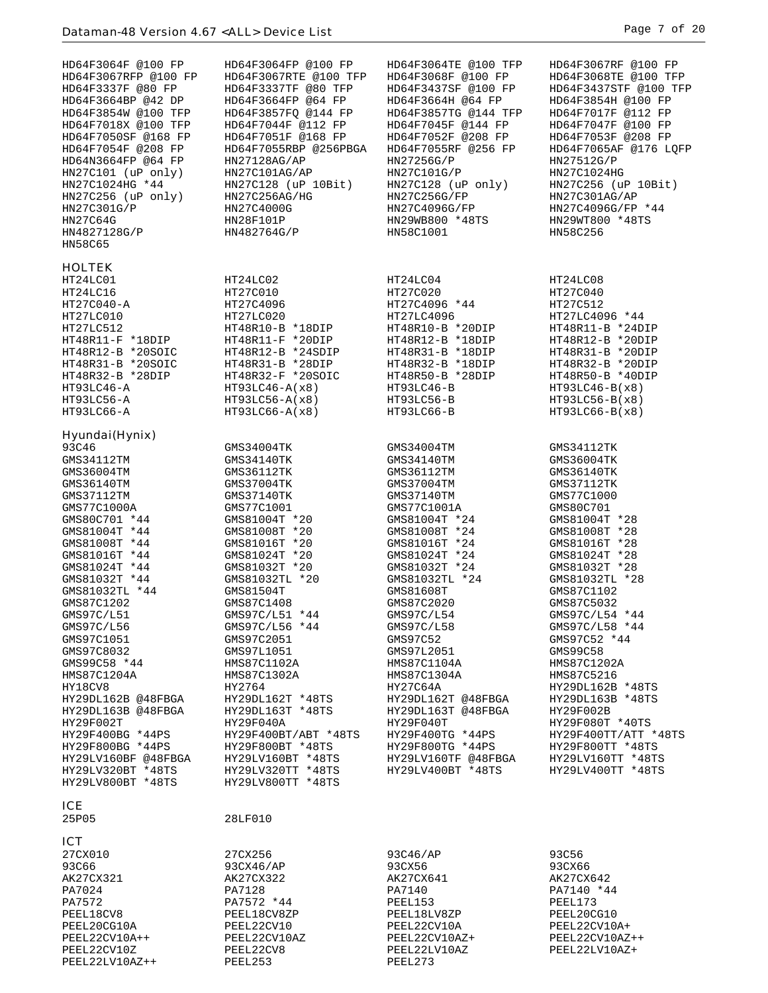| HD64F3064F @100 FP<br>HD64F3067RFP @100 FP<br>HD64F3337F @80 FP<br>HD64F3664BP @42 DP<br>HD64F3854W @100 TFP<br>HD64F7018X @100 TFP<br>HD64F7050SF @168 FP<br>HD64F7054F @208 FP<br>HD64N3664FP @64 FP<br>HN27C101 (uP only)<br>HN27C1024HG *44<br>HN27C256 (uP only)<br>HN27C301G/P<br>HN27C64G<br>HN4827128G/P<br>HN58C65                                                                                                                                                                          | HD64F3064FP @100 FP<br>HD64F3067RTE @100 TFP<br>HD64F3337TF @80 TFP<br>HD64F3664FP @64 FP<br>HD64F3857FO @144 FP<br>HD64F7044F @112 FP<br>HD64F7051F @168 FP<br>HD64F7055RBP @256PBGA<br>HN27128AG/AP<br>HN27C101AG/AP<br>HN27C128 (uP 10Bit)<br>HN27C256AG/HG<br>HN27C4000G<br>HN28F101P<br>HN482764G/P                                                                                                                                                                                   | HD64F3064TE @100 TFP<br>HD64F3068F @100 FP<br>HD64F3437SF @100 FP<br>HD64F3664H @64 FP<br>HD64F3857TG @144 TFP<br>HD64F7045F @144 FP<br>HD64F7052F @208 FP<br>HD64F7055RF @256 FP<br>HN27256G/P<br>HN27C101G/P<br>HN27C128 (uP only)<br>HN27C256G/FP<br>HN27C4096G/FP<br>HN29WB800 *48TS<br>HN58C1001                                                                                                                                                            | HD64F3067RF @100 FP<br>HD64F3068TE @100 TFP<br>HD64F3437STF @100 TFP<br>HD64F3854H @100 FP<br>HD64F7017F @112 FP<br>HD64F7047F @100 FP<br>HD64F7053F @208 FP<br>HD64F7065AF @176 LQFP<br>HN27512G/P<br>HN27C1024HG<br>HN27C256 (uP 10Bit)<br>HN27C301AG/AP<br>HN27C4096G/FP *44<br>HN29WT800 *48TS<br>HN58C256                                                                                                                                                                |
|------------------------------------------------------------------------------------------------------------------------------------------------------------------------------------------------------------------------------------------------------------------------------------------------------------------------------------------------------------------------------------------------------------------------------------------------------------------------------------------------------|--------------------------------------------------------------------------------------------------------------------------------------------------------------------------------------------------------------------------------------------------------------------------------------------------------------------------------------------------------------------------------------------------------------------------------------------------------------------------------------------|------------------------------------------------------------------------------------------------------------------------------------------------------------------------------------------------------------------------------------------------------------------------------------------------------------------------------------------------------------------------------------------------------------------------------------------------------------------|-------------------------------------------------------------------------------------------------------------------------------------------------------------------------------------------------------------------------------------------------------------------------------------------------------------------------------------------------------------------------------------------------------------------------------------------------------------------------------|
| <b>HOLTEK</b><br>HT24LC01<br>HT24LC16<br>HT27C040-A<br>HT27LC010<br>HT27LC512<br>$HT48R11-F *18DIP$<br>HT48R12-B *20SOIC<br>HT48R31-B *20SOIC<br>HT48R32-B *28DIP<br>HT93LC46-A<br>HT93LC56-A                                                                                                                                                                                                                                                                                                        | HT24LC02<br>HT27C010<br>HT27C4096<br>HT27LC020<br>HT48R10-B *18DIP<br>HT48R11-F *20DIP<br>HT48R12-B *24SDIP<br>HT48R31-B *28DIP<br>HT48R32-F *20SOIC<br>$HT93LC46 - A(x8)$<br>$HT93LC56 - A(x8)$                                                                                                                                                                                                                                                                                           | HT24LC04<br>HT27C020<br>HT27C4096 *44<br>HT27LC4096<br>HT48R10-B *20DIP<br>HT48R12-B *18DIP<br>HT48R31-B *18DIP<br>HT48R32-B *18DIP<br>HT48R50-B *28DIP<br>HT93LC46-B<br>HT93LC56-B                                                                                                                                                                                                                                                                              | HT24LC08<br>HT27C040<br>HT27C512<br>HT27LC4096 *44<br>HT48R11-B *24DIP<br>HT48R12-B *20DIP<br>HT48R31-B *20DIP<br>HT48R32-B *20DIP<br>HT48R50-B *40DIP<br>$HT93LC46-B(X8)$<br>$HT93LC56-B(X8)$                                                                                                                                                                                                                                                                                |
| HT93LC66-A<br>Hyundai(Hynix)                                                                                                                                                                                                                                                                                                                                                                                                                                                                         | $HT93LCG6 - A(x8)$                                                                                                                                                                                                                                                                                                                                                                                                                                                                         | HT93LC66-B                                                                                                                                                                                                                                                                                                                                                                                                                                                       | HT93LC66-B(x8)                                                                                                                                                                                                                                                                                                                                                                                                                                                                |
| 93C46<br>GMS34112TM<br>GMS36004TM<br>GMS36140TM<br>GMS37112TM<br>GMS77C1000A<br>GMS80C701 *44<br>GMS81004T *44<br>GMS81008T *44<br>GMS81016T *44<br>GMS81024T *44<br>GMS81032T *44<br>GMS81032TL *44<br>GMS87C1202<br>GMS97C/L51<br>GMS97C/L56<br>GMS97C1051<br>GMS97C8032<br>GMS99C58 *44<br>HMS87C1204A<br>HY18CV8<br>HY29DL162B @48FBGA<br>HY29DL163B @48FBGA<br>HY29F002T<br>HY29F400BG *44PS<br>HY29F800BG *44PS<br>HY29LV160BF @48FBGA<br>HY29LV320BT *48TS<br>HY29LV800BT *48TS<br><b>ICE</b> | GMS34004TK<br>GMS34140TK<br>GMS36112TK<br>GMS37004TK<br>GMS37140TK<br>GMS77C1001<br>GMS81004T *20<br>GMS81008T *20<br>GMS81016T *20<br>GMS81024T *20<br>GMS81032T *20<br>GMS81032TL *20<br>GMS81504T<br>GMS87C1408<br>GMS97C/L51 *44<br>GMS97C/L56 *44<br>GMS97C2051<br>GMS97L1051<br>HMS87C1102A<br>HMS87C1302A<br>HY2764<br>HY29DL162T *48TS<br>HY29DL163T *48TS<br>HY29F040A<br>HY29F400BT/ABT *48TS<br>HY29F800BT *48TS<br>HY29LV160BT *48TS<br>HY29LV320TT *48TS<br>HY29LV800TT *48TS | GMS34004TM<br>GMS34140TM<br>GMS36112TM<br>GMS37004TM<br>GMS37140TM<br>GMS77C1001A<br>GMS81004T *24<br>GMS81008T *24<br>GMS81016T *24<br>GMS81024T *24<br>GMS81032T *24<br>GMS81032TL *24<br>GMS81608T<br>GMS87C2020<br>GMS97C/L54<br>GMS97C/L58<br>GMS97C52<br>GMS97L2051<br>HMS87C1104A<br>HMS87C1304A<br>HY27C64A<br>HY29DL162T @48FBGA<br>HY29DL163T @48FBGA<br>HY29F040T<br>HY29F400TG *44PS<br>HY29F800TG *44PS<br>HY29LV160TF @48FBGA<br>HY29LV400BT *48TS | GMS34112TK<br>GMS36004TK<br>GMS36140TK<br>GMS37112TK<br>GMS77C1000<br>GMS80C701<br>GMS81004T *28<br>GMS81008T *28<br>GMS81016T *28<br>GMS81024T *28<br>GMS81032T *28<br>GMS81032TL *28<br>GMS87C1102<br>GMS87C5032<br>GMS97C/L54 *44<br>GMS97C/L58 *44<br>GMS97C52 *44<br>GMS99C58<br>HMS87C1202A<br>HMS87C5216<br>HY29DL162B *48TS<br>HY29DL163B *48TS<br>HY29F002B<br>HY29F080T *40TS<br>HY29F400TT/ATT *48TS<br>HY29F800TT *48TS<br>HY29LV160TT *48TS<br>HY29LV400TT *48TS |
| 25P05                                                                                                                                                                                                                                                                                                                                                                                                                                                                                                | 28LF010                                                                                                                                                                                                                                                                                                                                                                                                                                                                                    |                                                                                                                                                                                                                                                                                                                                                                                                                                                                  |                                                                                                                                                                                                                                                                                                                                                                                                                                                                               |
| <b>ICT</b><br>27CX010<br>93C66<br>AK27CX321<br>PA7024<br>PA7572<br>PEEL18CV8<br>PEEL20CG10A<br>PEEL22CV10A++<br>PEEL22CV10Z<br>PEEL22LV10AZ++                                                                                                                                                                                                                                                                                                                                                        | 27CX256<br>93CX46/AP<br>AK27CX322<br>PA7128<br>PA7572 *44<br>PEEL18CV8ZP<br>PEEL22CV10<br>PEEL22CV10AZ<br>PEEL22CV8<br>PEEL253                                                                                                                                                                                                                                                                                                                                                             | 93C46/AP<br>93CX56<br>AK27CX641<br>PA7140<br>PEEL153<br>PEEL18LV8ZP<br>PEEL22CV10A<br>PEEL22CV10AZ+<br>PEEL22LV10AZ<br>PEEL273                                                                                                                                                                                                                                                                                                                                   | 93C56<br>93CX66<br>AK27CX642<br>PA7140 *44<br>PEEL173<br>PEEL20CG10<br>PEEL22CV10A+<br>PEEL22CV10AZ++<br>PEEL22LV10AZ+                                                                                                                                                                                                                                                                                                                                                        |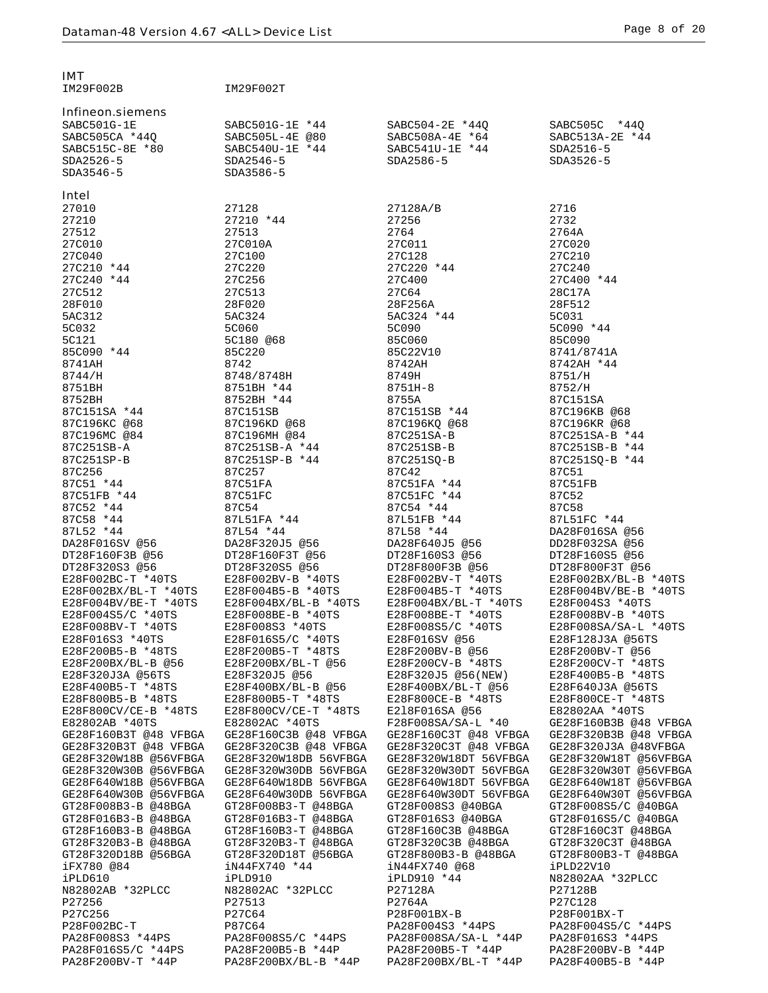Infineon.siemens

IM29F002B IM29F002T

| SABC515C-8E *80   | $SABC540U-1E *44$                                                              | $SABC541U-1E *44$ | SDA2516-5                    |
|-------------------|--------------------------------------------------------------------------------|-------------------|------------------------------|
| SDA2526-5         | SDA2546-5                                                                      | SDA2586-5         | SDA3526-5                    |
| SDA3546-5         | SDA3586-5                                                                      |                   |                              |
| Intel             |                                                                                |                   |                              |
| 27010             | 27128                                                                          | 27128A/B          | 2716                         |
| 27210             | 27210 *44                                                                      | 27256             | 2732                         |
| 27512             | 27513                                                                          | 2764              | 2764A                        |
| 27C010            | 27C010A                                                                        | 27C011            | 27C020                       |
| 27C040            | 27C100                                                                         | 27C128            | 27C210                       |
| 27C210 *44        | 27C220                                                                         | 27C220 *44        | 27C240                       |
| 27C240 *44        | 27C256                                                                         | 27C400            | 27C400 *44                   |
| 27C512            | 27C513                                                                         | 27C64             | 28C17A                       |
| 28F010            | 28F020                                                                         | 28F256A           | 28F512                       |
|                   | 5AC324                                                                         | 5AC324 *44        | 5C031                        |
| 5AC312<br>5C032   | 5C060                                                                          | 5C090             | 5C090 *44                    |
| 5C121             | 5C180 @68                                                                      | 85C060            | 85C090                       |
| 85C090 *44        | 85C220                                                                         | 85C22V10          | 8741/8741A                   |
| 8741AH            | 8742                                                                           | 8742AH            | 8742AH *44                   |
| 8744/H            | 8748/8748H                                                                     | 8749H             | 8751/H                       |
| 8751BH            | $8751BH$ $*44$                                                                 | 8751H-8           | 8752/H                       |
| 8752BH            | 8752BH *44                                                                     | 8755A             | 87C151SA                     |
| 87C151SA *44      | 87C151SB                                                                       | 87C151SB *44      |                              |
| 87C196KC @68      | 87C196KD @68                                                                   | 87C196KQ @68      | 87C196KB @68<br>87C196KR @68 |
| 87C196MC @84      | 87C196MH @84                                                                   | 87C251SA-B        | 87C251SA-B *44               |
| 87C251SB-A        | 87C251SB-A *44                                                                 | 87C251SB-B        | 87C251SB-B *44               |
| 87C251SP-B        | 87C251SP-B *44                                                                 | 87C251SQ-B        | 87C251SQ-B *44               |
| 87C256            | 87C257                                                                         | 87C42             | <b>87C51</b>                 |
| 87C51 *44         | 87C51FA                                                                        | 87C51FA *44       | 87C51FB                      |
| 87C51FB *44       | 87C51FC                                                                        | 87C51FC *44       | 87C52                        |
| 87C52 *44         | 87C54                                                                          | 87C54 *44         | 87C58                        |
| 87C58 *44         | 87L51FA *44                                                                    | 87L51FB *44       | 87L51FC *44                  |
| 87L52 *44         | 87L54 *44                                                                      | 87L58 *44         | DA28F016SA @56               |
| DA28F016SV @56    | DA28F320J5 @56                                                                 | DA28F640J5 @56    | DD28F032SA @56               |
| DT28F160F3B @56   | DT28F160F3T @56                                                                | DT28F160S3 @56    | DT28F160S5 @56               |
| DT28F320S3 @56    | DT28F320S5 @56                                                                 | DT28F800F3B @56   | DT28F800F3T @56              |
|                   |                                                                                | E28F002BV-T *40TS | E28F002BX/BL-B *40TS         |
|                   | E28F002BC-T *40TS E28F002BV-B *40TS<br>E28F002BX/BL-T *40TS E28F004B5-B *40TS  | E28F004B5-T *40TS | E28F004BV/BE-B *40TS         |
|                   | E28F004BV/BE-T *40TS E28F004BX/BL-B *40TS E28F004BX/BL-T *40TS E28F004S3 *40TS |                   |                              |
| E28F004S5/C *40TS | E28F008BE-B *40TS                                                              | E28F008BE-T *40TS | E28F008BV-B *40TS            |
| E28F008BV-T *40TS | E28F008S3 *40TS                                                                | E28F008S5/C *40TS | E28F008SA/SA-L *40TS         |
| E28F016S3 *40TS   | E28F016S5/C *40TS                                                              | E28F016SV @56     | E28F128J3A @56TS             |
|                   |                                                                                |                   |                              |

E28F320J3A @56TS E28F320J5 @56 E28F320J5 @56(NEW) E28F400B5-B \*48TS

E28F800CV/CE-B \*48TS E28F800CV/CE-T \*48TS E2l8F016SA @56 E82802AA \*40TS

N82802AC \*32PLCC

PA28F016S5/C \*44PS PA28F200B5-B \*44P PA28F200B5-T \*44P PA28F200BV-B \*44P

GE28F320W30B @56VFBGA GE28F320W30DB 56VFBGA GE28F320W30DT 56VFBGA<br>GE28F640W18B @56VFBGA GE28F640W18DB 56VFBGA GE28F640W18DT 56VFBGA

GT28F016B3-T @48BGA GT28F016S3 @40BGA<br>GT28F160B3-T @48BGA GT28F160C3B @48BGA

iN44FX740 @68<br>iPLD910 \*44

SABC501G-1E SABC501G-1E \*44 SABC504-2E \*44Q SABC505C \*44Q

SABC508A-4E \*64

DD28F032SA @56<br>DT28F160S5 @56 E28F004BV/BE-B \*40TS<br>TS E28F004S3 \*40TS E28F200B5-B \*48TS E28F200B5-T \*48TS E28F200BV-B @56 E28F200BV-T @56 E28F200BX/BL-B @56 E28F200BX/BL-T @56 E28F200CV-B \*48TS E28F200CV-T \*48TS  $E28F400B5-T$  \*48TS  $E28F400BX/BL-B$  @56  $E28F400BX/BL-T$  @56  $E28F800B5-B$  \*48TS  $E28F800CE-T$  \*48TS  $E28F800CE-T$  \*48TS E28F800B5-B \*48TS E28F800B5-T \*48TS E28F800CE-B \*48TS E28F800CE-T \*48TS E82802AC \*40TS F28F008SA/SA-L \*40 GE28F160B3B @48 VFBGA<br>GE28F160C3B @48 VFBGA GE28F160C3T @48 VFBGA GE28F320B3B @48 VFBGA GE28F160B3T @48 VFBGA GE28F160C3B @48 VFBGA GE28F160C3T @48 VFBGA GE28F320B3B @48 VFBGA<br>GE28F320B3T @48 VFBGA GE28F320C3B @48 VFBGA GE28F320C3T @48 VFBGA GE28F320J3A @48VFBGA GE28F320B3T @48 VFBGA GE28F320C3B @48 VFBGA GE28F320C3T @48 VFBGA GE28F320J3A @48VFBGA<br>GE28F320W18B @56VFBGA GE28F320W18DB 56VFBGA GE28F320W18DT 56VFBGA GE28F320W18T @56VFBGA GE28F320W18DT 56VFBGA GE28F320W18T @56VFBGA<br>GE28F320W30DT 56VFBGA GE28F320W30T @56VFBGA GE28F640W18B @56VFBGA GE28F640W18DB 56VFBGA GE28F640W18DT 56VFBGA GE28F640W18T @56VFBGA<br>GE28F640W30B @56VFBGA GE28F640W30DB 56VFBGA GE28F640W30DT 56VFBGA GE28F640W30T @56VFBGA GE28F640W30B @56VFBGA GE28F640W30DB 56VFBGA GE28F640W30DT 56VFBGA GE28F640W30T @56VFB<br>GT28F008B3-B @48BGA GT28F008B3-T @48BGA GT28F008S3 @40BGA GT28F008S5/C @40BGA GT28F008B3-B @48BGA GT28F008B3-T @48BGA GT28F008S3 @40BGA GT28F008S5/C @40BGA<br>GT28F016B3-B @48BGA GT28F016B3-T @48BGA GT28F016S3 @40BGA GT28F016S5/C @40BGA GT28F160B3-B @48BGA GT28F160B3-T @48BGA GT28F160C3B @48BGA GT28F160C3T @48BGA GT28F320B3-B @48BGA GT28F320B3-T @48BGA GT28F320C3B @48BGA GT28F320C3T @48BGA GT28F320D18B @56BGA GT28F320D18T @56BGA GT28F800B3-B @48BGA GT28F800B3-T @48BGA iPLD610 iPLD910 iPLD910 \*44 N82802AA \*32PLCC P27256 P27513 P2764A P27C128 P27C256 P27C64 P28F001BX-B P28F001BX-T P28F002BC-T P87C64 PA28F004S3 \*44PS PA28F004S5/C \*44PS PA28F008S5/C \*44PS P<br>PA28F008S3 \*44PS PA28F008S5/C \*44PS PA28F008SA/SA-L \*44P PA28F016S3 \*44PS PA28F008S3 \*44PS PA28F008S5/C \*44PS PA28F008SA/SA-L \*44P PA28F016S3 \*44PS PA28F200BV-T \*44P PA28F200BX/BL-B \*44P PA28F200BX/BL-T \*44P PA28F400B5-B \*44P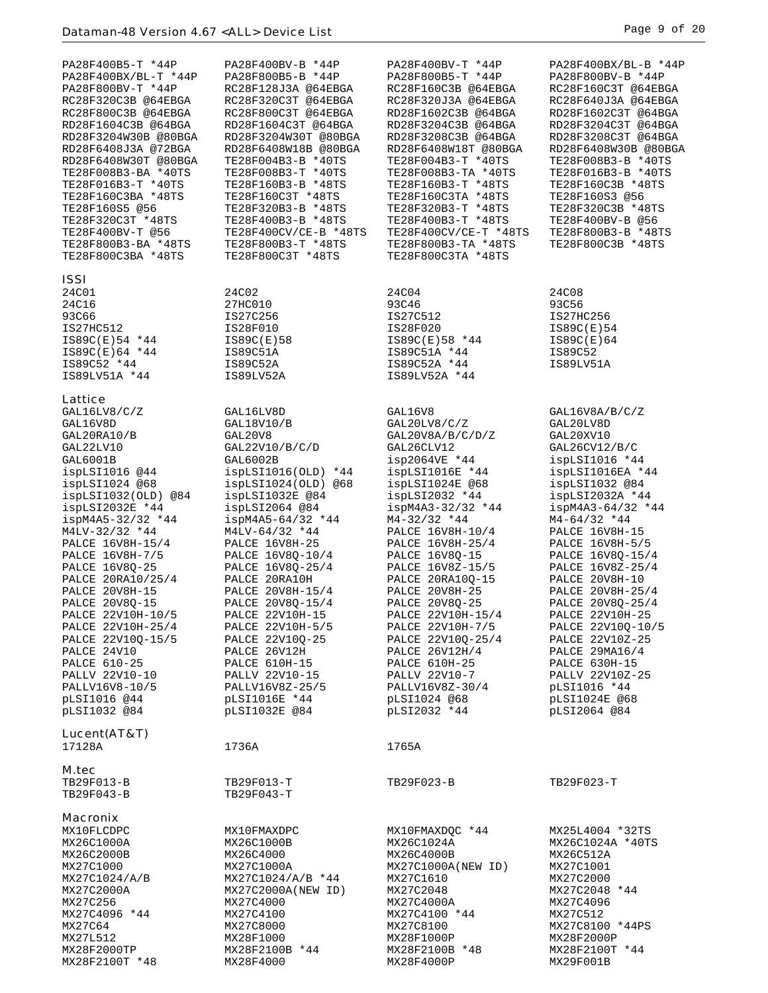| PA28F400B5-T *44P<br>PA28F400BX/BL-T *44P<br>PA28F800BV-T *44P<br>RC28F320C3B @64EBGA<br>RC28F800C3B @64EBGA<br>RD28F1604C3B @64BGA<br>RD28F3204W30B @80BGA<br>RD28F6408J3A @72BGA<br>RD28F6408W30T @80BGA<br>TE28F008B3-BA *40TS<br>TE28F016B3-T *40TS<br>TE28F160C3BA *48TS<br>TE28F160S5 @56<br>TE28F320C3T *48TS<br>TE28F400BV-T @56<br>TE28F800B3-BA *48TS<br>TE28F800C3BA *48TS                                                                                           | PA28F400BV-B *44P<br>PA28F800B5-B *44P<br>RC28F128J3A @64EBGA<br>RC28F320C3T @64EBGA<br>RC28F800C3T @64EBGA<br>RD28F1604C3T @64BGA<br>RD28F3204W30T @80BGA<br>RD28F6408W18B @80BGA<br>TE28F004B3-B *40TS<br>TE28F008B3-T *40TS<br>TE28F160B3-B *48TS<br>TE28F160C3T *48TS<br>TE28F320B3-B *48TS<br>TE28F400B3-B *48TS<br>TE28F400CV/CE-B *48TS<br>TE28F800B3-T *48TS<br>TE28F800C3T *48TS                                                                                                   | PA28F400BV-T *44P<br>PA28F800B5-T *44P<br>RC28F160C3B @64EBGA<br>RC28F320J3A @64EBGA<br>RD28F1602C3B @64BGA<br>RD28F3204C3B @64BGA<br>RD28F3208C3B @64BGA<br>RD28F6408W18T @80BGA<br>TE28F004B3-T *40TS<br>TE28F008B3-TA *40TS<br>TE28F160B3-T *48TS<br>TE28F160C3TA *48TS<br>TE28F320B3-T *48TS<br>TE28F400B3-T *48TS<br>TE28F400CV/CE-T *48TS<br>TE28F800B3-TA *48TS<br>TE28F800C3TA *48TS                                                                                                    | PA28F400BX/BL-B *44P<br>PA28F800BV-B *44P<br>RC28F160C3T @64EBGA<br>RC28F640J3A @64EBGA<br>RD28F1602C3T @64BGA<br>RD28F3204C3T @64BGA<br>RD28F3208C3T @64BGA<br>RD28F6408W30B @80BGA<br>TE28F008B3-B *40TS<br>TE28F016B3-B *40TS<br>TE28F160C3B *48TS<br>TE28F160S3 @56<br>TE28F320C3B *48TS<br>TE28F400BV-B @56<br>TE28F800B3-B *48TS<br>TE28F800C3B *48TS                                                                                                                              |
|---------------------------------------------------------------------------------------------------------------------------------------------------------------------------------------------------------------------------------------------------------------------------------------------------------------------------------------------------------------------------------------------------------------------------------------------------------------------------------|---------------------------------------------------------------------------------------------------------------------------------------------------------------------------------------------------------------------------------------------------------------------------------------------------------------------------------------------------------------------------------------------------------------------------------------------------------------------------------------------|-------------------------------------------------------------------------------------------------------------------------------------------------------------------------------------------------------------------------------------------------------------------------------------------------------------------------------------------------------------------------------------------------------------------------------------------------------------------------------------------------|------------------------------------------------------------------------------------------------------------------------------------------------------------------------------------------------------------------------------------------------------------------------------------------------------------------------------------------------------------------------------------------------------------------------------------------------------------------------------------------|
|                                                                                                                                                                                                                                                                                                                                                                                                                                                                                 |                                                                                                                                                                                                                                                                                                                                                                                                                                                                                             |                                                                                                                                                                                                                                                                                                                                                                                                                                                                                                 |                                                                                                                                                                                                                                                                                                                                                                                                                                                                                          |
| <b>ISSI</b><br>24C01<br>24C16<br>93C66<br>IS27HC512<br>$IS89C(E)54$ *44<br>IS89C(E)64 *44<br>IS89C52 *44<br>IS89LV51A *44                                                                                                                                                                                                                                                                                                                                                       | 24C02<br>27HC010<br>IS27C256<br>IS28F010<br>IS89C(E)58<br>IS89C51A<br>IS89C52A<br>IS89LV52A                                                                                                                                                                                                                                                                                                                                                                                                 | 24C04<br>93C46<br>IS27C512<br>IS28F020<br>IS89C(E)58 *44<br>IS89C51A *44<br>IS89C52A *44<br>IS89LV52A *44                                                                                                                                                                                                                                                                                                                                                                                       | 24C08<br>93C56<br>IS27HC256<br>IS89C(E)54<br>IS89C(E)64<br>IS89C52<br>IS89LV51A                                                                                                                                                                                                                                                                                                                                                                                                          |
| Lattice                                                                                                                                                                                                                                                                                                                                                                                                                                                                         |                                                                                                                                                                                                                                                                                                                                                                                                                                                                                             |                                                                                                                                                                                                                                                                                                                                                                                                                                                                                                 |                                                                                                                                                                                                                                                                                                                                                                                                                                                                                          |
| GAL16LV8/C/Z<br>GAL16V8D<br>GAL20RA10/B<br>GAL22LV10<br>GAL6001B<br>ispLSI1016 @44<br>ispLSI1024 @68<br>$ispLSI1032(OLD)$ @84<br>ispLSI2032E *44<br>$ispM4A5-32/32$ *44<br>$M4LV-32/32 *44$<br>PALCE 16V8H-15/4<br>PALCE 16V8H-7/5<br>PALCE 16V8Q-25<br>PALCE 20RA10/25/4<br>PALCE 20V8H-15<br>PALCE 20V8Q-15<br>PALCE 22V10H-10/5<br>PALCE 22V10H-25/4<br>PALCE 22V100-15/5<br>PALCE 24V10<br>PALCE 610-25<br>PALLV 22V10-10<br>PALLV16V8-10/5<br>pLSI1016 @44<br>pLSI1032 @84 | GAL16LV8D<br>GAL18V10/B<br>GAL20V8<br>GAL22V10/B/C/D<br>GAL6002B<br>ispLSI1016(OLD) *44<br>ispLSI1024(OLD) @68<br>$ispLSI1032E$ @84<br>ispLSI2064@84<br>$ispM4A5-64/32$ *44<br>$M4LV-64/32 *44$<br><b>PALCE 16V8H-25</b><br>PALCE 16V8Q-10/4<br>PALCE 16V80-25/4<br>PALCE 20RA10H<br>PALCE 20V8H-15/4<br>PALCE 20V8Q-15/4<br>PALCE 22V10H-15<br>PALCE 22V10H-5/5<br>PALCE 22V10Q-25<br>PALCE 26V12H<br>PALCE 610H-15<br>PALLV 22V10-15<br>PALLV16V8Z-25/5<br>pLSI1016E *44<br>pLSI1032E @84 | GAL16V8<br>GAL20LV8/C/Z<br>GAL20V8A/B/C/D/Z<br>GAL26CLV12<br>isp2064VE *44<br>ispLSI1016E *44<br>ispLSI1024E @68<br>$ispLSI2032$ *44<br>$ispM4A3-32/32$ *44<br>$M4-32/32$ *44<br>PALCE 16V8H-10/4<br>PALCE 16V8H-25/4<br>PALCE 16V8Q-15<br>PALCE 16V8Z-15/5<br>PALCE 20RA10Q-15<br>PALCE 20V8H-25<br>PALCE 20V8Q-25<br>PALCE 22V10H-15/4<br>PALCE 22V10H-7/5<br>PALCE 22V10Q-25/4<br>PALCE 26V12H/4<br><b>PALCE 610H-25</b><br>PALLV 22V10-7<br>PALLV16V8Z-30/4<br>pLSI1024 @68<br>pLSI2032 *44 | GAL16V8A/B/C/Z<br>GAL20LV8D<br>GAL20XV10<br>GAL26CV12/B/C<br>ispLSI1016 *44<br>ispLSI1016EA *44<br>ispLSI1032 @84<br>$ispLSI2032A$ *44<br>$ispM4A3-64/32$ *44<br>$M4-64/32$ *44<br>PALCE 16V8H-15<br>PALCE 16V8H-5/5<br>PALCE 16V8Q-15/4<br>PALCE 16V8Z-25/4<br>PALCE 20V8H-10<br>PALCE 20V8H-25/4<br>PALCE 20V8Q-25/4<br>PALCE 22V10H-25<br>PALCE 22V10Q-10/5<br>PALCE 22V10Z-25<br>PALCE 29MA16/4<br>PALCE 630H-15<br>PALLV 22V10Z-25<br>pLSI1016 *44<br>pLSI1024E @68<br>pLSI2064 @84 |
| Lucent(AT&T)<br>17128A                                                                                                                                                                                                                                                                                                                                                                                                                                                          | 1736A                                                                                                                                                                                                                                                                                                                                                                                                                                                                                       | 1765A                                                                                                                                                                                                                                                                                                                                                                                                                                                                                           |                                                                                                                                                                                                                                                                                                                                                                                                                                                                                          |
|                                                                                                                                                                                                                                                                                                                                                                                                                                                                                 |                                                                                                                                                                                                                                                                                                                                                                                                                                                                                             |                                                                                                                                                                                                                                                                                                                                                                                                                                                                                                 |                                                                                                                                                                                                                                                                                                                                                                                                                                                                                          |
| M.tec<br>TB29F013-B<br>TB29F043-B                                                                                                                                                                                                                                                                                                                                                                                                                                               | TB29F013-T<br>TB29F043-T                                                                                                                                                                                                                                                                                                                                                                                                                                                                    | TB29F023-B                                                                                                                                                                                                                                                                                                                                                                                                                                                                                      | TB29F023-T                                                                                                                                                                                                                                                                                                                                                                                                                                                                               |
| <b>Macronix</b><br>MX10FLCDPC<br>MX26C1000A<br>MX26C2000B<br>MX27C1000<br>MX27C1024/A/B<br>MX27C2000A<br>MX27C256<br>MX27C4096 *44<br>MX27C64<br>MX27L512<br>MX28F2000TP<br>MX28F2100T *48                                                                                                                                                                                                                                                                                      | MX10FMAXDPC<br>MX26C1000B<br>MX26C4000<br>MX27C1000A<br>MX27C1024/A/B *44<br>MX27C2000A(NEW ID)<br>MX27C4000<br>MX27C4100<br>MX27C8000<br>MX28F1000<br>MX28F2100B *44<br>MX28F4000                                                                                                                                                                                                                                                                                                          | MX10FMAXDQC *44<br>MX26C1024A<br>MX26C4000B<br>MX27C1000A(NEW ID)<br>MX27C1610<br>MX27C2048<br>MX27C4000A<br>MX27C4100 *44<br>MX27C8100<br>MX28F1000P<br>MX28F2100B *48<br>MX28F4000P                                                                                                                                                                                                                                                                                                           | MX25L4004 *32TS<br>MX26C1024A *40TS<br>MX26C512A<br>MX27C1001<br>MX27C2000<br>MX27C2048 *44<br>MX27C4096<br>MX27C512<br>MX27C8100 *44PS<br>MX28F2000P<br>MX28F2100T *44<br>MX29F001B                                                                                                                                                                                                                                                                                                     |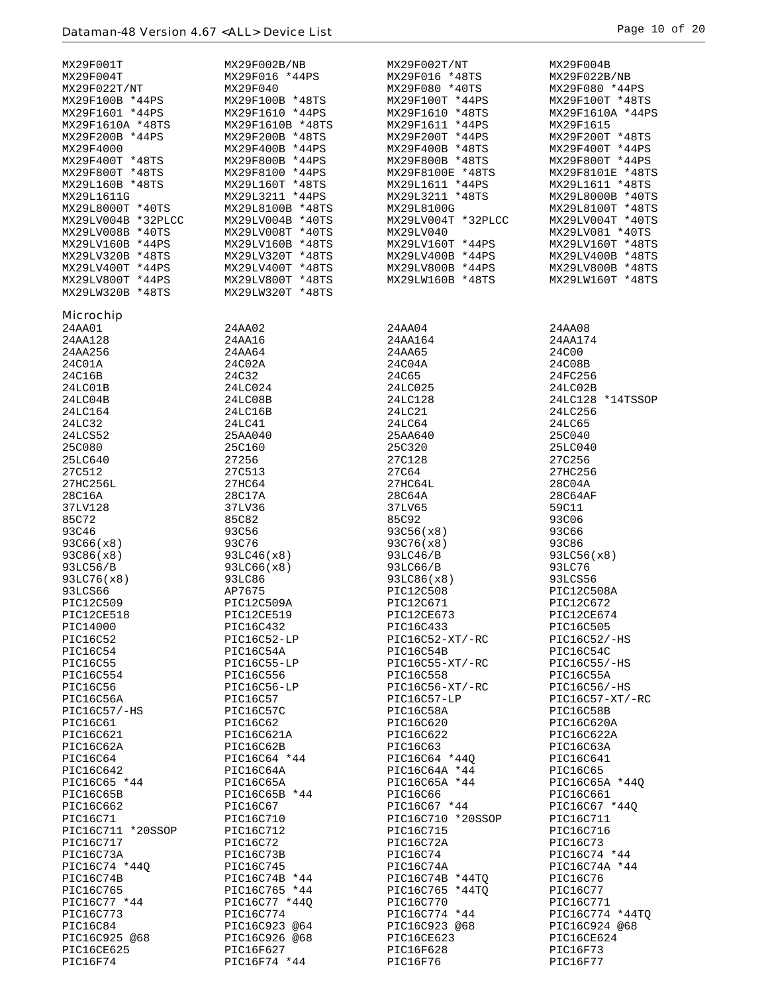| MX29F001T                      | MX29F002B/NB              | MX29F002T/NT                      | MX29F004B                     |
|--------------------------------|---------------------------|-----------------------------------|-------------------------------|
| MX29F004T                      | MX29F016 *44PS            | MX29F016 *48TS                    | MX29F022B/NB                  |
| MX29F022T/NT                   | MX29F040                  | MX29F080 *40TS                    | MX29F080 *44PS                |
| MX29F100B *44PS                | MX29F100B *48TS           | MX29F100T *44PS                   | MX29F100T *48TS               |
| MX29F1601 *44PS                | MX29F1610 *44PS           | MX29F1610 *48TS                   | MX29F1610A *44PS              |
| MX29F1610A *48TS               | MX29F1610B *48TS          | MX29F1611 *44PS                   | MX29F1615                     |
| MX29F200B *44PS                | MX29F200B *48TS           | MX29F200T *44PS                   | MX29F200T *48TS               |
| MX29F4000                      | MX29F400B *44PS           | MX29F400B *48TS                   | MX29F400T *44PS               |
| MX29F400T *48TS                | MX29F800B *44PS           | MX29F800B *48TS                   | MX29F800T *44PS               |
| MX29F800T *48TS                | MX29F8100 *44PS           | MX29F8100E *48TS                  | MX29F8101E *48TS              |
| MX29L160B *48TS                | MX29L160T *48TS           | MX29L1611 *44PS                   | MX29L1611 *48TS               |
| MX29L1611G                     | MX29L3211 *44PS           | MX29L3211 *48TS                   | MX29L8000B *40TS              |
| MX29L8000T *40TS               | MX29L8100B *48TS          | MX29L8100G                        | MX29L8100T *48TS              |
| MX29LV004B *32PLCC             | MX29LV004B *40TS          | MX29LV004T *32PLCC                | MX29LV004T *40TS              |
| MX29LV008B *40TS               | MX29LV008T *40TS          | MX29LV040                         | MX29LV081 *40TS               |
| MX29LV160B *44PS               | MX29LV160B *48TS          | MX29LV160T *44PS                  | MX29LV160T *48TS              |
| MX29LV320B *48TS               | MX29LV320T *48TS          | MX29LV400B *44PS                  | MX29LV400B *48TS              |
| MX29LV400T *44PS               | MX29LV400T *48TS          | MX29LV800B *44PS                  | MX29LV800B *48TS              |
| MX29LV800T *44PS               | MX29LV800T *48TS          | MX29LW160B *48TS                  | MX29LW160T *48TS              |
| MX29LW320B *48TS               | MX29LW320T *48TS          |                                   |                               |
|                                |                           |                                   |                               |
| <b>Microchip</b>               |                           |                                   |                               |
| 24AA01                         | 24AA02                    | 24AA04                            | 24AA08                        |
| 24AA128                        | 24AA16                    | 24AA164                           | 24AA174                       |
| 24AA256                        | 24AA64                    | 24AA65                            | 24C00                         |
| 24C01A                         | 24C02A                    | 24C04A                            | 24C08B                        |
| 24C16B                         | 24C32                     | 24C65                             | 24FC256                       |
| 24LC01B                        | 24LC024                   | 24LC025                           | 24LC02B                       |
| 24LC04B                        | 24LC08B                   | 24LC128                           | 24LC128 *14TSSOP              |
| 24LC164                        | 24LC16B                   | 24LC21                            | 24LC256                       |
| 24LC32                         | 24LC41                    | 24LC64                            | 24LC65                        |
| 24LCS52                        | 25AA040                   | 25AA640                           | 25C040                        |
| 25C080                         | 25C160                    | 25C320                            | 25LC040                       |
| 25LC640                        | 27256                     | 27C128                            | 27C256                        |
| 27C512                         | 27C513                    | 27C64                             | 27HC256                       |
| 27HC256L                       | 27HC64                    | 27HC64L                           | 28C04A                        |
| 28C16A                         | 28C17A                    | 28C64A                            | 28C64AF                       |
| 37LV128                        | 37LV36                    | 37LV65                            | 59C11                         |
| 85C72                          | 85C82                     | 85C92                             | 93C06                         |
| 93C46                          | 93C56                     | 93C56(x8)                         | 93C66                         |
| 93C66(x8)                      | 93C76                     | 93C76(x8)                         | 93C86                         |
| 93C86(x8)                      | 93LC46(x8)                | 93LC46/B                          | 93LC56(x8)                    |
| 93LC56/B                       | 93LC66(x8)                | 93LC66/B                          | 93LC76                        |
| 93LC76(x8)                     | 93LC86                    | 93LC86(x8)                        | 93LCS56                       |
| 93LCS66                        | AP7675                    | PIC12C508                         | PIC12C508A                    |
| PIC12C509                      | PIC12C509A                | PIC12C671                         | PIC12C672                     |
| PIC12CE518                     | PIC12CE519                | PIC12CE673                        | PIC12CE674                    |
| PIC14000                       | PIC16C432                 | PIC16C433                         | PIC16C505                     |
| PIC16C52                       | PIC16C52-LP               | PIC16C52-XT/-RC                   | PIC16C52/-HS                  |
| PIC16C54                       | PIC16C54A                 | PIC16C54B                         | PIC16C54C                     |
| PIC16C55                       | PIC16C55-LP               | PIC16C55-XT/-RC                   | $PIC16C55/-HS$                |
| PIC16C554                      | PIC16C556                 | PIC16C558                         | PIC16C55A                     |
| PIC16C56                       | PIC16C56-LP               | PIC16C56-XT/-RC                   | PIC16C56/-HS                  |
| PIC16C56A                      | PIC16C57                  | PIC16C57-LP                       | $PIC16C57-XT/-RC$             |
| PIC16C57/-HS                   | PIC16C57C                 | PIC16C58A                         | PIC16C58B                     |
| PIC16C61                       | PIC16C62                  | PIC16C620                         | PIC16C620A                    |
| PIC16C621                      | PIC16C621A                | PIC16C622                         | PIC16C622A                    |
| PIC16C62A                      | PIC16C62B                 | PIC16C63                          | PIC16C63A                     |
| PIC16C64                       | PIC16C64 *44              | PIC16C64 *440                     | PIC16C641                     |
| PIC16C642                      | PIC16C64A                 | PIC16C64A *44                     | PIC16C65                      |
| PIC16C65 *44                   | PIC16C65A                 | PIC16C65A *44                     | PIC16C65A *440                |
| PIC16C65B                      | PIC16C65B *44<br>PIC16C67 | PIC16C66                          | PIC16C661                     |
| PIC16C662<br>PIC16C71          | PIC16C710                 | PIC16C67 *44<br>PIC16C710 *20SSOP | PIC16C67 *44Q                 |
|                                |                           | PIC16C715                         | PIC16C711<br>PIC16C716        |
| PIC16C711 *20SSOP<br>PIC16C717 | PIC16C712<br>PIC16C72     |                                   |                               |
|                                |                           | PIC16C72A                         | PIC16C73                      |
| PIC16C73A<br>PIC16C74 *440     | PIC16C73B<br>PIC16C745    | PIC16C74<br>PIC16C74A             | PIC16C74 *44<br>PIC16C74A *44 |
| PIC16C74B                      | PIC16C74B *44             | PIC16C74B *44TQ                   | PIC16C76                      |
| PIC16C765                      | PIC16C765 *44             | PIC16C765 *44TQ                   | PIC16C77                      |
| PIC16C77 *44                   | PIC16C77 *440             | PIC16C770                         | PIC16C771                     |
| PIC16C773                      | PIC16C774                 | PIC16C774 *44                     | PIC16C774 *44TQ               |
| PIC16C84                       | PIC16C923 @64             | PIC16C923 @68                     | PIC16C924 @68                 |
| PIC16C925 @68                  | PIC16C926 @68             | PIC16CE623                        | PIC16CE624                    |
| PIC16CE625                     | PIC16F627                 | PIC16F628                         | PIC16F73                      |
| PIC16F74                       | PIC16F74 *44              | PIC16F76                          | PIC16F77                      |
|                                |                           |                                   |                               |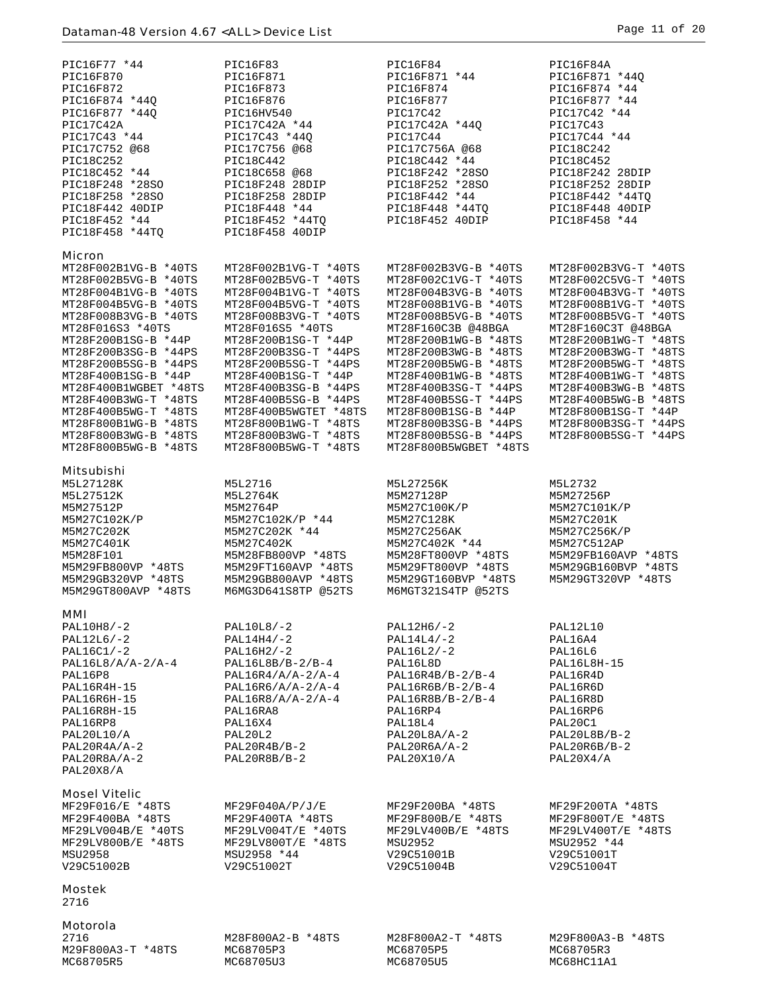| PIC16F77 *44                                 | PIC16F83                                     | PIC16F84                                     | PIC16F84A                                    |
|----------------------------------------------|----------------------------------------------|----------------------------------------------|----------------------------------------------|
| PIC16F870                                    | PIC16F871                                    | PIC16F871 *44                                | PIC16F871 *44Q                               |
| PIC16F872                                    | PIC16F873                                    | PIC16F874                                    | PIC16F874 *44                                |
| PIC16F874 *44Q                               | PIC16F876                                    | PIC16F877                                    | PIC16F877 *44                                |
| PIC16F877 *440<br>PIC17C42A                  | PIC16HV540<br>PIC17C42A *44                  | PIC17C42<br>PIC17C42A *44Q                   | PIC17C42 *44<br>PIC17C43                     |
| PIC17C43 *44                                 | PIC17C43 *44Q                                | PIC17C44                                     | PIC17C44 *44                                 |
| PIC17C752 @68                                | PIC17C756 @68                                | PIC17C756A @68                               | PIC18C242                                    |
| PIC18C252                                    | PIC18C442                                    | PIC18C442 *44                                | PIC18C452                                    |
| PIC18C452 *44                                | PIC18C658 @68                                | PIC18F242 *28SO                              | PIC18F242 28DIP                              |
| PIC18F248 *28SO                              | PIC18F248 28DIP                              | PIC18F252 *28SO                              | PIC18F252 28DIP                              |
| PIC18F258 *28SO                              | PIC18F258 28DIP                              | PIC18F442 *44                                | PIC18F442 *44TQ                              |
| PIC18F442 40DIP                              | PIC18F448 *44                                | PIC18F448 *44TQ                              | PIC18F448 40DIP                              |
| PIC18F452 *44                                | PIC18F452 *44TQ                              | PIC18F452 40DIP                              | PIC18F458 *44                                |
| PIC18F458 *44TO                              | PIC18F458 40DIP                              |                                              |                                              |
|                                              |                                              |                                              |                                              |
| Micron                                       |                                              |                                              |                                              |
| MT28F002B1VG-B *40TS<br>MT28F002B5VG-B *40TS | MT28F002B1VG-T *40TS<br>MT28F002B5VG-T *40TS | MT28F002B3VG-B *40TS                         | MT28F002B3VG-T *40TS<br>MT28F002C5VG-T *40TS |
| MT28F004B1VG-B *40TS                         | MT28F004B1VG-T *40TS                         | MT28F002C1VG-T *40TS<br>MT28F004B3VG-B *40TS | MT28F004B3VG-T *40TS                         |
| MT28F004B5VG-B *40TS                         | MT28F004B5VG-T *40TS                         | MT28F008B1VG-B *40TS                         | MT28F008B1VG-T *40TS                         |
| MT28F008B3VG-B *40TS                         | MT28F008B3VG-T *40TS                         | MT28F008B5VG-B *40TS                         | MT28F008B5VG-T *40TS                         |
| MT28F016S3 *40TS                             | MT28F016S5 *40TS                             | MT28F160C3B @48BGA                           | MT28F160C3T @48BGA                           |
| MT28F200B1SG-B *44P                          | MT28F200B1SG-T *44P                          | MT28F200B1WG-B *48TS                         | MT28F200B1WG-T *48TS                         |
| MT28F200B3SG-B *44PS                         | MT28F200B3SG-T *44PS                         | MT28F200B3WG-B *48TS                         | MT28F200B3WG-T *48TS                         |
| MT28F200B5SG-B *44PS                         | MT28F200B5SG-T *44PS                         | MT28F200B5WG-B *48TS                         | MT28F200B5WG-T *48TS                         |
| MT28F400B1SG-B *44P                          | MT28F400B1SG-T *44P                          | MT28F400B1WG-B *48TS                         | MT28F400B1WG-T *48TS                         |
| MT28F400B1WGBET *48TS                        | MT28F400B3SG-B *44PS                         | MT28F400B3SG-T *44PS                         | MT28F400B3WG-B *48TS                         |
| MT28F400B3WG-T *48TS                         | MT28F400B5SG-B *44PS                         | MT28F400B5SG-T *44PS                         | MT28F400B5WG-B *48TS                         |
| MT28F400B5WG-T *48TS                         | MT28F400B5WGTET *48TS                        | MT28F800B1SG-B *44P                          | MT28F800B1SG-T *44P                          |
| MT28F800B1WG-B *48TS                         | MT28F800B1WG-T *48TS                         | MT28F800B3SG-B *44PS                         | MT28F800B3SG-T *44PS                         |
| MT28F800B3WG-B *48TS                         | MT28F800B3WG-T *48TS                         | MT28F800B5SG-B *44PS                         | MT28F800B5SG-T *44PS                         |
| MT28F800B5WG-B *48TS                         | MT28F800B5WG-T *48TS                         | MT28F800B5WGBET *48TS                        |                                              |
| Mitsubishi                                   |                                              |                                              |                                              |
| M5L27128K                                    | M5L2716                                      | M5L27256K                                    | M5L2732                                      |
| M5L27512K                                    | M5L2764K                                     | M5M27128P                                    | M5M27256P                                    |
| M5M27512P                                    | M5M2764P                                     | M5M27C100K/P                                 | M5M27C101K/P                                 |
| M5M27C102K/P                                 | M5M27C102K/P *44                             | M5M27C128K                                   | M5M27C201K                                   |
| M5M27C202K                                   | M5M27C202K *44                               | M5M27C256AK                                  | M5M27C256K/P                                 |
| M5M27C401K                                   | M5M27C402K                                   | M5M27C402K *44                               | M5M27C512AP                                  |
| M5M28F101                                    | M5M28FB800VP *48TS                           | M5M28FT800VP *48TS                           | M5M29FB160AVP *48TS                          |
| M5M29FB800VP *48TS                           | M5M29FT160AVP *48TS                          | M5M29FT800VP *48TS                           | M5M29GB160BVP *48TS                          |
| M5M29GB320VP *48TS                           | M5M29GB800AVP *48TS                          | M5M29GT160BVP *48TS                          | M5M29GT320VP *48TS                           |
| M5M29GT800AVP *48TS                          | M6MG3D641S8TP @52TS                          | M6MGT321S4TP @52TS                           |                                              |
| MMI                                          |                                              |                                              |                                              |
| $PAL10H8/-2$                                 | $PAL10L8/-2$                                 | PAL12H6/-2                                   | PAL12L10                                     |
| $PAL12L6/-2$                                 | $PAL14H4/-2$                                 | $PAL14L4/-2$                                 | PAL16A4                                      |
| $PAL16C1/-2$                                 | $PAL16H2/-2$                                 | $PAL16L2/-2$                                 | PAL16L6                                      |
| $PAL16L8/A/A-2/A-4$                          | $PAL16L8B/B-2/B-4$                           | PAL16L8D                                     | PAL16L8H-15                                  |
| PAL16P8                                      | $PAL16R4/A/A-2/A-4$                          | $PAL16R4B/B-2/B-4$                           | PAL16R4D                                     |
| PAL16R4H-15                                  | $PAL16R6/A/A-2/A-4$                          | $PAL16R6B/B-2/B-4$                           | PAL16R6D                                     |
| PAL16R6H-15                                  | $PAL16R8/A/A-2/A-4$                          | $PAL16R8B/B-2/B-4$                           | PAL16R8D                                     |
| PAL16R8H-15                                  | PAL16RA8                                     | PAL16RP4                                     | PAL16RP6                                     |
| PAL16RP8                                     | PAL16X4                                      | PAL18L4                                      | PAL20C1                                      |
| <b>PAL20L10/A</b>                            | PAL20L2                                      | $PAL20L8A/A-2$                               | $PAL20L8B/B-2$                               |
| $PAL20R4A/A-2$                               | $PAL20R4B/B-2$                               | $PAL20R6A/A-2$                               | $PAL20R6B/B-2$                               |
| PAL20R8A/A-2                                 | $PAL20R8B/B-2$                               | <b>PAL20X10/A</b>                            | PAL20X4/A                                    |
| PAL20X8/A                                    |                                              |                                              |                                              |
| <b>Mosel Vitelic</b>                         |                                              |                                              |                                              |
| MF29F016/E *48TS                             | MF29F040A/P/J/E                              | MF29F200BA *48TS                             | MF29F200TA *48TS                             |
| MF29F400BA *48TS                             | MF29F400TA *48TS                             | MF29F800B/E *48TS                            | MF29F800T/E *48TS                            |
| MF29LV004B/E *40TS                           | MF29LV004T/E *40TS                           | MF29LV400B/E *48TS                           | MF29LV400T/E *48TS                           |
| MF29LV800B/E *48TS                           | MF29LV800T/E *48TS                           | MSU2952                                      | MSU2952 *44                                  |
| MSU2958                                      |                                              | V29C51001B                                   | V29C51001T                                   |
|                                              | MSU2958 *44                                  |                                              |                                              |
| V29C51002B                                   | V29C51002T                                   | V29C51004B                                   | V29C51004T                                   |
|                                              |                                              |                                              |                                              |
| Mostek                                       |                                              |                                              |                                              |
| 2716                                         |                                              |                                              |                                              |
|                                              |                                              |                                              |                                              |
| Motorola                                     |                                              |                                              |                                              |
| 2716<br>M29F800A3-T *48TS                    | M28F800A2-B *48TS<br>MC68705P3               | M28F800A2-T *48TS<br>MC68705P5               | M29F800A3-B *48TS<br>MC68705R3               |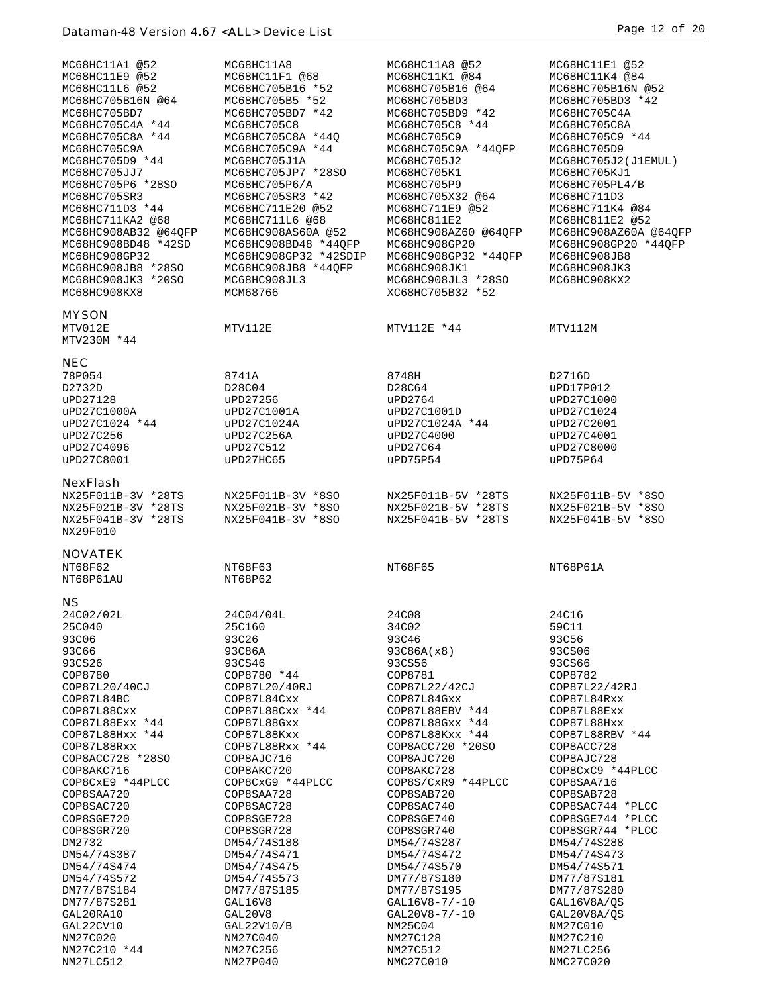| MC68HC11A1 @52<br>MC68HC11E9 @52<br>MC68HC11L6 @52<br>MC68HC705B16N @64<br>MC68HC705BD7<br>MC68HC705C4A *44<br>MC68HC705C8A *44<br>MC68HC705C9A<br>MC68HC705D9 *44<br>MC68HC705JJ7<br>MC68HC705P6 *28SO<br>MC68HC705SR3<br>MC68HC711D3 *44 | MC68HC11A8<br>MC68HC11F1 @68<br>MC68HC705B16 *52<br>MC68HC705B5 *52<br>MC68HC705BD7 *42<br>MC68HC705C8<br>MC68HC705C8A *440<br>MC68HC705C9A *44<br>MC68HC705J1A<br>MC68HC705JP7 *28SO<br>MC68HC705P6/A<br>MC68HC705SR3 *42<br>MC68HC711E20 @52 | MC68HC11A8 @52<br>MC68HC11K1 @84<br>MC68HC705B16 @64<br>MC68HC705BD3<br>MC68HC705BD9 *42<br>MC68HC705C8 *44<br>MC68HC705C9<br>MC68HC705C9A *44OFP<br>MC68HC705J2<br>MC68HC705K1<br>MC68HC705P9<br>MC68HC705X32 @64<br>MC68HC711E9 @52 | MC68HC11E1 @52<br>MC68HC11K4 @84<br>MC68HC705B16N @52<br>MC68HC705BD3 *42<br>MC68HC705C4A<br>MC68HC705C8A<br>MC68HC705C9 *44<br>MC68HC705D9<br>MC68HC705J2(J1EMUL)<br>MC68HC705KJ1<br>MC68HC705PL4/B<br>MC68HC711D3<br>MC68HC711K4 @84 |
|--------------------------------------------------------------------------------------------------------------------------------------------------------------------------------------------------------------------------------------------|------------------------------------------------------------------------------------------------------------------------------------------------------------------------------------------------------------------------------------------------|---------------------------------------------------------------------------------------------------------------------------------------------------------------------------------------------------------------------------------------|----------------------------------------------------------------------------------------------------------------------------------------------------------------------------------------------------------------------------------------|
| MC68HC711KA2 @68<br>MC68HC908AB32 @64QFP<br>MC68HC908BD48 *42SD<br>MC68HC908GP32<br>MC68HC908JB8 *28SO<br>MC68HC908JK3 *20SO<br>MC68HC908KX8                                                                                               | MC68HC711L6 @68<br>MC68HC908AS60A @52<br>MC68HC908BD48 *44OFP<br>MC68HC908GP32 *42SDIP<br>MC68HC908JB8 *44OFP<br>MC68HC908JL3<br>MCM68766                                                                                                      | MC68HC811E2<br>MC68HC908AZ60 @64QFP<br>MC68HC908GP20<br>MC68HC908GP32 *44QFP<br>MC68HC908JK1<br>MC68HC908JL3 *28SO<br>XC68HC705B32 *52                                                                                                | MC68HC811E2 @52<br>MC68HC908AZ60A @64QFP<br>MC68HC908GP20 *44OFP<br>MC68HC908JB8<br>MC68HC908JK3<br>MC68HC908KX2                                                                                                                       |
| <b>MYSON</b><br>MTV012E<br>MTV230M *44                                                                                                                                                                                                     | MTV112E                                                                                                                                                                                                                                        | MTV112E *44                                                                                                                                                                                                                           | MTV112M                                                                                                                                                                                                                                |
| <b>NEC</b><br>78P054<br>D2732D<br>uPD27128<br>uPD27C1000A<br>uPD27C1024 *44<br>uPD27C256<br>uPD27C4096<br>uPD27C8001                                                                                                                       | 8741A<br>D28C04<br>uPD27256<br>uPD27C1001A<br>uPD27C1024A<br>uPD27C256A<br>uPD27C512<br>uPD27HC65                                                                                                                                              | 8748H<br>D28C64<br>uPD2764<br>uPD27C1001D<br>uPD27C1024A *44<br>uPD27C4000<br>uPD27C64<br>uPD75P54                                                                                                                                    | D2716D<br>uPD17P012<br>uPD27C1000<br>uPD27C1024<br>uPD27C2001<br>uPD27C4001<br>uPD27C8000<br>uPD75P64                                                                                                                                  |
| <b>NexFlash</b><br>NX25F011B-3V *28TS<br>NX25F021B-3V *28TS<br>NX25F041B-3V *28TS<br>NX29F010                                                                                                                                              | NX25F011B-3V *8SO<br>NX25F021B-3V *8SO<br>NX25F041B-3V *8SO                                                                                                                                                                                    | NX25F011B-5V *28TS<br>NX25F021B-5V *28TS<br>NX25F041B-5V *28TS                                                                                                                                                                        | NX25F011B-5V *8SO<br>NX25F021B-5V *8SO<br>NX25F041B-5V *8SO                                                                                                                                                                            |
| <b>NOVATEK</b><br>NT68F62<br>NT68P61AU                                                                                                                                                                                                     | NT68F63<br>NT68P62                                                                                                                                                                                                                             | NT68F65                                                                                                                                                                                                                               | NT68P61A                                                                                                                                                                                                                               |
| 24C02/02L<br>25C040<br>93C06<br><b>93C66</b><br>93CS26<br>COP8780<br>COP87L20/40CJ<br>COP87L84BC<br>COP87L88Cxx<br>COP87L88Exx *44<br>COP87L88Hxx *44<br>COP87L88Rxx<br>COP8ACC728 *28SO<br>COP8AKC716                                     | 24C04/04L<br>25C160<br>93C26<br>93C86A<br>93CS46<br>COP8780 *44<br>COP87L20/40RJ<br>COP87L84Cxx<br>COP87L88Cxx *44<br>COP87L88Gxx<br>COP87L88Kxx<br>COP87L88Rxx *44<br>COP8AJC716<br>COP8AKC720                                                | 24C08<br>34C02<br>93C46<br>93C86A(x8)<br>93CS56<br>COP8781<br>COP87L22/42CJ<br>COP87L84Gxx<br>COP87L88EBV *44<br>COP87L88Gxx *44<br>COP87L88Kxx *44<br>COP8ACC720 *20SO<br>COP8AJC720<br>COP8AKC728                                   | 24C16<br>59C11<br>93C56<br>93CS06<br>93CS66<br>COP8782<br>COP87L22/42RJ<br>COP87L84Rxx<br>COP87L88Exx<br>COP87L88Hxx<br>COP87L88RBV *44<br>COP8ACC728<br>COP8AJC728<br>COP8CxC9 *44PLCC                                                |
| COP8CxE9 *44PLCC<br>COP8SAA720<br>COP8SAC720<br>COP8SGE720<br>COP8SGR720<br>DM2732<br>DM54/74S387<br>DM54/74S474<br>DM54/74S572<br>DM77/87S184<br>DM77/87S281<br>GAL20RA10<br>GAL22CV10<br>NM27C020<br>NM27C210 *44                        | COP8CxG9 *44PLCC<br>COP8SAA728<br>COP8SAC728<br>COP8SGE728<br>COP8SGR728<br>DM54/74S188<br>DM54/74S471<br>DM54/74S475<br>DM54/74S573<br>DM77/87S185<br>GAL16V8<br>GAL20V8<br>GAL22V10/B<br>NM27C040<br>NM27C256                                | COP8S/CxR9 *44PLCC<br>COP8SAB720<br>COP8SAC740<br>COP8SGE740<br>COP8SGR740<br>DM54/74S287<br>DM54/74S472<br>DM54/74S570<br>DM77/87S180<br>DM77/87S195<br>$GAL16V8 - 7/ - 10$<br>GAL20V8-7/-10<br>NM25C04<br>NM27C128<br>NM27C512      | COP8SAA716<br>COP8SAB728<br>COP8SAC744 *PLCC<br>COP8SGE744 *PLCC<br>COP8SGR744 *PLCC<br>DM54/74S288<br>DM54/74S473<br>DM54/74S571<br>DM77/87S181<br>DM77/87S280<br>GAL16V8A/QS<br>GAL20V8A/QS<br>NM27C010<br>NM27C210<br>NM27LC256     |
| NM27LC512                                                                                                                                                                                                                                  | NM27P040                                                                                                                                                                                                                                       | NMC27C010                                                                                                                                                                                                                             | NMC27C020                                                                                                                                                                                                                              |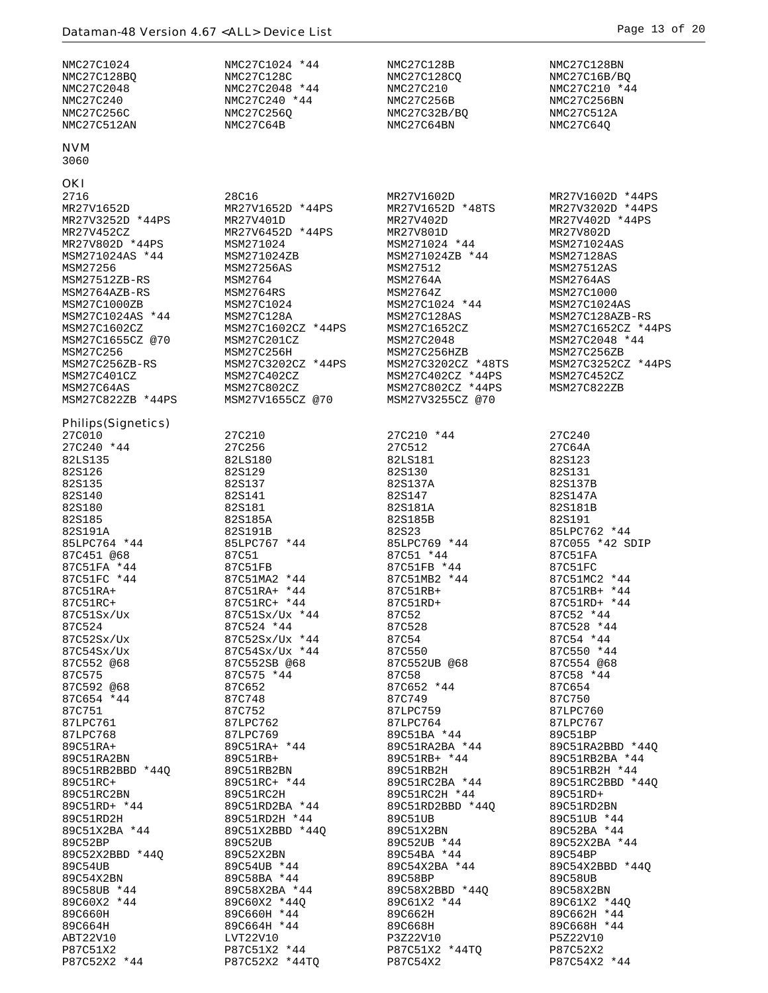| NMC27C1024                                                                                                                                                                                                                                                                                               | NMC27C1024 *44                                                                                                                                                                                                                                                                      | NMC27C128B                                                                                                                                                                                                                                                                                          | NMC27C128BN                                                                                                                                                                                                                                                                              |
|----------------------------------------------------------------------------------------------------------------------------------------------------------------------------------------------------------------------------------------------------------------------------------------------------------|-------------------------------------------------------------------------------------------------------------------------------------------------------------------------------------------------------------------------------------------------------------------------------------|-----------------------------------------------------------------------------------------------------------------------------------------------------------------------------------------------------------------------------------------------------------------------------------------------------|------------------------------------------------------------------------------------------------------------------------------------------------------------------------------------------------------------------------------------------------------------------------------------------|
| NMC27C128BQ                                                                                                                                                                                                                                                                                              | NMC27C128C                                                                                                                                                                                                                                                                          | NMC27C128CQ                                                                                                                                                                                                                                                                                         | NMC27C16B/BQ                                                                                                                                                                                                                                                                             |
| NMC27C2048                                                                                                                                                                                                                                                                                               | NMC27C2048 *44                                                                                                                                                                                                                                                                      | NMC27C210                                                                                                                                                                                                                                                                                           | NMC27C210 *44                                                                                                                                                                                                                                                                            |
| NMC27C240                                                                                                                                                                                                                                                                                                | NMC27C240 *44                                                                                                                                                                                                                                                                       | NMC27C256B                                                                                                                                                                                                                                                                                          | NMC27C256BN                                                                                                                                                                                                                                                                              |
| NMC27C256C                                                                                                                                                                                                                                                                                               | NMC27C256Q                                                                                                                                                                                                                                                                          | NMC27C32B/BQ                                                                                                                                                                                                                                                                                        | NMC27C512A                                                                                                                                                                                                                                                                               |
| NMC27C512AN                                                                                                                                                                                                                                                                                              | NMC27C64B                                                                                                                                                                                                                                                                           | NMC27C64BN                                                                                                                                                                                                                                                                                          | NMC27C64Q                                                                                                                                                                                                                                                                                |
| <b>NVM</b><br>3060                                                                                                                                                                                                                                                                                       |                                                                                                                                                                                                                                                                                     |                                                                                                                                                                                                                                                                                                     |                                                                                                                                                                                                                                                                                          |
| OKI<br>2716<br>MR27V1652D<br>MR27V3252D *44PS<br>MR27V452CZ<br>MR27V802D *44PS<br>MSM271024AS *44<br>MSM27256<br>MSM27512ZB-RS<br>MSM2764AZB-RS<br>MSM27C1000ZB<br>MSM27C1024AS *44<br>MSM27C1602CZ<br>MSM27C1655CZ @70<br>MSM27C256<br>MSM27C256ZB-RS<br>MSM27C401CZ<br>MSM27C64AS<br>MSM27C822ZB *44PS | 28C16<br>MR27V1652D *44PS<br>MR27V401D<br>MR27V6452D *44PS<br>MSM271024<br>MSM271024ZB<br>MSM27256AS<br>MSM2764<br>MSM2764RS<br>MSM27C1024<br>MSM27C128A<br>MSM27C1602CZ *44PS<br>MSM27C201CZ<br>MSM27C256H<br>MSM27C3202CZ *44PS<br>MSM27C402CZ<br>MSM27C802CZ<br>MSM27V1655CZ @70 | MR27V1602D<br>MR27V1652D *48TS<br>MR27V402D<br>MR27V801D<br>MSM271024 *44<br>MSM271024ZB *44<br>MSM27512<br>MSM2764A<br>MSM2764Z<br>MSM27C1024 *44<br>MSM27C128AS<br>MSM27C1652CZ<br>MSM27C2048<br>MSM27C256HZB<br>MSM27C3202CZ *48TS<br>MSM27C402CZ *44PS<br>MSM27C802CZ *44PS<br>MSM27V3255CZ @70 | MR27V1602D *44PS<br>MR27V3202D *44PS<br>MR27V402D *44PS<br>MR27V802D<br>MSM271024AS<br>MSM27128AS<br>MSM27512AS<br>MSM2764AS<br>MSM27C1000<br>MSM27C1024AS<br>MSM27C128AZB-RS<br>MSM27C1652CZ *44PS<br>MSM27C2048 *44<br>MSM27C256ZB<br>MSM27C3252CZ *44PS<br>MSM27C452CZ<br>MSM27C822ZB |
| <b>Philips(Signetics)</b><br>27C010                                                                                                                                                                                                                                                                      | 27C210                                                                                                                                                                                                                                                                              | 27C210 *44                                                                                                                                                                                                                                                                                          | 27C240                                                                                                                                                                                                                                                                                   |
| 27C240 *44                                                                                                                                                                                                                                                                                               | 27C256                                                                                                                                                                                                                                                                              | 27C512                                                                                                                                                                                                                                                                                              | 27C64A                                                                                                                                                                                                                                                                                   |
| 82LS135                                                                                                                                                                                                                                                                                                  | 82LS180                                                                                                                                                                                                                                                                             | 82LS181                                                                                                                                                                                                                                                                                             | 82S123                                                                                                                                                                                                                                                                                   |
| 82S126                                                                                                                                                                                                                                                                                                   | 82S129                                                                                                                                                                                                                                                                              | 82S130                                                                                                                                                                                                                                                                                              | 82S131                                                                                                                                                                                                                                                                                   |
| 82S135                                                                                                                                                                                                                                                                                                   | 82S137                                                                                                                                                                                                                                                                              | 82S137A                                                                                                                                                                                                                                                                                             | 82S137B                                                                                                                                                                                                                                                                                  |
| 82S140                                                                                                                                                                                                                                                                                                   | 82S141                                                                                                                                                                                                                                                                              | 82S147                                                                                                                                                                                                                                                                                              | 82S147A                                                                                                                                                                                                                                                                                  |
| 82S180                                                                                                                                                                                                                                                                                                   | 82S181                                                                                                                                                                                                                                                                              | 82S181A                                                                                                                                                                                                                                                                                             | 82S181B                                                                                                                                                                                                                                                                                  |
| 82S185                                                                                                                                                                                                                                                                                                   | 82S185A                                                                                                                                                                                                                                                                             | 82S185B                                                                                                                                                                                                                                                                                             | 82S191                                                                                                                                                                                                                                                                                   |
| 82S191A                                                                                                                                                                                                                                                                                                  | 82S191B                                                                                                                                                                                                                                                                             | 82S23                                                                                                                                                                                                                                                                                               | 85LPC762 *44                                                                                                                                                                                                                                                                             |
| 85LPC764 *44                                                                                                                                                                                                                                                                                             | 85LPC767 *44                                                                                                                                                                                                                                                                        | 85LPC769 *44                                                                                                                                                                                                                                                                                        | 87C055 *42 SDIP                                                                                                                                                                                                                                                                          |
| 87C451 @68                                                                                                                                                                                                                                                                                               | <b>87C51</b>                                                                                                                                                                                                                                                                        | 87C51 *44                                                                                                                                                                                                                                                                                           | 87C51FA                                                                                                                                                                                                                                                                                  |
| 87C51FA *44                                                                                                                                                                                                                                                                                              | 87C51FB                                                                                                                                                                                                                                                                             | 87C51FB *44                                                                                                                                                                                                                                                                                         | 87C51FC                                                                                                                                                                                                                                                                                  |
| 87C51FC *44                                                                                                                                                                                                                                                                                              | 87C51MA2 *44                                                                                                                                                                                                                                                                        | 87C51MB2 *44                                                                                                                                                                                                                                                                                        | 87C51MC2 *44                                                                                                                                                                                                                                                                             |
| 87C51RA+                                                                                                                                                                                                                                                                                                 | 87C51RA+ *44                                                                                                                                                                                                                                                                        | 87C51RB+                                                                                                                                                                                                                                                                                            | 87C51RB+ *44                                                                                                                                                                                                                                                                             |
| 87C51RC+                                                                                                                                                                                                                                                                                                 | 87C51RC+ *44                                                                                                                                                                                                                                                                        | 87C51RD+                                                                                                                                                                                                                                                                                            | 87C51RD+ *44                                                                                                                                                                                                                                                                             |
| 87C51Sx/Ux                                                                                                                                                                                                                                                                                               | 87C51Sx/Ux *44                                                                                                                                                                                                                                                                      | 87C52                                                                                                                                                                                                                                                                                               | 87C52 *44                                                                                                                                                                                                                                                                                |
| 87C524                                                                                                                                                                                                                                                                                                   | 87C524 *44                                                                                                                                                                                                                                                                          | 87C528                                                                                                                                                                                                                                                                                              | 87C528 *44                                                                                                                                                                                                                                                                               |
| 87C52Sx/Ux                                                                                                                                                                                                                                                                                               | 87C52Sx/Ux *44                                                                                                                                                                                                                                                                      | 87C54                                                                                                                                                                                                                                                                                               | 87C54 *44                                                                                                                                                                                                                                                                                |
| 87C54Sx/Ux                                                                                                                                                                                                                                                                                               | 87C54Sx/Ux *44                                                                                                                                                                                                                                                                      | 87C550                                                                                                                                                                                                                                                                                              | 87C550 *44                                                                                                                                                                                                                                                                               |
| 87C552 @68                                                                                                                                                                                                                                                                                               | 87C552SB @68                                                                                                                                                                                                                                                                        | 87C552UB @68                                                                                                                                                                                                                                                                                        | 87C554 @68                                                                                                                                                                                                                                                                               |
| 87C575                                                                                                                                                                                                                                                                                                   | 87C575 *44                                                                                                                                                                                                                                                                          | 87C58                                                                                                                                                                                                                                                                                               | 87C58 *44                                                                                                                                                                                                                                                                                |
| 87C592 @68                                                                                                                                                                                                                                                                                               | 87C652                                                                                                                                                                                                                                                                              | 87C652 *44                                                                                                                                                                                                                                                                                          | 87C654                                                                                                                                                                                                                                                                                   |
| 87C654 *44                                                                                                                                                                                                                                                                                               | 87C748                                                                                                                                                                                                                                                                              | 87C749                                                                                                                                                                                                                                                                                              | 87C750                                                                                                                                                                                                                                                                                   |
| 87C751                                                                                                                                                                                                                                                                                                   | 87C752                                                                                                                                                                                                                                                                              | 87LPC759                                                                                                                                                                                                                                                                                            | 87LPC760                                                                                                                                                                                                                                                                                 |
| 87LPC761                                                                                                                                                                                                                                                                                                 | 87LPC762                                                                                                                                                                                                                                                                            | 87LPC764                                                                                                                                                                                                                                                                                            | 87LPC767                                                                                                                                                                                                                                                                                 |
| 87LPC768                                                                                                                                                                                                                                                                                                 | 87LPC769                                                                                                                                                                                                                                                                            | 89C51BA *44                                                                                                                                                                                                                                                                                         | 89C51BP                                                                                                                                                                                                                                                                                  |
| 89C51RA+                                                                                                                                                                                                                                                                                                 | 89C51RA+ *44                                                                                                                                                                                                                                                                        | 89C51RA2BA *44                                                                                                                                                                                                                                                                                      | 89C51RA2BBD *44Q                                                                                                                                                                                                                                                                         |
| 89C51RA2BN                                                                                                                                                                                                                                                                                               | 89C51RB+                                                                                                                                                                                                                                                                            | 89C51RB+ *44                                                                                                                                                                                                                                                                                        | 89C51RB2BA *44                                                                                                                                                                                                                                                                           |
| 89C51RB2BBD *44Q                                                                                                                                                                                                                                                                                         | 89C51RB2BN                                                                                                                                                                                                                                                                          | 89C51RB2H                                                                                                                                                                                                                                                                                           | 89C51RB2H *44                                                                                                                                                                                                                                                                            |
| 89C51RC+                                                                                                                                                                                                                                                                                                 | 89C51RC+ *44                                                                                                                                                                                                                                                                        | 89C51RC2BA *44                                                                                                                                                                                                                                                                                      | 89C51RC2BBD *44Q                                                                                                                                                                                                                                                                         |
| 89C51RC2BN                                                                                                                                                                                                                                                                                               | 89C51RC2H                                                                                                                                                                                                                                                                           | 89C51RC2H *44                                                                                                                                                                                                                                                                                       | 89C51RD+                                                                                                                                                                                                                                                                                 |
| 89C51RD+ *44                                                                                                                                                                                                                                                                                             | 89C51RD2BA *44                                                                                                                                                                                                                                                                      | 89C51RD2BBD *44Q                                                                                                                                                                                                                                                                                    | 89C51RD2BN                                                                                                                                                                                                                                                                               |
| 89C51RD2H                                                                                                                                                                                                                                                                                                | 89C51RD2H *44                                                                                                                                                                                                                                                                       | 89C51UB                                                                                                                                                                                                                                                                                             | 89C51UB *44                                                                                                                                                                                                                                                                              |
| 89C51X2BA *44                                                                                                                                                                                                                                                                                            | 89C51X2BBD *44Q                                                                                                                                                                                                                                                                     | 89C51X2BN                                                                                                                                                                                                                                                                                           | 89C52BA *44                                                                                                                                                                                                                                                                              |
| 89C52BP                                                                                                                                                                                                                                                                                                  | 89C52UB                                                                                                                                                                                                                                                                             | 89C52UB *44                                                                                                                                                                                                                                                                                         | 89C52X2BA *44                                                                                                                                                                                                                                                                            |
| 89C52X2BBD *440                                                                                                                                                                                                                                                                                          | 89C52X2BN                                                                                                                                                                                                                                                                           | 89C54BA *44                                                                                                                                                                                                                                                                                         | 89C54BP                                                                                                                                                                                                                                                                                  |
| 89C54UB                                                                                                                                                                                                                                                                                                  | 89C54UB *44                                                                                                                                                                                                                                                                         | 89C54X2BA *44                                                                                                                                                                                                                                                                                       | 89C54X2BBD *440                                                                                                                                                                                                                                                                          |
| 89C54X2BN                                                                                                                                                                                                                                                                                                | 89C58BA *44                                                                                                                                                                                                                                                                         | 89C58BP                                                                                                                                                                                                                                                                                             | 89C58UB                                                                                                                                                                                                                                                                                  |
| 89C58UB *44                                                                                                                                                                                                                                                                                              | 89C58X2BA *44                                                                                                                                                                                                                                                                       | 89C58X2BBD *44Q                                                                                                                                                                                                                                                                                     | 89C58X2BN                                                                                                                                                                                                                                                                                |
| 89C60X2 *44                                                                                                                                                                                                                                                                                              | 89C60X2 *440                                                                                                                                                                                                                                                                        | 89C61X2 *44                                                                                                                                                                                                                                                                                         | 89C61X2 *440                                                                                                                                                                                                                                                                             |
| 89C660H                                                                                                                                                                                                                                                                                                  | 89C660H *44                                                                                                                                                                                                                                                                         | 89C662H                                                                                                                                                                                                                                                                                             | 89C662H *44                                                                                                                                                                                                                                                                              |
| 89C664H                                                                                                                                                                                                                                                                                                  | 89C664H *44                                                                                                                                                                                                                                                                         | 89C668H                                                                                                                                                                                                                                                                                             | 89C668H *44                                                                                                                                                                                                                                                                              |
| ABT22V10                                                                                                                                                                                                                                                                                                 | LVT22V10                                                                                                                                                                                                                                                                            | P3Z22V10                                                                                                                                                                                                                                                                                            | P5Z22V10                                                                                                                                                                                                                                                                                 |
| P87C51X2                                                                                                                                                                                                                                                                                                 | P87C51X2 *44                                                                                                                                                                                                                                                                        | P87C51X2 *44TQ                                                                                                                                                                                                                                                                                      | P87C52X2                                                                                                                                                                                                                                                                                 |

P87C52X2 \*44 P87C52X2 \*44TQ P87C54X2 P87C54X2 \*44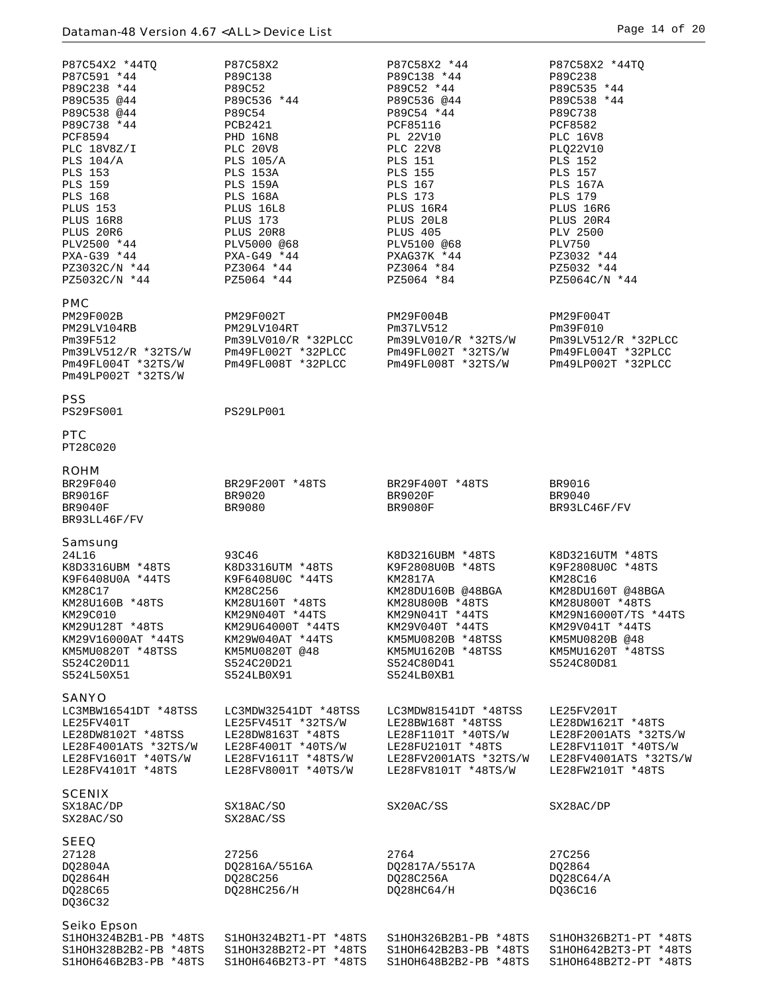| P87C54X2 *44TQ<br>P87C591 *44<br>P89C238 *44<br>P89C535 @44<br>P89C538 @44<br>P89C738 *44<br><b>PCF8594</b><br>PLC 18V8Z/I<br><b>PLS 104/A</b><br><b>PLS 153</b><br><b>PLS 159</b><br><b>PLS 168</b><br><b>PLUS 153</b><br>PLUS 16R8<br>PLUS 20R6<br>PLV2500 *44<br>PXA-G39 *44<br>PZ3032C/N *44<br>PZ5032C/N *44 | P87C58X2<br>P89C138<br>P89C52<br>P89C536 *44<br>P89C54<br>PCB2421<br><b>PHD 16N8</b><br><b>PLC 20V8</b><br><b>PLS 105/A</b><br>PLS 153A<br>PLS 159A<br><b>PLS 168A</b><br>PLUS 16L8<br>PLUS 173<br>PLUS 20R8<br>PLV5000 @68<br>$PXA-G49 *44$<br>PZ3064 *44<br>PZ5064 *44 | P87C58X2 *44<br>P89C138 *44<br>P89C52 *44<br>P89C536 @44<br>P89C54 *44<br>PCF85116<br>PL 22V10<br><b>PLC 22V8</b><br><b>PLS 151</b><br><b>PLS 155</b><br><b>PLS 167</b><br><b>PLS 173</b><br>PLUS 16R4<br>PLUS 20L8<br>PLUS 405<br>PLV5100 @68<br>PXAG37K *44<br>PZ3064 *84<br>PZ5064 *84 | P87C58X2 *44TO<br>P89C238<br>P89C535 *44<br>P89C538 *44<br>P89C738<br><b>PCF8582</b><br><b>PLC 16V8</b><br>PLQ22V10<br><b>PLS 152</b><br><b>PLS 157</b><br><b>PLS 167A</b><br><b>PLS 179</b><br>PLUS 16R6<br>PLUS 20R4<br><b>PLV 2500</b><br><b>PLV750</b><br>PZ3032 *44<br>PZ5032 *44<br>PZ5064C/N *44 |
|-------------------------------------------------------------------------------------------------------------------------------------------------------------------------------------------------------------------------------------------------------------------------------------------------------------------|--------------------------------------------------------------------------------------------------------------------------------------------------------------------------------------------------------------------------------------------------------------------------|-------------------------------------------------------------------------------------------------------------------------------------------------------------------------------------------------------------------------------------------------------------------------------------------|---------------------------------------------------------------------------------------------------------------------------------------------------------------------------------------------------------------------------------------------------------------------------------------------------------|
| <b>PMC</b><br>PM29F002B<br>PM29LV104RB<br>Pm39F512<br>Pm39LV512/R *32TS/W<br>Pm49FL004T *32TS/W<br>Pm49LP002T *32TS/W                                                                                                                                                                                             | PM29F002T<br>PM29LV104RT<br>$PM39LV010/R *32PLCC$<br>Pm49FL002T *32PLCC<br>Pm49FL008T *32PLCC                                                                                                                                                                            | PM29F004B<br>Pm37LV512<br>Pm39LV010/R *32TS/W<br>Pm49FL002T *32TS/W<br>Pm49FL008T *32TS/W                                                                                                                                                                                                 | PM29F004T<br>Pm39F010<br>$PM39LV512/R *32PLCC$<br>Pm49FL004T *32PLCC<br>Pm49LP002T *32PLCC                                                                                                                                                                                                              |
| <b>PSS</b><br><b>PS29FS001</b>                                                                                                                                                                                                                                                                                    | PS29LP001                                                                                                                                                                                                                                                                |                                                                                                                                                                                                                                                                                           |                                                                                                                                                                                                                                                                                                         |
| <b>PTC</b><br>PT28C020                                                                                                                                                                                                                                                                                            |                                                                                                                                                                                                                                                                          |                                                                                                                                                                                                                                                                                           |                                                                                                                                                                                                                                                                                                         |
| <b>ROHM</b><br>BR29F040<br><b>BR9016F</b><br>BR9040F<br>BR93LL46F/FV                                                                                                                                                                                                                                              | BR29F200T *48TS<br>BR9020<br>BR9080                                                                                                                                                                                                                                      | BR29F400T *48TS<br><b>BR9020F</b><br><b>BR9080F</b>                                                                                                                                                                                                                                       | BR9016<br>BR9040<br>BR93LC46F/FV                                                                                                                                                                                                                                                                        |
| Samsung<br>24L16<br>K8D3316UBM *48TS<br>K9F6408U0A *44TS<br>KM28C17<br>KM28U160B *48TS<br>KM29C010<br>KM29U128T *48TS<br>KM29V16000AT *44TS<br>KM5MU0820T *48TSS<br>S524C20D11<br>S524L50X51                                                                                                                      | 93C46<br>K8D3316UTM *48TS<br>K9F6408U0C *44TS<br>KM28C256<br>KM28U160T *48TS<br>KM29N040T *44TS<br>KM29U64000T *44TS<br>KM29W040AT *44TS<br>KM5MU0820T @48<br>S524C20D21<br>S524LB0X91                                                                                   | K8D3216UBM *48TS<br>K9F2808U0B *48TS<br>KM2817A<br>KM28DU160B @48BGA<br>KM28U800B *48TS<br>KM29N041T *44TS<br>KM29V040T *44TS<br>KM5MU0820B *48TSS<br>KM5MU1620B *48TSS<br>S524C80D41<br>S524LB0XB1                                                                                       | K8D3216UTM *48TS<br>K9F2808U0C *48TS<br>KM28C16<br>KM28DU160T @48BGA<br>KM28U800T *48TS<br>KM29N16000T/TS *44TS<br>KM29V041T *44TS<br>KM5MU0820B @48<br>KM5MU1620T *48TSS<br>S524C80D81                                                                                                                 |
| <b>SANYO</b><br>LC3MBW16541DT *48TSS<br>LE25FV401T<br>LE28DW8102T *48TSS<br>LE28F4001ATS *32TS/W<br>LE28FV1601T *40TS/W<br>LE28FV4101T *48TS                                                                                                                                                                      | LC3MDW32541DT *48TSS<br>LE25FV451T *32TS/W<br>LE28DW8163T *48TS<br>LE28F4001T *40TS/W<br>LE28FV1611T *48TS/W<br>LE28FV8001T *40TS/W                                                                                                                                      | LC3MDW81541DT *48TSS<br>LE28BW168T *48TSS<br>LE28F1101T *40TS/W<br>LE28FU2101T *48TS<br>LE28FV2001ATS *32TS/W<br>LE28FV8101T *48TS/W                                                                                                                                                      | LE25FV201T<br>LE28DW1621T *48TS<br>LE28F2001ATS *32TS/W<br>LE28FV1101T *40TS/W<br>LE28FV4001ATS *32TS/W<br>LE28FW2101T *48TS                                                                                                                                                                            |
| <b>SCENIX</b><br>SX18AC/DP<br>SX28AC/SO                                                                                                                                                                                                                                                                           | SX18AC/SO<br>SX28AC/SS                                                                                                                                                                                                                                                   | SX20AC/SS                                                                                                                                                                                                                                                                                 | SX28AC/DP                                                                                                                                                                                                                                                                                               |
| <b>SEEQ</b><br>27128<br>DQ2804A<br>DQ2864H<br>DQ28C65<br>DQ36C32                                                                                                                                                                                                                                                  | 27256<br>DQ2816A/5516A<br>DQ28C256<br>DQ28HC256/H                                                                                                                                                                                                                        | 2764<br>DQ2817A/5517A<br>DQ28C256A<br>DQ28HC64/H                                                                                                                                                                                                                                          | 27C256<br>DQ2864<br>DQ28C64/A<br>DQ36C16                                                                                                                                                                                                                                                                |
| <b>Seiko Epson</b><br>S1HOH324B2B1-PB *48TS<br>S1HOH328B2B2-PB *48TS<br>S1HOH646B2B3-PB *48TS                                                                                                                                                                                                                     | S1HOH324B2T1-PT *48TS<br>S1HOH328B2T2-PT *48TS<br>S1HOH646B2T3-PT *48TS                                                                                                                                                                                                  | S1HOH326B2B1-PB *48TS<br>S1HOH642B2B3-PB *48TS<br>S1HOH648B2B2-PB *48TS                                                                                                                                                                                                                   | S1HOH326B2T1-PT *48TS<br>S1HOH642B2T3-PT *48TS<br>S1HOH648B2T2-PT *48TS                                                                                                                                                                                                                                 |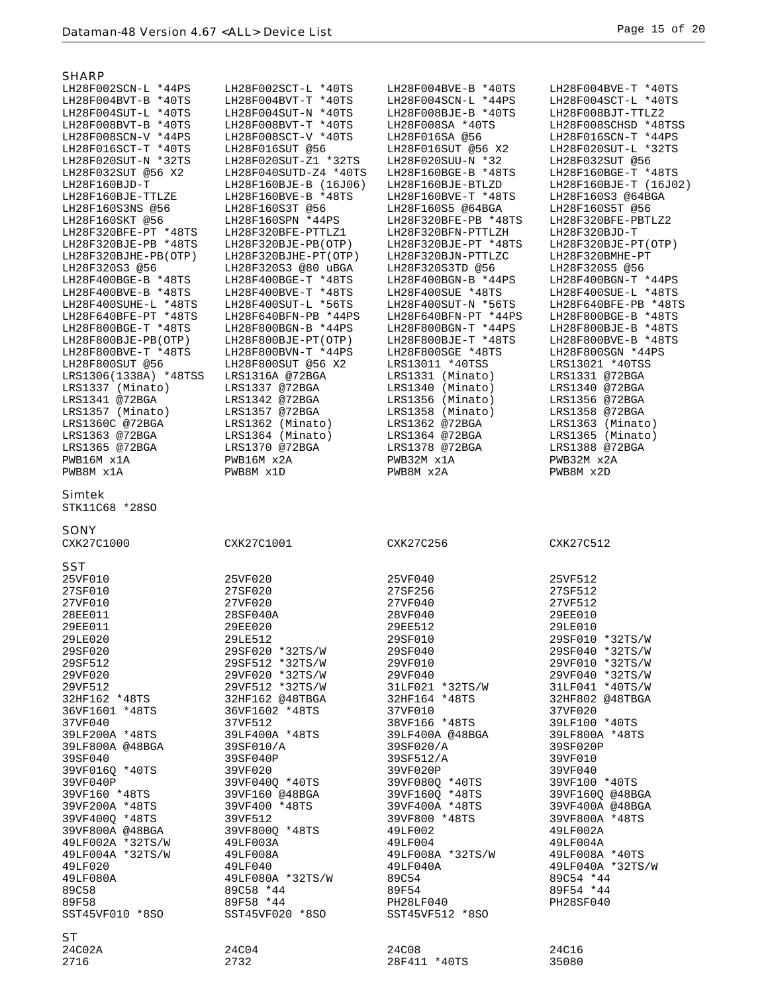| SHARP                           |                       |                      |                       |
|---------------------------------|-----------------------|----------------------|-----------------------|
| LH28F002SCN-L *44PS             | LH28F002SCT-L *40TS   | LH28F004BVE-B *40TS  | LH28F004BVE-T *40TS   |
| LH28F004BVT-B *40TS             | LH28F004BVT-T *40TS   | LH28F004SCN-L *44PS  | LH28F004SCT-L *40TS   |
| LH28F004SUT-L *40TS             | LH28F004SUT-N *40TS   | LH28F008BJE-B *40TS  | LH28F008BJT-TTLZ2     |
| LH28F008BVT-B *40TS             | LH28F008BVT-T *40TS   | LH28F008SA *40TS     | LH28F008SCHSD *48TSS  |
| LH28F008SCN-V *44PS             | LH28F008SCT-V *40TS   | LH28F016SA @56       | LH28F016SCN-T *44PS   |
| LH28F016SCT-T *40TS             | LH28F016SUT @56       | LH28F016SUT @56 X2   | LH28F020SUT-L *32TS   |
| LH28F020SUT-N *32TS             | LH28F020SUT-Z1 *32TS  | LH28F020SUU-N *32    | LH28F032SUT @56       |
|                                 |                       |                      |                       |
| LH28F032SUT @56 X2              | LH28F040SUTD-Z4 *40TS | LH28F160BGE-B *48TS  | LH28F160BGE-T *48TS   |
| LH28F160BJD-T                   | LH28F160BJE-B (16J06) | LH28F160BJE-BTLZD    | LH28F160BJE-T (16J02) |
| LH28F160BJE-TTLZE               | LH28F160BVE-B *48TS   | LH28F160BVE-T *48TS  | LH28F160S3 @64BGA     |
| LH28F160S3NS @56                | LH28F160S3T @56       | LH28F160S5 @64BGA    | LH28F160S5T @56       |
| LH28F160SKT @56                 | LH28F160SPN *44PS     | LH28F320BFE-PB *48TS | LH28F320BFE-PBTLZ2    |
| LH28F320BFE-PT *48TS            | LH28F320BFE-PTTLZ1    | LH28F320BFN-PTTLZH   | LH28F320BJD-T         |
| LH28F320BJE-PB *48TS            | LH28F320BJE-PB(OTP)   | LH28F320BJE-PT *48TS | LH28F320BJE-PT(OTP)   |
| LH28F320BJHE-PB(OTP)            | LH28F320BJHE-PT(OTP)  | LH28F320BJN-PTTLZC   | LH28F320BMHE-PT       |
| LH28F320S3 @56                  | LH28F320S3 @80 uBGA   | LH28F320S3TD @56     | LH28F320S5 @56        |
| LH28F400BGE-B *48TS             | LH28F400BGE-T *48TS   | LH28F400BGN-B *44PS  | LH28F400BGN-T *44PS   |
|                                 |                       |                      |                       |
| LH28F400BVE-B *48TS             | LH28F400BVE-T *48TS   | LH28F400SUE *48TS    | LH28F400SUE-L *48TS   |
| LH28F400SUHE-L *48TS            | LH28F400SUT-L *56TS   | LH28F400SUT-N *56TS  | LH28F640BFE-PB *48TS  |
| LH28F640BFE-PT *48TS            | LH28F640BFN-PB *44PS  | LH28F640BFN-PT *44PS | LH28F800BGE-B *48TS   |
| LH28F800BGE-T *48TS             | LH28F800BGN-B *44PS   | LH28F800BGN-T *44PS  | LH28F800BJE-B *48TS   |
| LH28F800BJE-PB(OTP)             | LH28F800BJE-PT(OTP)   | LH28F800BJE-T *48TS  | LH28F800BVE-B *48TS   |
| LH28F800BVE-T *48TS             | LH28F800BVN-T *44PS   | LH28F800SGE *48TS    | LH28F800SGN *44PS     |
| LH28F800SUT @56                 | LH28F800SUT @56 X2    | LRS13011 *40TSS      | LRS13021 *40TSS       |
| LRS1306(1338A) *48TSS           | LRS1316A @72BGA       | LRS1331 (Minato)     | LRS1331 @72BGA        |
| LRS1337 (Minato)                | LRS1337 @72BGA        | LRS1340 (Minato)     | LRS1340 @72BGA        |
| LRS1341 @72BGA                  | LRS1342 @72BGA        | LRS1356 (Minato)     | LRS1356 @72BGA        |
| LRS1357 (Minato)                | LRS1357 @72BGA        | LRS1358 (Minato)     | LRS1358 @72BGA        |
|                                 |                       |                      |                       |
| LRS1360C @72BGA                 | LRS1362 (Minato)      | LRS1362 @72BGA       | LRS1363 (Minato)      |
| LRS1363 @72BGA                  | LRS1364 (Minato)      | LRS1364 @72BGA       | LRS1365 (Minato)      |
| LRS1365 @72BGA                  | LRS1370 @72BGA        | LRS1378 @72BGA       | LRS1388 @72BGA        |
| PWB16M x1A                      | PWB16M x2A            | PWB32M x1A           | PWB32M x2A            |
| PWB8M x1A                       | PWB8M x1D             | PWB8M x2A            | PWB8M x2D             |
| <b>Simtek</b><br>STK11C68 *28SO |                       |                      |                       |
|                                 |                       |                      |                       |
|                                 |                       |                      |                       |
| <b>SONY</b>                     |                       |                      |                       |
|                                 |                       |                      |                       |
| CXK27C1000                      | CXK27C1001            | CXK27C256            | CXK27C512             |
|                                 |                       |                      |                       |
| <b>SST</b>                      |                       |                      |                       |
| 25VF010                         | 25VF020               | 25VF040              | 25VF512               |
| 27SF010                         | 27SF020               | 27SF256              | 27SF512               |
| 27VF010                         | 27VF020               | 27VF040              | 27VF512               |
| 28EE011                         | 28SF040A              | 28VF040              | 29EE010               |
| <b>29EE011</b>                  | <b>29EE020</b>        | 29EE512              | 29LE010               |
| 29LE020                         | 29LE512               | 29SF010              | 29SF010 *32TS/W       |
| 29SF020                         | 29SF020 *32TS/W       | 29SF040              | 29SF040 *32TS/W       |
| 29SF512                         | 29SF512 *32TS/W       | 29VF010              | 29VF010 *32TS/W       |
|                                 |                       |                      |                       |
| 29VF020                         | 29VF020 *32TS/W       | 29VF040              | 29VF040 *32TS/W       |
| 29VF512                         | 29VF512 *32TS/W       | 31LF021 *32TS/W      | 31LF041 *40TS/W       |
| 32HF162 *48TS                   | 32HF162 @48TBGA       | 32HF164 *48TS        | 32HF802 @48TBGA       |
| 36VF1601 *48TS                  | 36VF1602 *48TS        | 37VF010              | 37VF020               |
| 37VF040                         | 37VF512               | 38VF166 *48TS        | 39LF100 *40TS         |
| 39LF200A *48TS                  | 39LF400A *48TS        | 39LF400A @48BGA      | 39LF800A *48TS        |
| 39LF800A @48BGA                 | 39SF010/A             | 39SF020/A            | 39SF020P              |
| 39SF040                         | 39SF040P              | 39SF512/A            | 39VF010               |
| 39VF016Q *40TS                  | 39VF020               | 39VF020P             | 39VF040               |
| 39VF040P                        | 39VF040Q *40TS        | 39VF080Q *40TS       | 39VF100 *40TS         |
| 39VF160 *48TS                   | 39VF160 @48BGA        | 39VF160Q *48TS       | 39VF1600 @48BGA       |
| 39VF200A *48TS                  | 39VF400 *48TS         | 39VF400A *48TS       | 39VF400A @48BGA       |
| 39VF4000 *48TS                  | 39VF512               | 39VF800 *48TS        | 39VF800A *48TS        |
|                                 |                       |                      |                       |
| 39VF800A @48BGA                 | 39VF800Q *48TS        | 49LF002              | 49LF002A              |
| 49LF002A *32TS/W                | 49LF003A              | 49LF004              | 49LF004A              |
| 49LF004A *32TS/W                | 49LF008A              | 49LF008A *32TS/W     | 49LF008A *40TS        |
| 49LF020                         | 49LF040               | 49LF040A             | 49LF040A *32TS/W      |
| 49LF080A                        | 49LF080A *32TS/W      | 89C54                | 89C54 *44             |
| 89C58                           | 89C58 *44             | 89F54                | 89F54 *44             |
| 89F58                           | 89F58 *44             | PH28LF040            | PH28SF040             |
| SST45VF010 *8SO                 | SST45VF020 *8SO       | SST45VF512 *8SO      |                       |
|                                 |                       |                      |                       |
| ST.                             |                       |                      |                       |
| 24C02A                          | 24C04                 | 24C08                | 24C16                 |
| 2716                            | 2732                  | 28F411 *40TS         | 35080                 |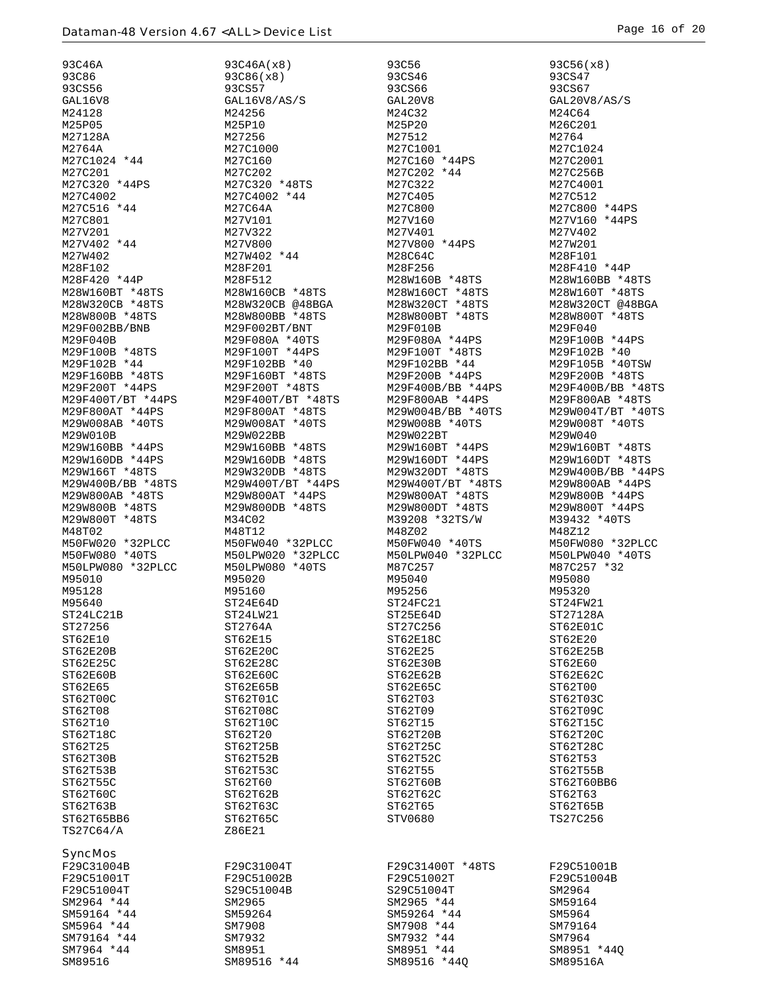| 93C46A               | 93C46A(x8)           | 93C56             | 93C56(x8)         |
|----------------------|----------------------|-------------------|-------------------|
| <b>93C86</b>         | 93C86(x8)            | 93CS46            | 93CS47            |
| 93CS56               | 93CS57               | 93CS66            | 93CS67            |
| GAL16V8              | GAL16V8/AS/S         | GAL20V8           | GAL20V8/AS/S      |
| M24128               | M24256               | M24C32            | M24C64            |
| M25P05               | M25P10               | M25P20            | M26C201           |
| M27128A              | M27256               | M27512            | M2764             |
| M2764A               | M27C1000             | M27C1001          | M27C1024          |
| M27C1024 *44         | M27C160              | M27C160 *44PS     | M27C2001          |
| M27C201              | M27C202              | M27C202 *44       | M27C256B          |
| M27C320 *44PS        | M27C320 *48TS        | M27C322           | M27C4001          |
| M27C4002             | M27C4002 *44         | M27C405           | M27C512           |
| M27C516 *44          | M27C64A              | M27C800           | M27C800 *44PS     |
| M27C801              | M27V101              | M27V160           | M27V160 *44PS     |
| M27V201              | M27V322              | M27V401           | M27V402           |
| M27V402 *44          | M27V800              | M27V800 *44PS     | M27W201           |
| M27W402              | M27W402 *44          | M28C64C           | M28F101           |
| M28F102              | M28F201              | M28F256           | M28F410 *44P      |
| M28F420 *44P         | M28F512              | M28W160B *48TS    | M28W160BB *48TS   |
| M28W160BT *48TS      | M28W160CB *48TS      | M28W160CT *48TS   | M28W160T *48TS    |
| M28W320CB *48TS      | M28W320CB @48BGA     | M28W320CT *48TS   | M28W320CT @48BGA  |
| M28W800B *48TS       | M28W800BB *48TS      | M28W800BT *48TS   | M28W800T *48TS    |
| M29F002BB/BNB        | M29F002BT/BNT        | M29F010B          | M29F040           |
| M29F040B             | M29F080A *40TS       | M29F080A *44PS    | M29F100B *44PS    |
| M29F100B *48TS       | M29F100T *44PS       | M29F100T *48TS    | M29F102B *40      |
| M29F102B *44         | M29F102BB *40        | M29F102BB *44     | M29F105B *40TSW   |
| M29F160BB *48TS      | M29F160BT *48TS      | M29F200B *44PS    | M29F200B *48TS    |
| M29F200T *44PS       | M29F200T *48TS       | M29F400B/BB *44PS | M29F400B/BB *48TS |
| $M29F400T/BT * 44PS$ | M29F400T/BT *48TS    | M29F800AB *44PS   | M29F800AB *48TS   |
| M29F800AT *44PS      | M29F800AT *48TS      | M29W004B/BB *40TS | M29W004T/BT *40TS |
| M29W008AB *40TS      | M29W008AT *40TS      | M29W008B *40TS    | M29W008T *40TS    |
| M29W010B             | M29W022BB            | M29W022BT         | M29W040           |
| M29W160BB *44PS      | M29W160BB *48TS      | M29W160BT *44PS   | M29W160BT *48TS   |
| M29W160DB *44PS      | M29W160DB *48TS      | M29W160DT *44PS   | M29W160DT *48TS   |
| M29W166T *48TS       | M29W320DB *48TS      | M29W320DT *48TS   | M29W400B/BB *44PS |
| M29W400B/BB *48TS    | $M29W400T/BT * 44PS$ | M29W400T/BT *48TS | M29W800AB *44PS   |
| M29W800AB *48TS      | M29W800AT *44PS      | M29W800AT *48TS   | M29W800B *44PS    |
| M29W800B *48TS       | M29W800DB *48TS      | M29W800DT *48TS   | M29W800T *44PS    |
| M29W800T *48TS       | M34C02               | M39208 *32TS/W    | M39432 *40TS      |
| M48T02               | M48T12               | M48Z02            | M48Z12            |
| M50FW020 *32PLCC     | M50FW040 *32PLCC     | M50FW040 *40TS    | M50FW080 *32PLCC  |
| M50FW080 *40TS       | M50LPW020 *32PLCC    | M50LPW040 *32PLCC | M50LPW040 *40TS   |
| M50LPW080 *32PLCC    | M50LPW080 *40TS      | M87C257           | M87C257 *32       |
| M95010               | M95020               | M95040            | M95080            |
| M95128               | M95160               | M95256            | M95320            |
| M95640               | ST24E64D             | ST24FC21          | ST24FW21          |
| ST24LC21B            | ST24LW21             | ST25E64D          | ST27128A          |
| ST27256              | ST2764A              | ST27C256          | ST62E01C          |
| ST62E10              | ST62E15              | ST62E18C          | ST62E20           |
| ST62E20B             | ST62E20C             | ST62E25           | ST62E25B          |
| ST62E25C             | ST62E28C             | ST62E30B          | ST62E60           |
| ST62E60B             | ST62E60C             | ST62E62B          | ST62E62C          |
| ST62E65              | ST62E65B             | ST62E65C          | ST62T00           |
| ST62T00C             | ST62T01C             | ST62T03           | ST62T03C          |
| ST62T08              | ST62T08C             | ST62T09           | ST62T09C          |
| ST62T10              | ST62T10C             | ST62T15           | ST62T15C          |
| ST62T18C             | ST62T20              | ST62T20B          | ST62T20C          |
| ST62T25              | ST62T25B             | ST62T25C          | ST62T28C          |
| ST62T30B             | ST62T52B             | ST62T52C          | ST62T53           |
| ST62T53B             | ST62T53C             | ST62T55           | ST62T55B          |
| ST62T55C             | ST62T60              | ST62T60B          | ST62T60BB6        |
| ST62T60C             | ST62T62B             | ST62T62C          | ST62T63           |
| ST62T63B             | ST62T63C             | ST62T65           | ST62T65B          |
| ST62T65BB6           | ST62T65C             | STV0680           | TS27C256          |
| TS27C64/A            | Z86E21               |                   |                   |
| <b>SyncMos</b>       |                      |                   |                   |
| F29C31004B           | F29C31004T           | F29C31400T *48TS  | F29C51001B        |
| F29C51001T           | F29C51002B           | F29C51002T        | F29C51004B        |
| F29C51004T           | S29C51004B           | S29C51004T        | SM2964            |
| SM2964 *44           | SM2965               | SM2965 *44        | SM59164           |
| SM59164 *44          | SM59264              | SM59264 *44       | SM5964            |
| SM5964 *44           | SM7908               | SM7908 *44        | SM79164           |
| SM79164 *44          | SM7932               | SM7932 *44        | SM7964            |
| SM7964 *44           | SM8951               | SM8951 *44        | SM8951 *440       |
| SM89516              | SM89516 *44          | SM89516 *440      | SM89516A          |
|                      |                      |                   |                   |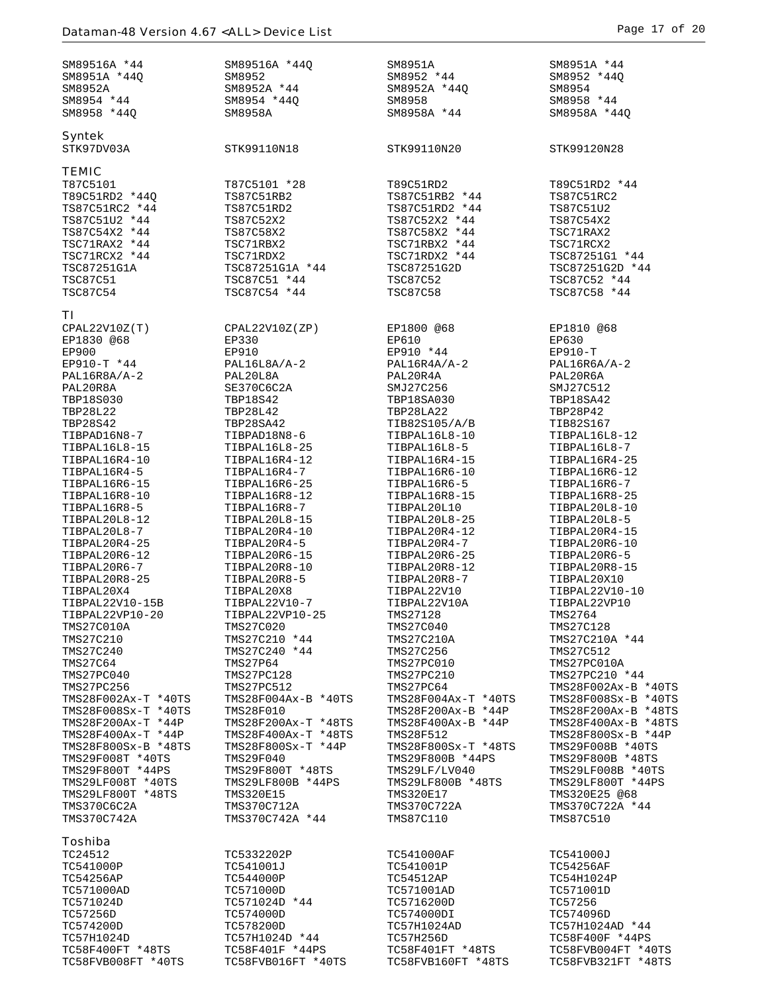| SM89516A *44                              | SM89516A *440                             | SM8951A                                 | SM8951A *44                              |
|-------------------------------------------|-------------------------------------------|-----------------------------------------|------------------------------------------|
| SM8951A *440                              | SM8952<br>SM8952A *44                     | SM8952 *44<br>SM8952A *44Q              | SM8952 *44Q                              |
| SM8952A<br>SM8954 *44                     | SM8954 *44Q                               | SM8958                                  | SM8954<br>SM8958 *44                     |
| SM8958 *440                               | SM8958A                                   | SM8958A *44                             | SM8958A *44Q                             |
|                                           |                                           |                                         |                                          |
| <b>Syntek</b>                             |                                           |                                         |                                          |
| STK97DV03A                                | STK99110N18                               | STK99110N20                             | STK99120N28                              |
| <b>TEMIC</b>                              |                                           |                                         |                                          |
| T87C5101                                  | T87C5101 *28                              | T89C51RD2                               | T89C51RD2 *44                            |
| T89C51RD2 *44Q                            | TS87C51RB2                                | TS87C51RB2 *44                          | TS87C51RC2                               |
| TS87C51RC2 *44                            | TS87C51RD2                                | TS87C51RD2 *44                          | TS87C51U2                                |
| TS87C51U2 *44<br>TS87C54X2 *44            | TS87C52X2<br>TS87C58X2                    | TS87C52X2 *44<br>TS87C58X2 *44          | TS87C54X2<br>TSC71RAX2                   |
| TSC71RAX2 *44                             | TSC71RBX2                                 | TSC71RBX2 *44                           | TSC71RCX2                                |
| TSC71RCX2 *44                             | TSC71RDX2                                 | TSC71RDX2 *44                           | TSC87251G1 *44                           |
| TSC87251G1A                               | TSC87251G1A *44                           | TSC87251G2D                             | TSC87251G2D *44                          |
| <b>TSC87C51</b>                           | TSC87C51 *44                              | <b>TSC87C52</b>                         | TSC87C52 *44                             |
| <b>TSC87C54</b>                           | TSC87C54 *44                              | <b>TSC87C58</b>                         | TSC87C58 *44                             |
| ΤI                                        |                                           |                                         |                                          |
| CPAL22V10Z(T)                             | CPAL22V10Z(ZP)                            | EP1800 @68                              | EP1810 @68                               |
| EP1830 @68                                | EP330                                     | EP610                                   | EP630                                    |
| <b>EP900</b>                              | EP910                                     | EP910 *44                               | $EP910-T$                                |
| EP910-T *44<br>$PAL16R8A/A-2$             | $PAL16L8A/A-2$<br>PAL20L8A                | $PAL16R4A/A-2$<br>PAL20R4A              | $PAL16R6A/A-2$<br>PAL20R6A               |
| PAL20R8A                                  | SE370C6C2A                                | SMJ27C256                               | SMJ27C512                                |
| TBP18S030                                 | TBP18S42                                  | TBP18SA030                              | TBP18SA42                                |
| <b>TBP28L22</b>                           | <b>TBP28L42</b>                           | TBP28LA22                               | TBP28P42                                 |
| TBP28S42                                  | TBP28SA42                                 | TIB82S105/A/B                           | TIB82S167                                |
| TIBPAD16N8-7                              | TIBPAD18N8-6                              | TIBPAL16L8-10                           | TIBPAL16L8-12                            |
| TIBPAL16L8-15<br>TIBPAL16R4-10            | TIBPAL16L8-25<br>TIBPAL16R4-12            | TIBPAL16L8-5<br>TIBPAL16R4-15           | TIBPAL16L8-7<br>TIBPAL16R4-25            |
| TIBPAL16R4-5                              | TIBPAL16R4-7                              | TIBPAL16R6-10                           | TIBPAL16R6-12                            |
| TIBPAL16R6-15                             | TIBPAL16R6-25                             | TIBPAL16R6-5                            | TIBPAL16R6-7                             |
| TIBPAL16R8-10                             | TIBPAL16R8-12                             | TIBPAL16R8-15                           | TIBPAL16R8-25                            |
| TIBPAL16R8-5                              | TIBPAL16R8-7                              | TIBPAL20L10                             | TIBPAL20L8-10                            |
| TIBPAL20L8-12<br>TIBPAL20L8-7             | TIBPAL20L8-15<br>TIBPAL20R4-10            | TIBPAL20L8-25<br>TIBPAL20R4-12          | TIBPAL20L8-5<br>TIBPAL20R4-15            |
| TIBPAL20R4-25                             | TIBPAL20R4-5                              | TIBPAL20R4-7                            | TIBPAL20R6-10                            |
| TIBPAL20R6-12                             | TIBPAL20R6-15                             | TIBPAL20R6-25                           | TIBPAL20R6-5                             |
| TIBPAL20R6-7                              | TIBPAL20R8-10                             | TIBPAL20R8-12                           | TIBPAL20R8-15                            |
| TIBPAL20R8-25                             | TIBPAL20R8-5                              | TIBPAL20R8-7                            | TIBPAL20X10                              |
| TIBPAL20X4<br>TIBPAL22V10-15B             | TIBPAL20X8<br>TIBPAL22V10-7               | TIBPAL22V10<br>TIBPAL22V10A             | TIBPAL22V10-10<br>TIBPAL22VP10           |
| TIBPAL22VP10-20                           | TIBPAL22VP10-25                           | TMS27128                                | <b>TMS2764</b>                           |
| TMS27C010A                                | TMS27C020                                 | TMS27C040                               | <b>TMS27C128</b>                         |
| TMS27C210                                 | TMS27C210 *44                             | TMS27C210A                              | TMS27C210A *44                           |
| TMS27C240                                 | TMS27C240 *44                             | TMS27C256                               | TMS27C512                                |
| <b>TMS27C64</b><br>TMS27PC040             | TMS27P64<br>TMS27PC128                    | TMS27PC010<br>TMS27PC210                | TMS27PC010A<br>TMS27PC210 *44            |
| TMS27PC256                                | TMS27PC512                                | TMS27PC64                               | TMS28F002Ax-B *40TS                      |
| TMS28F002Ax-T *40TS                       | TMS28F004Ax-B *40TS                       | TMS28F004Ax-T *40TS                     | TMS28F008Sx-B *40TS                      |
| TMS28F008Sx-T *40TS                       | <b>TMS28F010</b>                          | TMS28F200Ax-B *44P                      | TMS28F200Ax-B *48TS                      |
| TMS28F200Ax-T *44P                        | TMS28F200Ax-T *48TS                       | TMS28F400Ax-B *44P                      | TMS28F400Ax-B *48TS                      |
| TMS28F400Ax-T *44P<br>TMS28F800Sx-B *48TS | TMS28F400Ax-T *48TS<br>TMS28F800Sx-T *44P | <b>TMS28F512</b><br>TMS28F800Sx-T *48TS | TMS28F800Sx-B *44P<br>TMS29F008B *40TS   |
| TMS29F008T *40TS                          | TMS29F040                                 | TMS29F800B *44PS                        | TMS29F800B *48TS                         |
| TMS29F800T *44PS                          | TMS29F800T *48TS                          | TMS29LF/LV040                           | TMS29LF008B *40TS                        |
| TMS29LF008T *40TS                         | TMS29LF800B *44PS                         | TMS29LF800B *48TS                       | TMS29LF800T *44PS                        |
| TMS29LF800T *48TS                         | <b>TMS320E15</b>                          | <b>TMS320E17</b>                        | TMS320E25 @68                            |
| TMS370C6C2A<br>TMS370C742A                | TMS370C712A<br>TMS370C742A *44            | TMS370C722A<br><b>TMS87C110</b>         | TMS370C722A *44<br><b>TMS87C510</b>      |
|                                           |                                           |                                         |                                          |
| Toshiba                                   |                                           |                                         |                                          |
| TC24512                                   | TC5332202P                                | TC541000AF                              | TC541000J                                |
| TC541000P                                 | TC541001J                                 | TC541001P                               | TC54256AF                                |
| TC54256AP<br>TC571000AD                   | TC544000P<br>TC571000D                    | TC54512AP<br>TC571001AD                 | TC54H1024P<br>TC571001D                  |
| TC571024D                                 | TC571024D *44                             | TC5716200D                              | TC57256                                  |
| TC57256D                                  | TC574000D                                 | TC574000DI                              | TC574096D                                |
| TC574200D                                 | TC578200D                                 | TC57H1024AD                             | TC57H1024AD *44                          |
| TC57H1024D                                | TC57H1024D *44                            | TC57H256D                               | TC58F400F *44PS                          |
| TC58F400FT *48TS<br>TC58FVB008FT *40TS    | TC58F401F *44PS<br>TC58FVB016FT *40TS     | TC58F401FT *48TS<br>TC58FVB160FT *48TS  | TC58FVB004FT *40TS<br>TC58FVB321FT *48TS |
|                                           |                                           |                                         |                                          |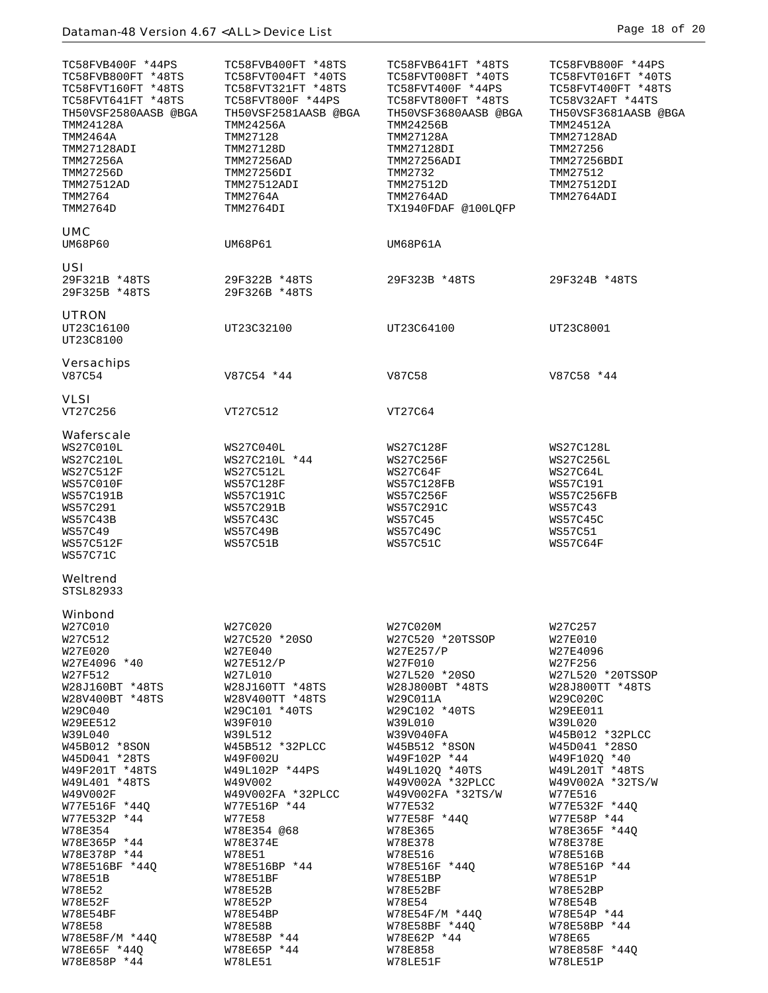| TC58FVB400F *44PS<br>TC58FVB800FT *48TS<br>TC58FVT160FT *48TS<br>TC58FVT641FT *48TS<br>TH50VSF2580AASB @BGA<br>TMM24128A<br><b>TMM2464A</b><br>TMM27128ADI<br>TMM27256A<br>TMM27256D<br>TMM27512AD<br>TMM2764<br>TMM2764D                                                                                                                                                                                                                        | TC58FVB400FT *48TS<br>TC58FVT004FT *40TS<br>TC58FVT321FT *48TS<br>TC58FVT800F *44PS<br>TH50VSF2581AASB @BGA<br>TMM24256A<br>TMM27128<br>TMM27128D<br>TMM27256AD<br>TMM27256DI<br>TMM27512ADI<br><b>TMM2764A</b><br>TMM2764DI                                                                                                                                                                                       | TC58FVB641FT *48TS<br>TC58FVT008FT *40TS<br>TC58FVT400F *44PS<br>TC58FVT800FT *48TS<br>TH50VSF3680AASB @BGA<br>TMM24256B<br>TMM27128A<br>TMM27128DI<br>TMM27256ADI<br>TMM2732<br>TMM27512D<br>TMM2764AD<br>TX1940FDAF @100LQFP                                                                                                                                                                                                    | TC58FVB800F *44PS<br>TC58FVT016FT *40TS<br>TC58FVT400FT *48TS<br>TC58V32AFT *44TS<br>TH50VSF3681AASB @BGA<br>TMM24512A<br>TMM27128AD<br>TMM27256<br>TMM27256BDI<br>TMM27512<br>TMM27512DI<br>TMM2764ADI                                                                                                                                                                                                                          |
|--------------------------------------------------------------------------------------------------------------------------------------------------------------------------------------------------------------------------------------------------------------------------------------------------------------------------------------------------------------------------------------------------------------------------------------------------|--------------------------------------------------------------------------------------------------------------------------------------------------------------------------------------------------------------------------------------------------------------------------------------------------------------------------------------------------------------------------------------------------------------------|-----------------------------------------------------------------------------------------------------------------------------------------------------------------------------------------------------------------------------------------------------------------------------------------------------------------------------------------------------------------------------------------------------------------------------------|----------------------------------------------------------------------------------------------------------------------------------------------------------------------------------------------------------------------------------------------------------------------------------------------------------------------------------------------------------------------------------------------------------------------------------|
| <b>UMC</b><br>UM68P60                                                                                                                                                                                                                                                                                                                                                                                                                            | UM68P61                                                                                                                                                                                                                                                                                                                                                                                                            | UM68P61A                                                                                                                                                                                                                                                                                                                                                                                                                          |                                                                                                                                                                                                                                                                                                                                                                                                                                  |
| USI<br>29F321B *48TS<br>29F325B *48TS                                                                                                                                                                                                                                                                                                                                                                                                            | 29F322B *48TS<br>29F326B *48TS                                                                                                                                                                                                                                                                                                                                                                                     | 29F323B *48TS                                                                                                                                                                                                                                                                                                                                                                                                                     | 29F324B *48TS                                                                                                                                                                                                                                                                                                                                                                                                                    |
| <b>UTRON</b><br>UT23C16100<br>UT23C8100                                                                                                                                                                                                                                                                                                                                                                                                          | UT23C32100                                                                                                                                                                                                                                                                                                                                                                                                         | UT23C64100                                                                                                                                                                                                                                                                                                                                                                                                                        | UT23C8001                                                                                                                                                                                                                                                                                                                                                                                                                        |
| <b>Versachips</b><br>V87C54                                                                                                                                                                                                                                                                                                                                                                                                                      | V87C54 *44                                                                                                                                                                                                                                                                                                                                                                                                         | V87C58                                                                                                                                                                                                                                                                                                                                                                                                                            | V87C58 *44                                                                                                                                                                                                                                                                                                                                                                                                                       |
| VLSI<br>VT27C256                                                                                                                                                                                                                                                                                                                                                                                                                                 | VT27C512                                                                                                                                                                                                                                                                                                                                                                                                           | VT27C64                                                                                                                                                                                                                                                                                                                                                                                                                           |                                                                                                                                                                                                                                                                                                                                                                                                                                  |
| Waferscale<br>WS27C010L<br><b>WS27C210L</b><br><b>WS27C512F</b><br>WS57C010F<br><b>WS57C191B</b><br>WS57C291<br>WS57C43B<br>WS57C49<br>WS57C512F<br><b>WS57C71C</b>                                                                                                                                                                                                                                                                              | WS27C040L<br>WS27C210L *44<br><b>WS27C512L</b><br>WS57C128F<br>WS57C191C<br><b>WS57C291B</b><br><b>WS57C43C</b><br>WS57C49B<br>WS57C51B                                                                                                                                                                                                                                                                            | <b>WS27C128F</b><br>WS27C256F<br>WS27C64F<br>WS57C128FB<br><b>WS57C256F</b><br>WS57C291C<br>WS57C45<br>WS57C49C<br><b>WS57C51C</b>                                                                                                                                                                                                                                                                                                | WS27C128L<br><b>WS27C256L</b><br>WS27C64L<br>WS57C191<br><b>WS57C256FB</b><br>WS57C43<br>WS57C45C<br>WS57C51<br>WS57C64F                                                                                                                                                                                                                                                                                                         |
| Weltrend<br>STSL82933                                                                                                                                                                                                                                                                                                                                                                                                                            |                                                                                                                                                                                                                                                                                                                                                                                                                    |                                                                                                                                                                                                                                                                                                                                                                                                                                   |                                                                                                                                                                                                                                                                                                                                                                                                                                  |
| Winbond<br>W27C010<br>W27C512<br>W27E020<br>W27E4096 *40<br>W27F512<br>W28J160BT *48TS<br>W28V400BT *48TS<br>W29C040<br>W29EE512<br>W39L040<br>W45B012 *8SON<br>W45D041 *28TS<br>W49F201T *48TS<br>W49L401 *48TS<br>W49V002F<br>W77E516F *44Q<br>W77E532P *44<br>W78E354<br>W78E365P *44<br>W78E378P *44<br>W78E516BF *44Q<br><b>W78E51B</b><br>W78E52<br>W78E52F<br>W78E54BF<br><b>W78E58</b><br>W78E58F/M *44Q<br>W78E65F *44Q<br>W78E858P *44 | W27C020<br>W27C520 *20SO<br>W27E040<br>W27E512/P<br>W27L010<br>W28J160TT *48TS<br>W28V400TT *48TS<br>W29C101 *40TS<br>W39F010<br>W39L512<br>W45B512 *32PLCC<br>W49F002U<br>W49L102P *44PS<br>W49V002<br>W49V002FA *32PLCC<br>W77E516P *44<br>W77E58<br>W78E354 @68<br><b>W78E374E</b><br>W78E51<br>W78E516BP *44<br>W78E51BF<br>W78E52B<br>W78E52P<br>W78E54BP<br>W78E58B<br>W78E58P *44<br>W78E65P *44<br>W78LE51 | W27C020M<br>W27C520 *20TSSOP<br>W27E257/P<br>W27F010<br>W27L520 *20SO<br>W28J800BT *48TS<br>W29C011A<br>W29C102 *40TS<br>W39L010<br>W39V040FA<br>W45B512 *8SON<br>W49F102P *44<br>W49L102Q *40TS<br>W49V002A *32PLCC<br>W49V002FA *32TS/W<br>W77E532<br>W77E58F *44Q<br>W78E365<br>W78E378<br>W78E516<br>W78E516F *44Q<br>W78E51BP<br>W78E52BF<br>W78E54<br>W78E54F/M *44Q<br>W78E58BF *440<br>W78E62P *44<br>W78E858<br>W78LE51F | W27C257<br>W27E010<br>W27E4096<br>W27F256<br>W27L520 *20TSSOP<br>W28J800TT *48TS<br>W29C020C<br><b>W29EE011</b><br>W39L020<br>W45B012 *32PLCC<br>W45D041 *28SO<br>W49F1020 *40<br>W49L201T *48TS<br>W49V002A *32TS/W<br>W77E516<br>W77E532F *44Q<br>W77E58P *44<br>W78E365F *44Q<br>W78E378E<br>W78E516B<br>W78E516P *44<br>W78E51P<br>W78E52BP<br>W78E54B<br>W78E54P *44<br>W78E58BP *44<br>W78E65<br>W78E858F *44Q<br>W78LE51P |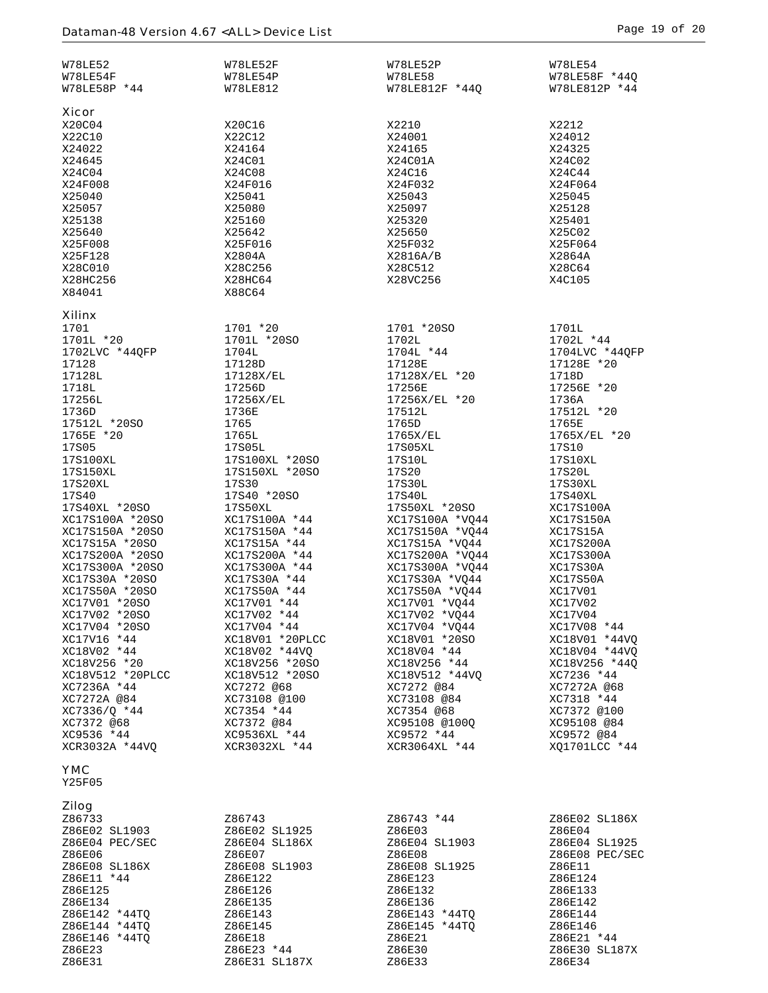| <b>W78LE52</b><br>W78LE54F<br>W78LE58P *44                                                                                                                                                                                                                                                                                                                                                                                                                                                                                                                       | W78LE52F<br>W78LE54P<br>W78LE812                                                                                                                                                                                                                                                                                                                                                                                                                                                                                                     | W78LE52P<br><b>W78LE58</b><br>W78LE812F *44Q                                                                                                                                                                                                                                                                                                                                                                                                                                                                                               | W78LE54<br>W78LE58F *44Q<br>W78LE812P *44                                                                                                                                                                                                                                                                                                                                                                                                                                               |
|------------------------------------------------------------------------------------------------------------------------------------------------------------------------------------------------------------------------------------------------------------------------------------------------------------------------------------------------------------------------------------------------------------------------------------------------------------------------------------------------------------------------------------------------------------------|--------------------------------------------------------------------------------------------------------------------------------------------------------------------------------------------------------------------------------------------------------------------------------------------------------------------------------------------------------------------------------------------------------------------------------------------------------------------------------------------------------------------------------------|--------------------------------------------------------------------------------------------------------------------------------------------------------------------------------------------------------------------------------------------------------------------------------------------------------------------------------------------------------------------------------------------------------------------------------------------------------------------------------------------------------------------------------------------|-----------------------------------------------------------------------------------------------------------------------------------------------------------------------------------------------------------------------------------------------------------------------------------------------------------------------------------------------------------------------------------------------------------------------------------------------------------------------------------------|
| Xicor<br>X20C04<br>X22C10<br>X24022<br>X24645<br>X24C04<br>X24F008<br>X25040<br>X25057<br>X25138<br>X25640<br>X25F008<br>X25F128<br>X28C010<br>X28HC256                                                                                                                                                                                                                                                                                                                                                                                                          | X20C16<br>X22C12<br>X24164<br>X24C01<br>X24C08<br>X24F016<br>X25041<br>X25080<br>X25160<br>X25642<br>X25F016<br>X2804A<br>X28C256<br>X28HC64                                                                                                                                                                                                                                                                                                                                                                                         | X2210<br>X24001<br>X24165<br>X24C01A<br>X24C16<br>X24F032<br>X25043<br>X25097<br>X25320<br>X25650<br>X25F032<br>X2816A/B<br>X28C512<br>X28VC256                                                                                                                                                                                                                                                                                                                                                                                            | X2212<br>X24012<br>X24325<br>X24C02<br>X24C44<br>X24F064<br>X25045<br>X25128<br>X25401<br>X25C02<br>X25F064<br>X2864A<br>X28C64<br>X4C105                                                                                                                                                                                                                                                                                                                                               |
| X84041                                                                                                                                                                                                                                                                                                                                                                                                                                                                                                                                                           | X88C64                                                                                                                                                                                                                                                                                                                                                                                                                                                                                                                               |                                                                                                                                                                                                                                                                                                                                                                                                                                                                                                                                            |                                                                                                                                                                                                                                                                                                                                                                                                                                                                                         |
| <b>Xilinx</b><br>1701<br>1701L *20<br>1702LVC *44QFP<br>17128<br>17128L<br>1718L<br>17256L<br>1736D<br>17512L *20SO<br>1765E *20<br><b>17S05</b><br>17S100XL<br>17S150XL<br>17S20XL<br>17S40<br>17S40XL *20SO<br>XC17S100A *20SO<br>XC17S150A *20SO<br>XC17S15A *20SO<br>XC17S200A *20SO<br>XC17S300A *20SO<br>XC17S30A *20SO<br>XC17S50A *20SO<br>XC17V01 *20SO<br>XC17V02 *20SO<br>XC17V04 *20SO<br>XC17V16 *44<br>XC18V02 *44<br>XC18V256 *20<br>XC18V512 *20PLCC<br>XC7236A *44<br>XC7272A @84<br>XC7336/0 *44<br>XC7372 @68<br>XC9536 *44<br>XCR3032A *44VQ | 1701 *20<br>1701L *20SO<br>1704L<br>17128D<br>17128X/EL<br>17256D<br>17256X/EL<br>1736E<br>1765<br>1765L<br>17S05L<br>17S100XL *20SO<br>17S150XL *20SO<br><b>17S30</b><br>17S40 *20SO<br>17S50XL<br>XC17S100A *44<br>XC17S150A *44<br>XC17S15A *44<br>XC17S200A *44<br>XC17S300A *44<br>XC17S30A *44<br>XC17S50A *44<br>XC17V01 *44<br>XC17V02 *44<br>XC17V04 *44<br>XC18V01 *20PLCC<br>XC18V02 *44VQ<br>XC18V256 *20SO<br>XC18V512 *20SO<br>XC7272 @68<br>XC73108 @100<br>XC7354 *44<br>XC7372 @84<br>XC9536XL *44<br>XCR3032XL *44 | 1701 *20SO<br>1702L<br>1704L *44<br>17128E<br>17128X/EL *20<br>17256E<br>17256X/EL *20<br>17512L<br>1765D<br>1765X/EL<br>17S05XL<br>17S10L<br>17S20<br>17S30L<br>17S40L<br>17S50XL *20SO<br>XC17S100A *VQ44<br>XC17S150A *VQ44<br>XC17S15A *VQ44<br>XC17S200A *VQ44<br>XC17S300A *VQ44<br>XC17S30A *VQ44<br>XC17S50A *VQ44<br>XC17V01 *VQ44<br>XC17V02 *VO44<br>XC17V04 *VQ44<br>XC18V01 *20SO<br>XC18V04 *44<br>XC18V256 *44<br>XC18V512 *44VO<br>XC7272 @84<br>XC73108 @84<br>XC7354 @68<br>XC95108 @100Q<br>XC9572 *44<br>XCR3064XL *44 | 1701L<br>1702L *44<br>1704LVC *44QFP<br>17128E *20<br>1718D<br>17256E *20<br>1736A<br>17512L *20<br>1765E<br>1765X/EL *20<br><b>17S10</b><br>17S10XL<br>17S20L<br>17S30XL<br>17S40XL<br>XC17S100A<br>XC17S150A<br>XC17S15A<br>XC17S200A<br>XC17S300A<br>XC17S30A<br>XC17S50A<br>XC17V01<br>XC17V02<br>XC17V04<br>XC17V08 *44<br>XC18V01 *44VO<br>XC18V04 *44VQ<br>XC18V256 *440<br>XC7236 *44<br>XC7272A @68<br>XC7318 *44<br>XC7372 @100<br>XC95108 @84<br>XC9572 @84<br>XQ1701LCC *44 |
| <b>YMC</b><br>Y25F05                                                                                                                                                                                                                                                                                                                                                                                                                                                                                                                                             |                                                                                                                                                                                                                                                                                                                                                                                                                                                                                                                                      |                                                                                                                                                                                                                                                                                                                                                                                                                                                                                                                                            |                                                                                                                                                                                                                                                                                                                                                                                                                                                                                         |
| <b>Zilog</b><br>Z86733<br>Z86E02 SL1903<br>Z86E04 PEC/SEC<br>Z86E06<br>Z86E08 SL186X<br>Z86E11 *44<br>Z86E125<br>Z86E134<br>Z86E142 *44TQ<br>Z86E144 *44TQ<br>Z86E146 *44TQ<br>Z86E23                                                                                                                                                                                                                                                                                                                                                                            | Z86743<br>Z86E02 SL1925<br>Z86E04 SL186X<br>Z86E07<br>Z86E08 SL1903<br>Z86E122<br>Z86E126<br>Z86E135<br>Z86E143<br>Z86E145<br>Z86E18<br>Z86E23 *44                                                                                                                                                                                                                                                                                                                                                                                   | Z86743 *44<br>Z86E03<br>Z86E04 SL1903<br>Z86E08<br>Z86E08 SL1925<br>Z86E123<br>Z86E132<br>Z86E136<br>Z86E143 *44TQ<br>Z86E145 *44TQ<br>Z86E21<br>Z86E30                                                                                                                                                                                                                                                                                                                                                                                    | Z86E02 SL186X<br>Z86E04<br>Z86E04 SL1925<br>Z86E08 PEC/SEC<br>Z86E11<br>Z86E124<br>Z86E133<br>Z86E142<br>Z86E144<br>Z86E146<br>Z86E21 *44<br>Z86E30 SL187X                                                                                                                                                                                                                                                                                                                              |
| Z86E31                                                                                                                                                                                                                                                                                                                                                                                                                                                                                                                                                           | Z86E31 SL187X                                                                                                                                                                                                                                                                                                                                                                                                                                                                                                                        | Z86E33                                                                                                                                                                                                                                                                                                                                                                                                                                                                                                                                     | Z86E34                                                                                                                                                                                                                                                                                                                                                                                                                                                                                  |